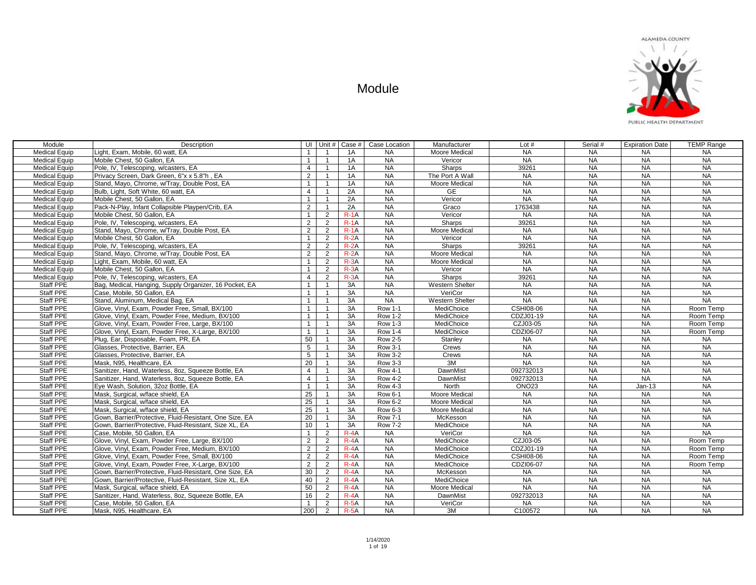| Module               | Description                                             |                 | UI Unit #      |          | Case $#$ Case Location | Manufacturer         | Lot $#$          | Serial #  | <b>Expiration Date</b> | <b>TEMP Range</b> |
|----------------------|---------------------------------------------------------|-----------------|----------------|----------|------------------------|----------------------|------------------|-----------|------------------------|-------------------|
| <b>Medical Equip</b> | Light, Exam, Mobile, 60 watt, EA                        | $\mathbf{1}$    | $\mathbf{1}$   | 1A       | <b>NA</b>              | Moore Medical        | <b>NA</b>        | <b>NA</b> | <b>NA</b>              | <b>NA</b>         |
| <b>Medical Equip</b> | Mobile Chest, 50 Gallon, EA                             | $\mathbf{1}$    | $\mathbf{1}$   | 1A       | <b>NA</b>              | Vericor              | <b>NA</b>        | <b>NA</b> | <b>NA</b>              | <b>NA</b>         |
| <b>Medical Equip</b> | Pole, IV, Telescoping, w/casters, EA                    | $\overline{4}$  | $\mathbf{1}$   | 1A       | <b>NA</b>              | Sharps               | 39261            | <b>NA</b> | NA                     | NA                |
| <b>Medical Equip</b> | Privacy Screen, Dark Green, 6"x x 5.8"h, EA             | 2               | $\mathbf{1}$   | 1A       | <b>NA</b>              | The Port A Wall      | <b>NA</b>        | <b>NA</b> | <b>NA</b>              | <b>NA</b>         |
| <b>Medical Equip</b> | Stand, Mayo, Chrome, w/Tray, Double Post, EA            | $\overline{1}$  | $\mathbf{1}$   | 1A       | <b>NA</b>              | Moore Medical        | <b>NA</b>        | <b>NA</b> | <b>NA</b>              | <b>NA</b>         |
| <b>Medical Equip</b> | Bulb, Light, Soft White, 60 watt, EA                    | $\overline{4}$  | $\mathbf{1}$   | 2A       | <b>NA</b>              | <b>GE</b>            | <b>NA</b>        | <b>NA</b> | <b>NA</b>              | <b>NA</b>         |
| <b>Medical Equip</b> | Mobile Chest, 50 Gallon, EA                             | $\mathbf{1}$    | $\mathbf{1}$   | 2A       | <b>NA</b>              | Vericor              | NA               | <b>NA</b> | <b>NA</b>              | <b>NA</b>         |
| <b>Medical Equip</b> | Pack-N-Play, Infant Collapsible Playpen/Crib, EA        | 2               | $\mathbf{1}$   | 2A       | <b>NA</b>              | Graco                | 1763438          | <b>NA</b> | <b>NA</b>              | <b>NA</b>         |
| <b>Medical Equip</b> | Mobile Chest, 50 Gallon, EA                             | $\mathbf{1}$    | $\overline{2}$ | $R-1A$   | <b>NA</b>              | Vericor              | <b>NA</b>        | <b>NA</b> | NA                     | <b>NA</b>         |
| <b>Medical Equip</b> | Pole, IV. Telescoping, w/casters, EA                    | 2               | 2              | $R - 1A$ | <b>NA</b>              | <b>Sharps</b>        | 39261            | <b>NA</b> | <b>NA</b>              | <b>NA</b>         |
| <b>Medical Equip</b> | Stand, Mavo, Chrome, w/Trav, Double Post, EA            | $\overline{2}$  | 2              | $R - 1A$ | <b>NA</b>              | Moore Medical        | <b>NA</b>        | <b>NA</b> | NA                     | <b>NA</b>         |
| <b>Medical Equip</b> | Mobile Chest, 50 Gallon, EA                             | $\mathbf{1}$    | 2              | $R-2A$   | <b>NA</b>              | Vericor              | NA               | <b>NA</b> | <b>NA</b>              | <b>NA</b>         |
| <b>Medical Equip</b> | Pole, IV, Telescoping, w/casters, EA                    | $\overline{2}$  | $\overline{2}$ | $R - 2A$ | <b>NA</b>              | Sharps               | 39261            | <b>NA</b> | <b>NA</b>              | <b>NA</b>         |
| <b>Medical Equip</b> | Stand, Mayo, Chrome, w/Tray, Double Post, EA            | $\overline{2}$  | 2              | $R-2A$   | <b>NA</b>              | Moore Medical        | <b>NA</b>        | <b>NA</b> | <b>NA</b>              | <b>NA</b>         |
| <b>Medical Equip</b> | Light, Exam, Mobile, 60 watt, EA                        | $\mathbf{1}$    | 2              | $R - 3A$ | <b>NA</b>              | Moore Medical        | <b>NA</b>        | <b>NA</b> | <b>NA</b>              | <b>NA</b>         |
| <b>Medical Equip</b> | Mobile Chest, 50 Gallon, EA                             | $\mathbf{1}$    | $\overline{2}$ | $R - 3A$ | <b>NA</b>              | Vericor              | <b>NA</b>        | <b>NA</b> | NA                     | <b>NA</b>         |
| <b>Medical Equip</b> | Pole, IV, Telescoping, w/casters, EA                    | $\overline{4}$  | 2              | $R-3A$   | <b>NA</b>              | Sharps               | 39261            | <b>NA</b> | <b>NA</b>              | <b>NA</b>         |
| Staff PPE            | Bag, Medical, Hanging, Supply Organizer, 16 Pocket, EA  | $\mathbf{1}$    | $\overline{1}$ | 3A       | <b>NA</b>              | Western Shelter      | <b>NA</b>        | <b>NA</b> | <b>NA</b>              | <b>NA</b>         |
| Staff PPE            | Case, Mobile, 50 Gallon, EA                             | $\mathbf{1}$    | $\mathbf{1}$   | 3A       | <b>NA</b>              | VeriCor              | <b>NA</b>        | <b>NA</b> | <b>NA</b>              | <b>NA</b>         |
| Staff PPE            | Stand, Aluminum, Medical Bag, EA                        | $\mathbf{1}$    | $\overline{1}$ | 3A       | <b>NA</b>              | Western Shelter      | NA               | <b>NA</b> | NA                     | <b>NA</b>         |
| Staff PPE            | Glove, Vinyl, Exam, Powder Free, Small, BX/100          | $\mathbf{1}$    | $\mathbf{1}$   | 3A       | <b>Row 1-1</b>         | MediChoice           | <b>CSHI08-06</b> | <b>NA</b> | <b>NA</b>              | Room Temp         |
| Staff PPE            | Glove, Vinyl, Exam, Powder Free, Medium, BX/100         | $\mathbf{1}$    | $\mathbf{1}$   | 3A       | <b>Row 1-2</b>         | MediChoice           | CDZJ01-19        | <b>NA</b> | <b>NA</b>              | Room Temp         |
| Staff PPE            | Glove, Vinyl, Exam, Powder Free, Large, BX/100          | $\mathbf{1}$    | $\mathbf{1}$   | 3A       | <b>Row 1-3</b>         | MediChoice           | CZJ03-05         | <b>NA</b> | <b>NA</b>              | Room Temp         |
| Staff PPE            | Glove, Vinyl, Exam, Powder Free, X-Large, BX/100        | $\mathbf{1}$    | $\mathbf{1}$   | 3A       | <b>Row 1-4</b>         | MediChoice           | CDZI06-07        | <b>NA</b> | NA                     | Room Temp         |
| <b>Staff PPE</b>     | Plug, Ear, Disposable, Foam, PR, EA                     | 50              | $\mathbf{1}$   | 3A       | <b>Row 2-5</b>         | Stanley              | <b>NA</b>        | <b>NA</b> | NA                     | <b>NA</b>         |
| Staff PPE            | Glasses, Protective, Barrier, EA                        | 5               | $\mathbf{1}$   | 3A       | <b>Row 3-1</b>         | Crews                | <b>NA</b>        | <b>NA</b> | NA                     | <b>NA</b>         |
| Staff PPE            | Glasses, Protective, Barrier, EA                        | 5               | $\mathbf{1}$   | 3A       | <b>Row 3-2</b>         | Crews                | <b>NA</b>        | <b>NA</b> | <b>NA</b>              | <b>NA</b>         |
| Staff PPE            | Mask. N95. Healthcare. EA                               | 20              | $\mathbf{1}$   | 3A       | <b>Row 3-3</b>         | 3M                   | NA               | <b>NA</b> | NA                     | NA                |
| Staff PPE            | Sanitizer, Hand, Waterless, 8oz, Squeeze Bottle, EA     | $\overline{4}$  | $\mathbf{1}$   | 3A       | <b>Row 4-1</b>         | DawnMist             | 092732013        | <b>NA</b> | NA                     | <b>NA</b>         |
| Staff PPE            | Sanitizer, Hand, Waterless, 8oz, Squeeze Bottle, EA     | $\overline{4}$  | $\mathbf{1}$   | 3A       | <b>Row 4-2</b>         | DawnMist             | 092732013        | <b>NA</b> | <b>NA</b>              | <b>NA</b>         |
| Staff PPE            | Eye Wash, Solution, 32oz Bottle, EA                     | $\overline{1}$  | $\mathbf{1}$   | 3A       | <b>Row 4-3</b>         | North                | <b>ONO23</b>     | <b>NA</b> | Jan-13                 | <b>NA</b>         |
| Staff PPE            | Mask, Surgical, w/face shield, EA                       | 25              | $\mathbf{1}$   | 3A       | <b>Row 6-1</b>         | Moore Medical        | <b>NA</b>        | <b>NA</b> | <b>NA</b>              | NA                |
| <b>Staff PPE</b>     | Mask. Surgical, w/face shield. EA                       | 25              | $\overline{1}$ | 3A       | <b>Row 6-2</b>         | <b>Moore Medical</b> | <b>NA</b>        | <b>NA</b> | NA                     | <b>NA</b>         |
| Staff PPE            | Mask. Surgical, w/face shield. EA                       | 25              | $\mathbf{1}$   | 3A       | Row 6-3                | <b>Moore Medical</b> | <b>NA</b>        | <b>NA</b> | <b>NA</b>              | <b>NA</b>         |
| Staff PPE            | Gown, Barrier/Protective, Fluid-Resistant, One Size, EA | 20              | $\mathbf{1}$   | 3A       | <b>Row 7-1</b>         | McKesson             | <b>NA</b>        | <b>NA</b> | <b>NA</b>              | <b>NA</b>         |
| Staff PPE            | Gown, Barrier/Protective, Fluid-Resistant, Size XL, EA  | 10 <sup>1</sup> | $\mathbf{1}$   | 3A       | <b>Row 7-2</b>         | MediChoice           | <b>NA</b>        | <b>NA</b> | <b>NA</b>              | <b>NA</b>         |
| <b>Staff PPE</b>     | Case, Mobile, 50 Gallon, EA                             | $\mathbf{1}$    | $\overline{2}$ | $R - 4A$ | <b>NA</b>              | VeriCor              | <b>NA</b>        | <b>NA</b> | <b>NA</b>              | <b>NA</b>         |
| Staff PPE            | Glove, Vinyl, Exam, Powder Free, Large, BX/100          | 2               | $\overline{2}$ | $R-4A$   | <b>NA</b>              | MediChoice           | CZJ03-05         | <b>NA</b> | <b>NA</b>              | Room Temp         |
| Staff PPE            | Glove, Vinyl, Exam, Powder Free, Medium, BX/100         | $\overline{2}$  | $\overline{2}$ | $R - 4A$ | <b>NA</b>              | MediChoice           | CDZJ01-19        | <b>NA</b> | <b>NA</b>              | Room Temp         |
| Staff PPE            | Glove, Vinyl, Exam, Powder Free, Small, BX/100          | 2               | 2              | $R - 4A$ | <b>NA</b>              | MediChoice           | <b>CSHI08-06</b> | <b>NA</b> | NA                     | Room Temp         |
| Staff PPE            | Glove, Vinyl, Exam, Powder Free, X-Large, BX/100        | 2               | 2              | $R - 4A$ | NA                     | MediChoice           | CDZI06-07        | <b>NA</b> | NA                     | Room Temp         |
| <b>Staff PPE</b>     | Gown, Barrier/Protective, Fluid-Resistant, One Size, EA | 30              | $\overline{2}$ | $R-A$    | <b>NA</b>              | McKesson             | <b>NA</b>        | <b>NA</b> | <b>NA</b>              | <b>NA</b>         |
| Staff PPE            | Gown, Barrier/Protective, Fluid-Resistant, Size XL, EA  | 40              | $\overline{2}$ | $R-AA$   | <b>NA</b>              | MediChoice           | <b>NA</b>        | <b>NA</b> | <b>NA</b>              | <b>NA</b>         |
| Staff PPE            | Mask, Surgical, w/face shield, EA                       | 50              | $\overline{2}$ | $R - 4A$ | <b>NA</b>              | Moore Medical        | <b>NA</b>        | <b>NA</b> | <b>NA</b>              | <b>NA</b>         |
| Staff PPE            | Sanitizer, Hand, Waterless, 8oz, Squeeze Bottle, EA     | 16              | 2              | $R - 4A$ | <b>NA</b>              | DawnMist             | 092732013        | <b>NA</b> | NA                     | NA                |
| Staff PPE            | Case, Mobile, 50 Gallon, EA                             | $\overline{1}$  | 2              | $R-5A$   | <b>NA</b>              | VeriCor              | <b>NA</b>        | <b>NA</b> | <b>NA</b>              | <b>NA</b>         |
| Staff PPE            | Mask, N95, Healthcare, EA                               | 200             | 2              | $R-5A$   | <b>NA</b>              | 3M                   | C100572          | <b>NA</b> | <b>NA</b>              | <b>NA</b>         |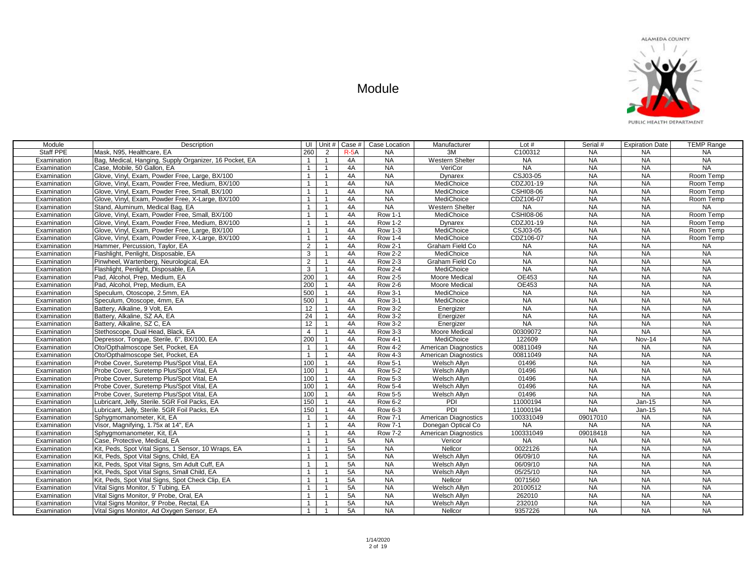

| Module      | Description                                            |                | UI Unit #      | Case # | Case Location  | Manufacturer                | Lot $#$          | Serial #  | <b>Expiration Date</b> | <b>TEMP Range</b> |
|-------------|--------------------------------------------------------|----------------|----------------|--------|----------------|-----------------------------|------------------|-----------|------------------------|-------------------|
| Staff PPE   | Mask, N95, Healthcare, EA                              | 260            | $\overline{2}$ | $R-5A$ | <b>NA</b>      | 3M                          | C100312          | <b>NA</b> | <b>NA</b>              | NA                |
| Examination | Bag, Medical, Hanging, Supply Organizer, 16 Pocket, EA | $\mathbf{1}$   | $\mathbf{1}$   | 4A     | <b>NA</b>      | <b>Western Shelter</b>      | <b>NA</b>        | NA        | $N_A$                  | NA                |
| Examination | Case, Mobile, 50 Gallon, EA                            | $\mathbf{1}$   | $\mathbf{1}$   | 4A     | <b>NA</b>      | VeriCor                     | NA               | NA        | NA                     | NA                |
| Examination | Glove, Vinyl, Exam, Powder Free, Large, BX/100         | $\mathbf{1}$   | $\mathbf{1}$   | 4A     | <b>NA</b>      | Dynarex                     | CSJ03-05         | <b>NA</b> | <b>NA</b>              | Room Temp         |
| Examination | Glove, Vinyl, Exam, Powder Free, Medium, BX/100        | $\overline{1}$ | $\mathbf{1}$   | 4A     | <b>NA</b>      | MediChoice                  | CDZJ01-19        | <b>NA</b> | <b>NA</b>              | Room Temp         |
| Examination | Glove, Vinyl, Exam, Powder Free, Small, BX/100         | $\mathbf{1}$   | $\mathbf{1}$   | 4A     | <b>NA</b>      | MediChoice                  | <b>CSHI08-06</b> | <b>NA</b> | <b>NA</b>              | Room Temp         |
| Examination | Glove, Vinyl, Exam, Powder Free, X-Large, BX/100       | $\overline{1}$ | $\overline{1}$ | 4A     | NA             | MediChoice                  | CDZ106-07        | NA        | NA                     | Room Temp         |
| Examination | Stand, Aluminum, Medical Bag, EA                       | $\overline{1}$ | $\mathbf{1}$   | 4A     | <b>NA</b>      | Western Shelter             | NA               | <b>NA</b> | <b>NA</b>              | <b>NA</b>         |
| Examination | Glove, Vinyl, Exam, Powder Free, Small, BX/100         | $\overline{1}$ | $\mathbf{1}$   | 4A     | <b>Row 1-1</b> | MediChoice                  | <b>CSHI08-06</b> | <b>NA</b> | <b>NA</b>              | Room Temp         |
| Examination | Glove, Vinyl, Exam, Powder Free, Medium, BX/100        | $\overline{1}$ | $\mathbf{1}$   | 4A     | <b>Row 1-2</b> | Dynarex                     | CDZJ01-19        | <b>NA</b> | <b>NA</b>              | Room Temp         |
| Examination | Glove, Vinyl, Exam, Powder Free, Large, BX/100         | $\mathbf{1}$   | $\mathbf{1}$   | 4A     | <b>Row 1-3</b> | MediChoice                  | CSJ03-05         | <b>NA</b> | <b>NA</b>              | Room Temp         |
| Examination | Glove, Vinyl, Exam, Powder Free, X-Large, BX/100       | $\overline{1}$ | $\mathbf{1}$   | 4A     | <b>Row 1-4</b> | MediChoice                  | CDZ106-07        | <b>NA</b> | <b>NA</b>              | Room Temp         |
| Examination | Hammer, Percussion, Taylor, EA                         | 2              | $\mathbf{1}$   | 4A     | <b>Row 2-1</b> | Graham Field Co             | <b>NA</b>        | <b>NA</b> | $N_A$                  | <b>NA</b>         |
| Examination | Flashlight, Penlight, Disposable, EA                   | $\mathbf{3}$   | $\mathbf{1}$   | 4A     | <b>Row 2-2</b> | MediChoice                  | <b>NA</b>        | <b>NA</b> | $N_A$                  | <b>NA</b>         |
| Examination | Pinwheel. Wartenberg. Neurological. EA                 | $\overline{2}$ | $\overline{1}$ | 4A     | <b>Row 2-3</b> | Graham Field Co             | <b>NA</b>        | <b>NA</b> | <b>NA</b>              | <b>NA</b>         |
| Examination | Flashlight, Penlight, Disposable, EA                   | $\mathbf{3}$   | $\mathbf{1}$   | 4A     | <b>Row 2-4</b> | MediChoice                  | <b>NA</b>        | <b>NA</b> | <b>NA</b>              | <b>NA</b>         |
| Examination | Pad, Alcohol, Prep, Medium, EA                         | 200            | $\mathbf{1}$   | 4A     | <b>Row 2-5</b> | Moore Medical               | OE453            | <b>NA</b> | <b>NA</b>              | <b>NA</b>         |
| Examination | Pad, Alcohol, Prep, Medium, EA                         | 200            | $\mathbf{1}$   | 4A     | <b>Row 2-6</b> | <b>Moore Medical</b>        | OE453            | NA        | <b>NA</b>              | <b>NA</b>         |
| Examination | Speculum, Otoscope, 2.5mm, EA                          | 500            | $\mathbf{1}$   | 4A     | <b>Row 3-1</b> | MediChoice                  | <b>NA</b>        | <b>NA</b> | NA                     | <b>NA</b>         |
| Examination | Speculum, Otoscope, 4mm, EA                            | 500            | $\mathbf{1}$   | 4A     | <b>Row 3-1</b> | MediChoice                  | <b>NA</b>        | <b>NA</b> | NA                     | NA                |
| Examination | Battery, Alkaline, 9 Volt, EA                          | 12             | $\mathbf{1}$   | 4A     | <b>Row 3-2</b> | Energizer                   | <b>NA</b>        | <b>NA</b> | <b>NA</b>              | <b>NA</b>         |
| Examination | Battery, Alkaline, SZ AA, EA                           | 24             | $\mathbf{1}$   | 4A     | <b>Row 3-2</b> | Energizer                   | <b>NA</b>        | <b>NA</b> | NA                     | <b>NA</b>         |
| Examination | Battery, Alkaline, SZ C, EA                            | 12             | $\mathbf{1}$   | 4A     | <b>Row 3-2</b> | Energizer                   | $N_A$            | <b>NA</b> | NA                     | NA                |
| Examination | Stethoscope, Dual Head, Black, EA                      | $\overline{4}$ | $\mathbf{1}$   | 4A     | <b>Row 3-3</b> | Moore Medical               | 00309072         | <b>NA</b> | <b>NA</b>              | <b>NA</b>         |
| Examination | Depressor, Tonque, Sterile, 6", BX/100, EA             | 200            | $\mathbf{1}$   | 4A     | <b>Row 4-1</b> | MediChoice                  | 122609           | <b>NA</b> | <b>Nov-14</b>          | <b>NA</b>         |
| Examination | Oto/Opthalmoscope Set, Pocket, EA                      | $\mathbf{1}$   | $\mathbf{1}$   | 4A     | <b>Row 4-2</b> | American Diagnostics        | 00811049         | <b>NA</b> | <b>NA</b>              | <b>NA</b>         |
| Examination | Oto/Opthalmoscope Set. Pocket. EA                      | $\mathbf{1}$   | $\mathbf{1}$   | 4A     | <b>Row 4-3</b> | <b>American Diagnostics</b> | 00811049         | <b>NA</b> | <b>NA</b>              | <b>NA</b>         |
| Examination | Probe Cover, Suretemp Plus/Spot Vital, EA              | 100            | $\mathbf{1}$   | 4A     | <b>Row 5-1</b> | Welsch Allyn                | 01496            | <b>NA</b> | <b>NA</b>              | <b>NA</b>         |
| Examination | Probe Cover, Suretemp Plus/Spot Vital, EA              | 100            | $\overline{1}$ | 4A     | <b>Row 5-2</b> | Welsch Allyn                | 01496            | <b>NA</b> | NA                     | <b>NA</b>         |
| Examination | Probe Cover, Suretemp Plus/Spot Vital, EA              | 100            | $\mathbf{1}$   | 4A     | <b>Row 5-3</b> | Welsch Allyn                | 01496            | NA        | NA                     | NA                |
| Examination | Probe Cover, Suretemp Plus/Spot Vital, EA              | 100            | $\mathbf{1}$   | 4A     | <b>Row 5-4</b> | Welsch Allvn                | 01496            | NA        | <b>NA</b>              | <b>NA</b>         |
| Examination | Probe Cover, Suretemp Plus/Spot Vital, EA              | 100            | $\mathbf{1}$   | 4A     | <b>Row 5-5</b> | Welsch Allyn                | 01496            | NA        | NA                     | <b>NA</b>         |
| Examination | Lubricant. Jelly. Sterile. 5GR Foil Packs. EA          | 150            | $\mathbf{1}$   | 4A     | <b>Row 6-2</b> | PDI                         | 11000194         | <b>NA</b> | $Jan-15$               | <b>NA</b>         |
| Examination | Lubricant, Jelly, Sterile. 5GR Foil Packs, EA          | 150            | $\mathbf{1}$   | 4A     | <b>Row 6-3</b> | PDI                         | 11000194         | <b>NA</b> | Jan-15                 | <b>NA</b>         |
| Examination | Sphygmomanometer, Kit, EA                              | $\overline{1}$ | $\overline{1}$ | 4A     | <b>Row 7-1</b> | American Diagnostics        | 100331049        | 09017010  | <b>NA</b>              | <b>NA</b>         |
| Examination | Visor, Magnifying, 1.75x at 14", EA                    | $\mathbf{1}$   | $\mathbf{1}$   | 4A     | <b>Row 7-1</b> | Donegan Optical Co          | <b>NA</b>        | <b>NA</b> | NA                     | NA                |
| Examination | Sphygmomanometer, Kit, EA                              | $\overline{1}$ | $\mathbf{1}$   | 4A     | <b>Row 7-2</b> | American Diagnostics        | 100331049        | 09018418  | <b>NA</b>              | <b>NA</b>         |
| Examination | Case. Protective. Medical. EA                          | $\mathbf{1}$   | $\mathbf{1}$   | 5A     | <b>NA</b>      | Vericor                     | <b>NA</b>        | <b>NA</b> | <b>NA</b>              | <b>NA</b>         |
| Examination | Kit, Peds, Spot Vital Signs, 1 Sensor, 10 Wraps, EA    | $\mathbf{1}$   | $\mathbf{1}$   | 5A     | <b>NA</b>      | Nellcor                     | 0022126          | <b>NA</b> | <b>NA</b>              | <b>NA</b>         |
| Examination | Kit, Peds, Spot Vital Signs, Child, EA                 | $\mathbf{1}$   | $\mathbf{1}$   | 5A     | <b>NA</b>      | Welsch Allyn                | 06/09/10         | <b>NA</b> | <b>NA</b>              | <b>NA</b>         |
| Examination | Kit, Peds, Spot Vital Signs, Sm Adult Cuff, EA         | $\overline{1}$ | $\mathbf{1}$   | 5A     | <b>NA</b>      | Welsch Allyn                | 06/09/10         | NA        | NA                     | <b>NA</b>         |
| Examination | Kit, Peds, Spot Vital Signs, Small Child, EA           | $\mathbf{1}$   | $\mathbf{1}$   | 5A     | NA             | Welsch Allyn                | 05/25/10         | <b>NA</b> | NA                     | <b>NA</b>         |
| Examination | Kit, Peds, Spot Vital Signs, Spot Check Clip, EA       | $\mathbf{1}$   | $\mathbf{1}$   | 5A     | <b>NA</b>      | Nellcor                     | 0071560          | NA        | NA                     | NA                |
| Examination | Vital Signs Monitor, 5' Tubing, EA                     | $\mathbf{1}$   | $\mathbf{1}$   | 5A     | <b>NA</b>      | Welsch Allvn                | 20100512         | <b>NA</b> | <b>NA</b>              | <b>NA</b>         |
| Examination | Vital Signs Monitor, 9' Probe, Oral, EA                | $\mathbf{1}$   | $\mathbf{1}$   | 5A     | <b>NA</b>      | Welsch Allvn                | 262010           | <b>NA</b> | <b>NA</b>              | <b>NA</b>         |
| Examination | Vital Signs Monitor, 9' Probe, Rectal, EA              | $\overline{1}$ | $\mathbf{1}$   | 5A     | <b>NA</b>      | Welsch Allyn                | 232010           | <b>NA</b> | <b>NA</b>              | <b>NA</b>         |
| Examination | Vital Signs Monitor, Ad Oxygen Sensor, EA              | $\overline{1}$ | $\mathbf{1}$   | 5A     | <b>NA</b>      | Nellcor                     | 9357226          | <b>NA</b> | <b>NA</b>              | <b>NA</b>         |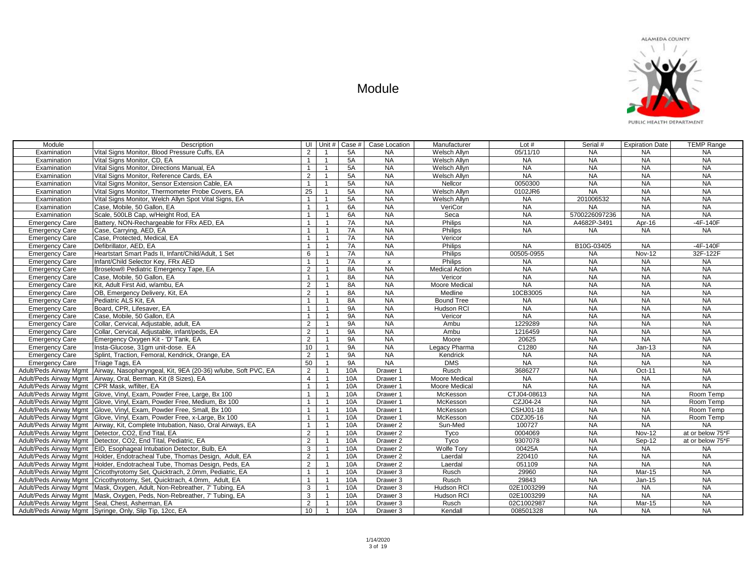| Module                                        | Description                                                                            |                 | UI Unit #      | Case # I  | Case Location             | Manufacturer          | Lot $#$     | Serial #      | <b>Expiration Date</b> | <b>TEMP Range</b> |
|-----------------------------------------------|----------------------------------------------------------------------------------------|-----------------|----------------|-----------|---------------------------|-----------------------|-------------|---------------|------------------------|-------------------|
| Examination                                   | Vital Signs Monitor, Blood Pressure Cuffs, EA                                          | 2               | $\overline{1}$ | 5A        | <b>NA</b>                 | Welsch Allvn          | 05/11/10    | <b>NA</b>     | <b>NA</b>              | <b>NA</b>         |
| Examination                                   | Vital Signs Monitor, CD, EA                                                            | $\overline{1}$  | $\overline{1}$ | 5A        | <b>NA</b>                 | Welsch Allyn          | <b>NA</b>   | <b>NA</b>     | <b>NA</b>              | <b>NA</b>         |
| Examination                                   | Vital Signs Monitor, Directions Manual, EA                                             | $\overline{1}$  | $\overline{1}$ | 5A        | <b>NA</b>                 | Welsch Allvn          | <b>NA</b>   | <b>NA</b>     | <b>NA</b>              | <b>NA</b>         |
| Examination                                   | Vital Signs Monitor, Reference Cards, EA                                               | 2               | $\overline{1}$ | 5A        | <b>NA</b>                 | Welsch Allyn          | <b>NA</b>   | <b>NA</b>     | <b>NA</b>              | <b>NA</b>         |
| Examination                                   | Vital Signs Monitor, Sensor Extension Cable, EA                                        | $\overline{1}$  | $\overline{1}$ | 5A        | <b>NA</b>                 | Nellcor               | 0050300     | <b>NA</b>     | <b>NA</b>              | <b>NA</b>         |
| Examination                                   | Vital Signs Monitor, Thermometer Probe Covers, EA                                      | 25              | $\overline{1}$ | 5A        | $N_A$                     | Welsch Allvn          | 0102JR6     | <b>NA</b>     | <b>NA</b>              | <b>NA</b>         |
| Examination                                   | Vital Signs Monitor, Welch Allyn Spot Vital Signs, EA                                  | $\mathbf{1}$    | $\overline{1}$ | 5A        | <b>NA</b>                 | Welsch Allyn          | <b>NA</b>   | 201006532     | <b>NA</b>              | <b>NA</b>         |
| Examination                                   | Case, Mobile, 50 Gallon, EA                                                            | $\overline{1}$  | $\mathbf{1}$   | 6A        | <b>NA</b>                 | VeriCor               | <b>NA</b>   | <b>NA</b>     | <b>NA</b>              | <b>NA</b>         |
| Examination                                   | Scale, 500LB Cap, w/Height Rod, EA                                                     | $\mathbf{1}$    | $\overline{1}$ | 6A        | <b>NA</b>                 | Seca                  | <b>NA</b>   | 5700226097236 | <b>NA</b>              | <b>NA</b>         |
| <b>Emergency Care</b>                         | Battery, NON-Rechargeable for FRx AED, EA                                              | $\mathbf{1}$    | $\overline{1}$ | 7A        | <b>NA</b>                 | Philips               | <b>NA</b>   | A4682P-3491   | Apr-16                 | $-4F-140F$        |
| <b>Emergency Care</b>                         | Case, Carrying, AED, EA                                                                | $\overline{1}$  | $\mathbf{1}$   | 7A        | <b>NA</b>                 | Philips               | <b>NA</b>   | <b>NA</b>     | <b>NA</b>              | <b>NA</b>         |
| <b>Emergency Care</b>                         | Case, Protected, Medical, EA                                                           | $\mathbf{1}$    | $\mathbf{1}$   | 7A        | <b>NA</b>                 | Vericor               |             |               |                        |                   |
| <b>Emergency Care</b>                         | Defibrillator, AED, EA                                                                 | $\overline{1}$  | $\mathbf{1}$   | 7A        | $N_A$                     | Philips               | <b>NA</b>   | B10G-03405    | <b>NA</b>              | $-4F-140F$        |
| <b>Emergency Care</b>                         | Heartstart Smart Pads II. Infant/Child/Adult. 1 Set                                    | 6               | $\overline{1}$ | 7A        | $N_A$                     | Philips               | 00505-0955  | <b>NA</b>     | $Nov-12$               | 32F-122F          |
| <b>Emergency Care</b>                         | Infant/Child Selector Key, FRx AED                                                     | $\overline{1}$  |                | 7A        | $\boldsymbol{\mathsf{x}}$ | Philips               | <b>NA</b>   | <b>NA</b>     | <b>NA</b>              | <b>NA</b>         |
| <b>Emergency Care</b>                         | Broselow® Pediatric Emergency Tape, EA                                                 | 2               |                | 8A        | <b>NA</b>                 | <b>Medical Action</b> | <b>NA</b>   | <b>NA</b>     | <b>NA</b>              | <b>NA</b>         |
| <b>Emergency Care</b>                         | Case, Mobile, 50 Gallon, EA                                                            | $\mathbf{1}$    | $\overline{1}$ | 8A        | <b>NA</b>                 | Vericor               | <b>NA</b>   | <b>NA</b>     | <b>NA</b>              | <b>NA</b>         |
| <b>Emergency Care</b>                         | Kit, Adult First Aid, w/ambu, EA                                                       | $\overline{2}$  |                | 8A        | <b>NA</b>                 | Moore Medical         | <b>NA</b>   | <b>NA</b>     | <b>NA</b>              | <b>NA</b>         |
| <b>Emergency Care</b>                         | OB. Emergency Delivery, Kit. EA                                                        | $\overline{2}$  |                | 8A        | $N_A$                     | Medline               | 10CB3005    | <b>NA</b>     | <b>NA</b>              | <b>NA</b>         |
| <b>Emergency Care</b>                         | Pediatric ALS Kit, EA                                                                  | $\overline{1}$  | $\mathbf{1}$   | 8A        | <b>NA</b>                 | <b>Bound Tree</b>     | <b>NA</b>   | <b>NA</b>     | <b>NA</b>              | <b>NA</b>         |
| <b>Emergency Care</b>                         | Board, CPR, Lifesaver, EA                                                              | $\overline{1}$  | $\overline{1}$ | <b>9A</b> | <b>NA</b>                 | <b>Hudson RCI</b>     | NA          | <b>NA</b>     | <b>NA</b>              | <b>NA</b>         |
| <b>Emergency Care</b>                         | Case, Mobile, 50 Gallon, EA                                                            | $\overline{1}$  | $\overline{1}$ | <b>9A</b> | <b>NA</b>                 | Vericor               | <b>NA</b>   | <b>NA</b>     | <b>NA</b>              | <b>NA</b>         |
| <b>Emergency Care</b>                         | Collar, Cervical, Adjustable, adult, EA                                                | $\overline{2}$  | $\mathbf{1}$   | <b>9A</b> | <b>NA</b>                 | Ambu                  | 1229289     | <b>NA</b>     | <b>NA</b>              | <b>NA</b>         |
| <b>Emergency Care</b>                         | Collar, Cervical, Adjustable, infant/peds, EA                                          | 2               | $\overline{1}$ | <b>9A</b> | <b>NA</b>                 | Ambu                  | 1216459     | <b>NA</b>     | NA                     | <b>NA</b>         |
| <b>Emergency Care</b>                         | Emergency Oxygen Kit - 'D' Tank, EA                                                    | $\overline{2}$  | $\mathbf{1}$   | <b>9A</b> | <b>NA</b>                 | Moore                 | 20625       | <b>NA</b>     | <b>NA</b>              | <b>NA</b>         |
| <b>Emergency Care</b>                         | Insta-Glucose, 31gm unit-dose. EA                                                      | 10 <sup>1</sup> | $\mathbf{1}$   | <b>9A</b> | <b>NA</b>                 | Legacy Pharma         | C1280       | <b>NA</b>     | $Jan-13$               | <b>NA</b>         |
| <b>Emergency Care</b>                         | Splint, Traction, Femoral, Kendrick, Orange, EA                                        | 2               | $\mathbf{1}$   | <b>9A</b> | <b>NA</b>                 | Kendrick              | <b>NA</b>   | <b>NA</b>     | <b>NA</b>              | <b>NA</b>         |
| <b>Emergency Care</b>                         | Triage Tags, EA                                                                        | 50              | $\overline{1}$ | <b>9A</b> | <b>NA</b>                 | <b>DMS</b>            | <b>NA</b>   | <b>NA</b>     | <b>NA</b>              | <b>NA</b>         |
|                                               | Adult/Peds Airway Mgmt   Airway, Nasopharyngeal, Kit, 9EA (20-36) w/lube, Soft PVC, EA | $\overline{2}$  | $\mathbf{1}$   | 10A       | Drawer 1                  | Rusch                 | 3686277     | <b>NA</b>     | Oct-11                 | <b>NA</b>         |
|                                               | Adult/Peds Airway Mgmt   Airway, Oral, Berman, Kit (8 Sizes), EA                       | $\overline{4}$  | $\overline{1}$ | 10A       | Drawer 1                  | Moore Medical         | <b>NA</b>   | <b>NA</b>     | <b>NA</b>              | <b>NA</b>         |
| Adult/Peds Airway Mgmt CPR Mask, w/filter, EA |                                                                                        | $\mathbf{1}$    | $\mathbf{1}$   | 10A       | Drawer 1                  | Moore Medical         | <b>NA</b>   | <b>NA</b>     | <b>NA</b>              | <b>NA</b>         |
|                                               | Adult/Peds Airway Mgmt Glove, Vinyl, Exam, Powder Free, Large, Bx 100                  | $\overline{1}$  | $\mathbf{1}$   | 10A       | Drawer 1                  | McKesson              | CTJ04-08613 | <b>NA</b>     | <b>NA</b>              | Room Temp         |
|                                               | Adult/Peds Airway Mgmt Glove, Vinyl, Exam, Powder Free, Medium, Bx 100                 | $\overline{1}$  | $\overline{1}$ | 10A       | Drawer 1                  | McKesson              | CZJ04-24    | <b>NA</b>     | <b>NA</b>              | Room Temp         |
|                                               | Adult/Peds Airway Mgmt   Glove, Vinyl, Exam, Powder Free, Small, Bx 100                | $\overline{1}$  | $\mathbf{1}$   | 10A       | Drawer 1                  | McKesson              | CSHJ01-18   | <b>NA</b>     | <b>NA</b>              | Room Temp         |
|                                               | Adult/Peds Airway Mgmt Glove, Vinyl, Exam, Powder Free, x-Large, Bx 100                | $\mathbf{1}$    | $\overline{1}$ | 10A       | Drawer 1                  | McKesson              | CDZJ05-16   | <b>NA</b>     | <b>NA</b>              | Room Temp         |
|                                               | Adult/Peds Airway Mgmt   Airway, Kit, Complete Intubation, Naso, Oral Airways, EA      | $\overline{1}$  |                | 10A       | Drawer <sub>2</sub>       | Sun-Med               | 100727      | <b>NA</b>     | <b>NA</b>              | <b>NA</b>         |
|                                               | Adult/Peds Airway Mgmt   Detector, CO2, End Tital, EA                                  | 2               |                | 10A       | Drawer <sub>2</sub>       | Tyco                  | 0004069     | <b>NA</b>     | <b>Nov-12</b>          | at or below 75*F  |
|                                               | Adult/Peds Airway Mgmt   Detector, CO2, End Tital, Pediatric, EA                       | 2               | $\mathbf{1}$   | 10A       | Drawer <sub>2</sub>       | Tyco                  | 9307078     | <b>NA</b>     | Sep-12                 | at or below 75*F  |
|                                               | Adult/Peds Airway Mgmt   EID, Esophageal Intubation Detector, Bulb, EA                 | 3               |                | 10A       | Drawer <sub>2</sub>       | Wolfe Tory            | 00425A      | <b>NA</b>     | <b>NA</b>              | <b>NA</b>         |
|                                               | Adult/Peds Airway Mamt Holder, Endotracheal Tube, Thomas Design, Adult, EA             | $\overline{2}$  | $\overline{1}$ | 10A       | Drawer <sub>2</sub>       | Laerdal               | 220410      | <b>NA</b>     | <b>NA</b>              | <b>NA</b>         |
|                                               | Adult/Peds Airway Mgmt   Holder, Endotracheal Tube, Thomas Design, Peds, EA            | 2               | $\mathbf{1}$   | 10A       | Drawer <sub>2</sub>       | Laerdal               | 051109      | <b>NA</b>     | <b>NA</b>              | <b>NA</b>         |
|                                               | Adult/Peds Airway Mgmt   Cricothyrotomy Set, Quicktrach, 2.0mm, Pediatric, EA          | $\overline{1}$  | $\mathbf{1}$   | 10A       | Drawer 3                  | Rusch                 | 29960       | <b>NA</b>     | Mar-15                 | <b>NA</b>         |
|                                               | Adult/Peds Airway Mgmt   Cricothyrotomy, Set, Quicktrach, 4.0mm, Adult, EA             | $\overline{1}$  | $\mathbf{1}$   | 10A       | Drawer 3                  | Rusch                 | 29843       | <b>NA</b>     | $Jan-15$               | <b>NA</b>         |
|                                               | Adult/Peds Airway Mgmt   Mask, Oxygen, Adult, Non-Rebreather, 7' Tubing, EA            | 3               | $\mathbf{1}$   | 10A       | Drawer 3                  | Hudson RCI            | 02E1003299  | <b>NA</b>     | <b>NA</b>              | <b>NA</b>         |
|                                               | Adult/Peds Airway Mgmt   Mask, Oxygen, Peds, Non-Rebreather, 7' Tubing, EA             | 3               | $\overline{1}$ | 10A       | Drawer 3                  | Hudson RCI            | 02E1003299  | <b>NA</b>     | <b>NA</b>              | <b>NA</b>         |
|                                               | Adult/Peds Airway Mgmt Seal, Chest, Asherman, EA                                       | $\overline{2}$  |                | 10A       | Drawer 3                  | Rusch                 | 02C1002987  | <b>NA</b>     | Mar-15                 | <b>NA</b>         |
|                                               | Adult/Peds Airway Mgmt Syringe, Only, Slip Tip, 12cc, EA                               | 10 <sup>1</sup> | $\overline{1}$ | 10A       | Drawer 3                  | Kendall               | 008501328   | <b>NA</b>     | <b>NA</b>              | <b>NA</b>         |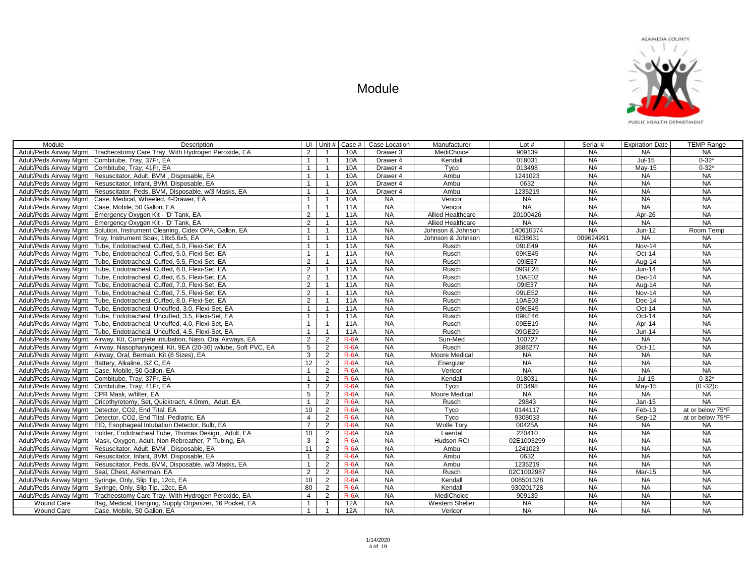

| Module                                        | Description                                                                            |                  | UI Unit #      | Case #     | Case Location       | Manufacturer             | Lot $#$    | Serial #  | <b>Expiration Date</b> | <b>TEMP Range</b> |
|-----------------------------------------------|----------------------------------------------------------------------------------------|------------------|----------------|------------|---------------------|--------------------------|------------|-----------|------------------------|-------------------|
|                                               | Adult/Peds Airway Mgmt   Tracheostomy Care Tray, With Hydrogen Peroxide, EA            | 2                |                | 10A        | Drawer 3            | MediChoice               | 909139     | <b>NA</b> | NA                     | <b>NA</b>         |
|                                               | Adult/Peds Airway Mgmt   Combitube, Tray, 37Fr, EA                                     | $\mathbf{1}$     | $\overline{1}$ | 10A        | Drawer 4            | Kendall                  | 018031     | <b>NA</b> | $Jul-15$               | $0 - 32*$         |
|                                               | Adult/Peds Airway Mamt Combitube, Tray, 41Fr, EA                                       | $\mathbf{1}$     | $\overline{1}$ | 10A        | Drawer 4            | Tyco                     | 013498     | <b>NA</b> | May-15                 | $0 - 32*$         |
|                                               | Adult/Peds Airway Mgmt   Resuscitator, Adult, BVM, Disposable, EA                      | $\mathbf{1}$     | $\mathbf{1}$   | 10A        | Drawer 4            | Ambu                     | 1241023    | <b>NA</b> | NA                     | <b>NA</b>         |
|                                               | Adult/Peds Airway Mgmt   Resuscitator, Infant, BVM, Disposable, EA                     | $\mathbf{1}$     | $\overline{1}$ | 10A        | Drawer <sub>4</sub> | Ambu                     | 0632       | <b>NA</b> | <b>NA</b>              | <b>NA</b>         |
|                                               | Adult/Peds Airway Mgmt Resuscitator, Peds, BVM, Disposable, w/3 Masks, EA              | $\mathbf{1}$     | $\overline{1}$ | <b>10A</b> | Drawer <sub>4</sub> | Ambu                     | 1235219    | <b>NA</b> | <b>NA</b>              | <b>NA</b>         |
|                                               | Adult/Peds Airway Mamt   Case, Medical, Wheeled, 4-Drawer, EA                          | $\mathbf{1}$     | $\mathbf{1}$   | 10A        | <b>NA</b>           | Vericor                  | <b>NA</b>  | <b>NA</b> | <b>NA</b>              | <b>NA</b>         |
|                                               | Adult/Peds Airway Mgmt   Case, Mobile, 50 Gallon, EA                                   | $\mathbf{1}$     | $\mathbf{1}$   | 11A        | <b>NA</b>           | Vericor                  | <b>NA</b>  | <b>NA</b> | <b>NA</b>              | <b>NA</b>         |
|                                               | Adult/Peds Airway Mgmt Emergency Oxygen Kit - 'D' Tank, EA                             | 2                | $\mathbf{1}$   | 11A        | <b>NA</b>           | <b>Allied Healthcare</b> | 20100426   | <b>NA</b> | Apr-26                 | <b>NA</b>         |
|                                               | Adult/Peds Airway Mgmt Emergency Oxygen Kit - 'D' Tank, EA                             | 2                | $\mathbf{1}$   | <b>11A</b> | <b>NA</b>           | <b>Allied Healthcare</b> | <b>NA</b>  | <b>NA</b> | <b>NA</b>              | <b>NA</b>         |
|                                               | Adult/Peds Airway Mgmt   Solution, Instrument Cleaning, Cidex OPA, Gallon, EA          | $\overline{1}$   | $\overline{1}$ | 11A        | <b>NA</b>           | Johnson & Johnson        | 140610374  | <b>NA</b> | $Jun-12$               | Room Temp         |
|                                               | Adult/Peds Airway Mgmt   Tray, Instrument Soak, 18x5.6x5, EA                           | $\mathbf{1}$     | $\overline{1}$ | 11A        | <b>NA</b>           | Johnson & Johnson        | 6238631    | 009624991 | <b>NA</b>              | <b>NA</b>         |
|                                               | Adult/Peds Airway Mgmt   Tube, Endotracheal, Cuffed, 5.0, Flexi-Set, EA                | $\mathbf{1}$     | $\overline{1}$ | <b>11A</b> | <b>NA</b>           | Rusch                    | 09LE49     | <b>NA</b> | <b>Nov-14</b>          | <b>NA</b>         |
|                                               | Adult/Peds Airway Mgmt   Tube, Endotracheal, Cuffed, 5.0, Flexi-Set, EA                | $\mathbf{1}$     | $\mathbf{1}$   | <b>11A</b> | <b>NA</b>           | Rusch                    | 09KE45     | <b>NA</b> | $Oct-14$               | <b>NA</b>         |
|                                               | Adult/Peds Airway Mgmt   Tube, Endotracheal, Cuffed, 5.5, Flexi-Set, EA                | $\overline{2}$   | $\overline{1}$ | <b>11A</b> | <b>NA</b>           | Rusch                    | 09IE37     | <b>NA</b> | Aug-14                 | <b>NA</b>         |
|                                               | Adult/Peds Airway Mgmt Tube, Endotracheal, Cuffed, 6.0, Flexi-Set, EA                  | 2                | $\overline{1}$ | <b>11A</b> | <b>NA</b>           | Rusch                    | 09GE28     | <b>NA</b> | $Jun-14$               | <b>NA</b>         |
|                                               | Adult/Peds Airway Mgmt   Tube, Endotracheal, Cuffed, 6.5, Flexi-Set, EA                | 2                | $\mathbf{1}$   | <b>11A</b> | <b>NA</b>           | Rusch                    | 10AE02     | <b>NA</b> | Dec-14                 | <b>NA</b>         |
|                                               | Adult/Peds Airway Mamt Tube. Endotracheal. Cuffed. 7.0. Flexi-Set. EA                  | 2                | $\mathbf{1}$   | <b>11A</b> | <b>NA</b>           | Rusch                    | 09IE37     | <b>NA</b> | Aug-14                 | <b>NA</b>         |
|                                               | Adult/Peds Airway Mgmt   Tube, Endotracheal, Cuffed, 7.5, Flexi-Set, EA                | 2                | $\overline{1}$ | <b>11A</b> | <b>NA</b>           | Rusch                    | 09LE52     | <b>NA</b> | <b>Nov-14</b>          | <b>NA</b>         |
|                                               | Adult/Peds Airway Mgmt   Tube, Endotracheal, Cuffed, 8.0, Flexi-Set, EA                | 2                | $\overline{1}$ | <b>11A</b> | <b>NA</b>           | Rusch                    | 10AE03     | <b>NA</b> | Dec-14                 | <b>NA</b>         |
|                                               | Adult/Peds Airway Mgmt   Tube, Endotracheal, Uncuffed, 3.0, Flexi-Set, EA              | $\overline{1}$   | $\overline{1}$ | <b>11A</b> | <b>NA</b>           | Rusch                    | 09KE45     | <b>NA</b> | $Oct-14$               | <b>NA</b>         |
|                                               | Adult/Peds Airway Mgmt   Tube, Endotracheal, Uncuffed, 3.5, Flexi-Set, EA              | $\overline{1}$   | $\overline{1}$ | <b>11A</b> | <b>NA</b>           | Rusch                    | 09KE46     | <b>NA</b> | Oct-14                 | <b>NA</b>         |
|                                               | Adult/Peds Airway Mgmt   Tube, Endotracheal, Uncuffed, 4.0, Flexi-Set, EA              | $\mathbf{1}$     | $\overline{1}$ | <b>11A</b> | <b>NA</b>           | Rusch                    | 09EE19     | <b>NA</b> | Apr-14                 | <b>NA</b>         |
|                                               | Adult/Peds Airway Mgmt Tube, Endotracheal, Uncuffed, 4.5, Flexi-Set, EA                | $\overline{1}$   | $\mathbf{1}$   | <b>11A</b> | NA                  | Rusch                    | 09GE29     | NA        | Jun-14                 | NA                |
|                                               | Adult/Peds Airway Mgmt   Airway, Kit, Complete Intubation, Naso, Oral Airways, EA      | $\overline{2}$   | $\overline{2}$ | $R-6A$     | <b>NA</b>           | Sun-Med                  | 100727     | <b>NA</b> | <b>NA</b>              | <b>NA</b>         |
|                                               | Adult/Peds Airway Mgmt   Airway, Nasopharyngeal, Kit, 9EA (20-36) w/lube, Soft PVC, EA | 5                | 2              | $R-6A$     | <b>NA</b>           | Rusch                    | 3686277    | <b>NA</b> | Oct-11                 | <b>NA</b>         |
|                                               | Adult/Peds Airway Mgmt   Airway, Oral, Berman, Kit (8 Sizes), EA                       | $\mathbf{3}$     | 2              | $R-6A$     | <b>NA</b>           | Moore Medical            | <b>NA</b>  | <b>NA</b> | <b>NA</b>              | <b>NA</b>         |
|                                               | Adult/Peds Airway Mgmt   Battery, Alkaline, SZ C, EA                                   | 12               | 2              | $R-6A$     | NA                  | Energizer                | <b>NA</b>  | NA        | NA                     | NA                |
|                                               | Adult/Peds Airway Mgmt Case, Mobile, 50 Gallon, EA                                     | $\mathbf{1}$     | 2              | $R-6A$     | <b>NA</b>           | Vericor                  | <b>NA</b>  | <b>NA</b> | <b>NA</b>              | <b>NA</b>         |
|                                               | Adult/Peds Airway Mgmt Combitube, Tray, 37Fr, EA                                       | $\mathbf{1}$     | 2              | $R-6A$     | <b>NA</b>           | Kendall                  | 018031     | <b>NA</b> | Jul-15                 | $0 - 32*$         |
|                                               | Adult/Peds Airway Mgmt   Combitube, Tray, 41Fr, EA                                     | $\mathbf{1}$     | 2              | $R-6A$     | <b>NA</b>           | Tyco                     | 013498     | <b>NA</b> | May-15                 | $(0 - 32)c$       |
| Adult/Peds Airway Mgmt CPR Mask, w/filter, EA |                                                                                        | 5 <sub>5</sub>   | 2              | $R-6A$     | NA                  | Moore Medical            | NA         | NA        | <b>NA</b>              | NA                |
|                                               | Adult/Peds Airway Mgmt   Cricothyrotomy, Set, Quicktrach, 4.0mm, Adult, EA             | $\mathbf{1}$     | 2              | $R-6A$     | <b>NA</b>           | Rusch                    | 29843      | <b>NA</b> | $Jan-15$               | NA                |
|                                               | Adult/Peds Airway Mgmt   Detector, CO2, End Tital, EA                                  | 10 <sup>1</sup>  | 2              | $R-6A$     | <b>NA</b>           | Tyco                     | 0144117    | <b>NA</b> | Feb-13                 | at or below 75*F  |
|                                               | Adult/Peds Airway Mgmt   Detector, CO2, End Tital, Pediatric, EA                       | $\overline{4}$   | 2              | $R-6A$     | <b>NA</b>           | Tyco                     | 9308033    | <b>NA</b> | Sep-12                 | at or below 75*F  |
|                                               | Adult/Peds Airway Mgmt   EID, Esophageal Intubation Detector, Bulb, EA                 | $\overline{7}$   | 2              | $R-6A$     | <b>NA</b>           | Wolfe Tory               | 00425A     | <b>NA</b> | <b>NA</b>              | <b>NA</b>         |
|                                               | Adult/Peds Airway Mgmt Holder, Endotracheal Tube, Thomas Design, Adult, EA             | 10 <sup>10</sup> | 2              | $R-6A$     | NA                  | Laerdal                  | 220410     | NA        | NA                     | NA                |
|                                               | Adult/Peds Airway Mgmt   Mask, Oxygen, Adult, Non-Rebreather, 7' Tubing, EA            | $\overline{3}$   | 2              | $R-6A$     | <b>NA</b>           | <b>Hudson RCI</b>        | 02E1003299 | <b>NA</b> | <b>NA</b>              | <b>NA</b>         |
|                                               | Adult/Peds Airway Mgmt Resuscitator, Adult, BVM, Disposable, EA                        | 11               | 2              | $R-6A$     | <b>NA</b>           | Ambu                     | 1241023    | <b>NA</b> | <b>NA</b>              | <b>NA</b>         |
|                                               | Adult/Peds Airway Mgmt Resuscitator, Infant, BVM, Disposable, EA                       | $\mathbf{1}$     | 2              | $R-6A$     | <b>NA</b>           | Ambu                     | 0632       | <b>NA</b> | <b>NA</b>              | <b>NA</b>         |
|                                               | Adult/Peds Airway Mgmt Resuscitator, Peds, BVM, Disposable, w/3 Masks, EA              | $\overline{1}$   | 2              | $R-6A$     | <b>NA</b>           | Ambu                     | 1235219    | <b>NA</b> | NA                     | NA                |
|                                               | Adult/Peds Airway Mgmt Seal, Chest, Asherman, EA                                       | $\overline{2}$   | 2              | $R-6A$     | <b>NA</b>           | Rusch                    | 02C1002987 | <b>NA</b> | Mar-15                 | <b>NA</b>         |
|                                               | Adult/Peds Airway Mgmt Syringe, Only, Slip Tip, 12cc, EA                               | 10               | 2              | $R-6A$     | <b>NA</b>           | Kendall                  | 008501328  | <b>NA</b> | <b>NA</b>              | <b>NA</b>         |
|                                               | Adult/Peds Airway Mgmt Syringe, Only, Slip Tip, 12cc, EA                               | 80               | 2              | $R-6A$     | <b>NA</b>           | Kendall                  | 930201728  | <b>NA</b> | <b>NA</b>              | <b>NA</b>         |
|                                               | Adult/Peds Airway Mgmt   Tracheostomy Care Tray, With Hydrogen Peroxide, EA            | $\overline{4}$   | 2              | $R-6A$     | NA                  | MediChoice               | 909139     | <b>NA</b> | <b>NA</b>              | NA                |
| <b>Wound Care</b>                             | Bag, Medical, Hanging, Supply Organizer, 16 Pocket, EA                                 | $\overline{1}$   | $\overline{1}$ | 12A        | <b>NA</b>           | <b>Western Shelter</b>   | <b>NA</b>  | <b>NA</b> | <b>NA</b>              | <b>NA</b>         |
| Wound Care                                    | Case, Mobile, 50 Gallon, EA                                                            | $\overline{1}$   | $\overline{1}$ | 12A        | <b>NA</b>           | Vericor                  | <b>NA</b>  | <b>NA</b> | <b>NA</b>              | <b>NA</b>         |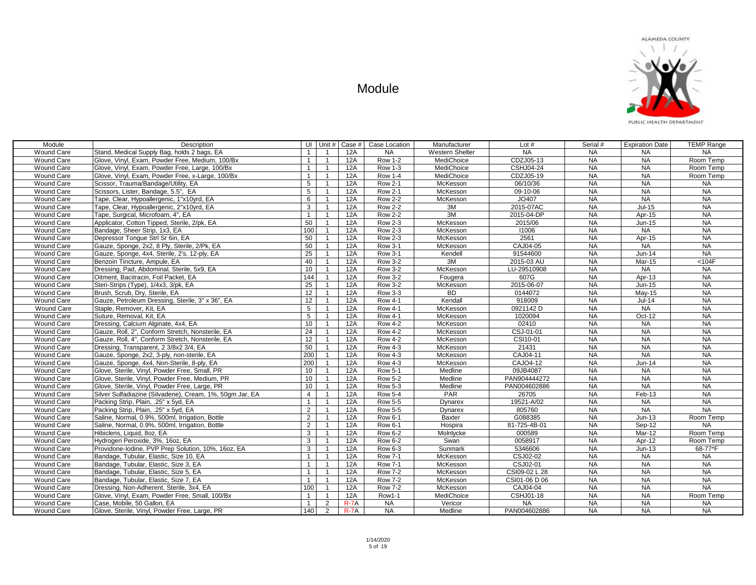

| Module            | Description                                              |                 |                |        | UI Unit #   Case #   Case Location | Manufacturer    | Lot $#$          | Serial #  | <b>Expiration Date</b> | <b>TEMP Range</b> |
|-------------------|----------------------------------------------------------|-----------------|----------------|--------|------------------------------------|-----------------|------------------|-----------|------------------------|-------------------|
| <b>Wound Care</b> | Stand, Medical Supply Bag, holds 2 bags, EA              | $\overline{1}$  | $\overline{1}$ | 12A    | <b>NA</b>                          | Western Shelter | <b>NA</b>        | <b>NA</b> | <b>NA</b>              | <b>NA</b>         |
| Wound Care        | Glove, Vinyl, Exam, Powder Free, Medium, 100/Bx          | $\overline{1}$  | $\overline{1}$ | 12A    | <b>Row 1-2</b>                     | MediChoice      | CDZJ05-13        | <b>NA</b> | <b>NA</b>              | Room Temp         |
| Wound Care        | Glove, Vinyl, Exam, Powder Free, Large, 100/Bx           | $\overline{1}$  | $\overline{1}$ | 12A    | <b>Row 1-3</b>                     | MediChoice      | <b>CSHJ04-24</b> | <b>NA</b> | <b>NA</b>              | Room Temp         |
| <b>Wound Care</b> | Glove, Vinyl, Exam, Powder Free, x-Large, 100/Bx         | $\mathbf{1}$    | $\overline{1}$ | 12A    | <b>Row 1-4</b>                     | MediChoice      | CDZJ05-19        | <b>NA</b> | <b>NA</b>              | Room Temp         |
| Wound Care        | Scissor, Trauma/Bandage/Utility, EA                      | $5\phantom{.0}$ | $\overline{1}$ | 12A    | <b>Row 2-1</b>                     | McKesson        | 06/10/36         | <b>NA</b> | NA                     | NA                |
| Wound Care        | Scissors, Lister, Bandage, 5.5", EA                      | 5               | $\overline{1}$ | 12A    | <b>Row 2-1</b>                     | McKesson        | 09-10-06         | <b>NA</b> | <b>NA</b>              | NA                |
| Wound Care        | Tape, Clear, Hypoallergenic, 1"x10yrd, EA                | 6               | $\overline{1}$ | 12A    | <b>Row 2-2</b>                     | McKesson        | JO407            | <b>NA</b> | <b>NA</b>              | NA                |
| <b>Wound Care</b> | Tape, Clear, Hypoallergenic, 2"x10yrd, EA                | 3               | $\overline{1}$ | 12A    | <b>Row 2-2</b>                     | 3M              | 2015-07AC        | <b>NA</b> | $Jul-15$               | <b>NA</b>         |
| Wound Care        | Tape, Surgical, Microfoam, 4", EA                        | $\mathbf{1}$    | $\overline{1}$ | 12A    | <b>Row 2-2</b>                     | 3M              | 2015-04-DP       | <b>NA</b> | Apr-15                 | <b>NA</b>         |
| <b>Wound Care</b> | Applicator, Cotton Tipped, Sterile, 2/pk, EA             | 50              | $\overline{1}$ | 12A    | <b>Row 2-3</b>                     | McKesson        | 2015/06          | <b>NA</b> | Jun-15                 | <b>NA</b>         |
| Wound Care        | Bandage, Sheer Strip, 1x3, EA                            | 100             | $\overline{1}$ | 12A    | <b>Row 2-3</b>                     | McKesson        | 11006            | <b>NA</b> | <b>NA</b>              | NA                |
| <b>Wound Care</b> | Depressor Tongue Strl Sr 6in, EA                         | 50              | $\overline{1}$ | 12A    | <b>Row 2-3</b>                     | McKesson        | 2561             | <b>NA</b> | Apr-15                 | NA                |
| Wound Care        | Gauze, Sponge, 2x2, 8 Ply, Sterile, 2/Pk, EA             | 50              | $\overline{1}$ | 12A    | <b>Row 3-1</b>                     | McKesson        | CAJ04-05         | <b>NA</b> | NA                     | <b>NA</b>         |
| Wound Care        | Gauze, Sponge, 4x4, Sterile, 2's, 12-ply, EA             | $\overline{25}$ | $\overline{1}$ | 12A    | <b>Row 3-1</b>                     | Kendell         | 91544600         | <b>NA</b> | Jun-14                 | NA                |
| Wound Care        | Benzoin Tincture, Ampule, EA                             | 40              | $\overline{1}$ | 12A    | <b>Row 3-2</b>                     | 3M              | 2015-03 AU       | <b>NA</b> | Mar-15                 | $104F$            |
| <b>Wound Care</b> | Dressing, Pad, Abdominal, Sterile, 5x9, EA               | 10              | $\overline{1}$ | 12A    | <b>Row 3-2</b>                     | <b>McKesson</b> | LU-29510908      | <b>NA</b> | <b>NA</b>              | NA                |
| Wound Care        | Oitment, Bacitracin, Foil Packet, EA                     | 144             | $\overline{1}$ | 12A    | <b>Row 3-2</b>                     | Fougera         | 607G             | <b>NA</b> | Apr-13                 | <b>NA</b>         |
| Wound Care        | Steri-Strips (Type), 1/4x3, 3/pk, EA                     | 25              | $\overline{1}$ | 12A    | <b>Row 3-2</b>                     | McKesson        | 2015-06-07       | <b>NA</b> | $Jun-15$               | <b>NA</b>         |
| Wound Care        | Brush, Scrub, Dry, Sterile, EA                           | 12              | $\overline{1}$ | 12A    | <b>Row 3-3</b>                     | BD              | 0144072          | <b>NA</b> | May-15                 | <b>NA</b>         |
| Wound Care        | Gauze, Petroleum Dressing, Sterile, 3" x 36", EA         | 12              | $\overline{1}$ | 12A    | <b>Row 4-1</b>                     | Kendall         | 918009           | <b>NA</b> | $Jul-14$               | NA                |
| Wound Care        | Staple, Remover, Kit, EA                                 | $5\phantom{.0}$ | $\overline{1}$ | 12A    | <b>Row 4-1</b>                     | McKesson        | 0921142 D        | <b>NA</b> | <b>NA</b>              | NA                |
| Wound Care        | Suture, Removal, Kit, EA                                 | $5\phantom{.0}$ | $\overline{1}$ | 12A    | <b>Row 4-1</b>                     | McKesson        | 1020094          | <b>NA</b> | Oct-12                 | <b>NA</b>         |
| Wound Care        | Dressing, Calcium Alginate, 4x4, EA                      | 10              | $\overline{1}$ | 12A    | <b>Row 4-2</b>                     | McKesson        | 02410            | <b>NA</b> | <b>NA</b>              | NA                |
| Wound Care        | Gauze, Roll, 2", Conform Stretch, Nonsterile, EA         | 24              | $\overline{1}$ | 12A    | <b>Row 4-2</b>                     | McKesson        | CSJ-01-01        | <b>NA</b> | <b>NA</b>              | NA                |
| <b>Wound Care</b> | Gauze, Roll, 4", Conform Stretch, Nonsterile, EA         | 12              | $\overline{1}$ | 12A    | <b>Row 4-2</b>                     | McKesson        | CSI10-01         | <b>NA</b> | <b>NA</b>              | <b>NA</b>         |
| Wound Care        | Dressing, Transparent, 2 3/8x2 3/4, EA                   | 50              | $\overline{1}$ | 12A    | <b>Row 4-3</b>                     | McKesson        | 21431            | <b>NA</b> | <b>NA</b>              | <b>NA</b>         |
| Wound Care        | Gauze, Sponge, 2x2, 3-ply, non-sterile, EA               | 200             | $\overline{1}$ | 12A    | <b>Row 4-3</b>                     | McKesson        | CAJ04-11         | <b>NA</b> | <b>NA</b>              | <b>NA</b>         |
| Wound Care        | Gauze, Sponge, 4x4, Non-Sterile, 8-ply, EA               | 200             | $\overline{1}$ | 12A    | <b>Row 4-3</b>                     | McKesson        | CAJO4-12         | <b>NA</b> | $Jun-14$               | <b>NA</b>         |
| <b>Wound Care</b> | Glove, Sterile, Vinyl, Powder Free, Small, PR            | 10              | $\overline{1}$ | 12A    | <b>Row 5-1</b>                     | Medline         | 09JB4087         | <b>NA</b> | <b>NA</b>              | <b>NA</b>         |
| Wound Care        | Glove, Sterile, Vinyl, Powder Free, Medium, PR           | 10              | $\overline{1}$ | 12A    | <b>Row 5-2</b>                     | Medline         | PAN904444272     | <b>NA</b> | <b>NA</b>              | <b>NA</b>         |
| Wound Care        | Glove, Sterile, Vinyl, Powder Free, Large, PR            | 10              | $\overline{1}$ | 12A    | <b>Row 5-3</b>                     | Medline         | PAN004602886     | <b>NA</b> | <b>NA</b>              | <b>NA</b>         |
| Wound Care        | Silver Sulfadiazine (Silvadene), Cream, 1%, 50qm Jar, EA | $\overline{4}$  | $\overline{1}$ | 12A    | <b>Row 5-4</b>                     | PAR             | 26705            | <b>NA</b> | Feb-13                 | NA                |
| Wound Care        | Packing Strip, Plain, .25" x 5yd, EA                     | $\mathbf{1}$    | $\overline{1}$ | 12A    | <b>Row 5-5</b>                     | Dynarex         | 19521-A/02       | <b>NA</b> | <b>NA</b>              | NA                |
| Wound Care        | Packing Strip, Plain, .25" x 5yd, EA                     | 2               | $\overline{1}$ | 12A    | <b>Row 5-5</b>                     | Dynarex         | 805760           | <b>NA</b> | <b>NA</b>              | <b>NA</b>         |
| Wound Care        | Saline, Normal, 0.9%, 500ml, Irrigation, Bottle          | 2               | $\overline{1}$ | 12A    | <b>Row 6-1</b>                     | Baxter          | G088385          | <b>NA</b> | $Jun-13$               | Room Temp         |
| Wound Care        | Saline, Normal, 0.9%, 500ml, Irrigation, Bottle          | $\overline{2}$  | $\overline{1}$ | 12A    | $\sqrt{7}$ Row 6-1                 | Hospira         | 81-725-4B-01     | <b>NA</b> | Sep-12                 | <b>NA</b>         |
| Wound Care        | Hibiclens, Liauid, 8oz. EA                               | $\mathbf{3}$    | $\overline{1}$ | 12A    | <b>Row 6-2</b>                     | Molnlycke       | 000589           | <b>NA</b> | Mar-12                 | Room Temp         |
| <b>Wound Care</b> | Hydrogen Peroxide, 3%, 16oz, EA                          | 3               | $\overline{1}$ | 12A    | <b>Row 6-2</b>                     | Swan            | 0058917          | <b>NA</b> | Apr-12                 | Room Temp         |
| Wound Care        | Providone-Iodine, PVP Prep Solution, 10%, 16oz, EA       | 3               | $\overline{1}$ | 12A    | <b>Row 6-3</b>                     | Sunmark         | 5346606          | <b>NA</b> | $Jun-13$               | 68-77*F           |
| Wound Care        | Bandage, Tubular, Elastic, Size 10, EA                   | $\mathbf{1}$    | $\overline{1}$ | 12A    | <b>Row 7-1</b>                     | McKesson        | CSJ02-02         | <b>NA</b> | <b>NA</b>              | <b>NA</b>         |
| Wound Care        | Bandage, Tubular, Elastic, Size 3, EA                    | $\overline{1}$  | $\overline{1}$ | 12A    | <b>Row 7-1</b>                     | McKesson        | CSJ02-01         | NA        | <b>NA</b>              | NA                |
| <b>Wound Care</b> | Bandage, Tubular, Elastic, Size 5, EA                    | $\overline{1}$  | $\overline{1}$ | 12A    | <b>Row 7-2</b>                     | McKesson        | CSI09-02 L 28    | <b>NA</b> | <b>NA</b>              | NA                |
| Wound Care        | Bandage, Tubular, Elastic, Size 7, EA                    | $\overline{1}$  | $\overline{1}$ | 12A    | <b>Row 7-2</b>                     | McKesson        | CSI01-06 D 06    | <b>NA</b> | <b>NA</b>              | NA                |
| Wound Care        | Dressing, Non-Adherent, Sterile, 3x4, EA                 | 100             | $\overline{1}$ | 12A    | <b>Row 7-2</b>                     | McKesson        | CAJ04-04         | <b>NA</b> | <b>NA</b>              | NA                |
| Wound Care        | Glove, Vinyl, Exam, Powder Free, Small, 100/Bx           | $\overline{1}$  | $\overline{1}$ | 12A    | Row1-1                             | MediChoice      | CSHJ01-18        | <b>NA</b> | <b>NA</b>              | Room Temp         |
| <b>Wound Care</b> | Case, Mobile, 50 Gallon, EA                              | $\overline{1}$  | $\overline{2}$ | $R-7A$ | <b>NA</b>                          | Vericor         | <b>NA</b>        | <b>NA</b> | <b>NA</b>              | <b>NA</b>         |
| <b>Wound Care</b> | Glove, Sterile, Vinyl, Powder Free, Large, PR            | 140             | 2              | $R-7A$ | <b>NA</b>                          | Medline         | PAN004602886     | <b>NA</b> | <b>NA</b>              | <b>NA</b>         |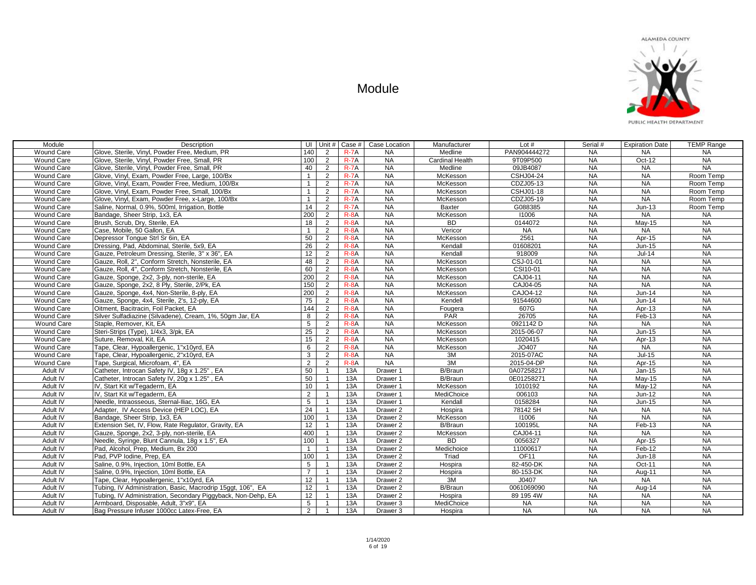

PUBLIC HEALTH DEPARTMENT

| Module            | Description                                                  | UI               |                |          | Unit # $\vert$ Case # $\vert$ Case Location | Manufacturer           | Lot $#$                | Serial #  | <b>Expiration Date</b> | <b>TEMP Range</b> |
|-------------------|--------------------------------------------------------------|------------------|----------------|----------|---------------------------------------------|------------------------|------------------------|-----------|------------------------|-------------------|
| <b>Wound Care</b> | Glove, Sterile, Vinvl, Powder Free, Medium, PR               | 140              | 2              | $R-7A$   | <b>NA</b>                                   | Medline                | PAN904444272           | <b>NA</b> | <b>NA</b>              | <b>NA</b>         |
| Wound Care        | Glove, Sterile, Vinyl, Powder Free, Small, PR                | 100              | 2              | $R-7A$   | <b>NA</b>                                   | <b>Cardinal Health</b> | 9T09P500               | <b>NA</b> | Oct-12                 | <b>NA</b>         |
| Wound Care        | Glove, Sterile, Vinyl, Powder Free, Small, PR                | 40               | 2              | $R-7A$   | <b>NA</b>                                   | Medline                | 09JB4087               | <b>NA</b> | <b>NA</b>              | NA                |
| <b>Wound Care</b> | Glove, Vinyl, Exam, Powder Free, Large, 100/Bx               | $\mathbf{1}$     | 2              | $R-7A$   | <b>NA</b>                                   | McKesson               | CSHJ04-24              | <b>NA</b> | <b>NA</b>              | Room Temp         |
| Wound Care        | Glove, Vinyl, Exam, Powder Free, Medium, 100/Bx              | $\mathbf{1}$     | 2              | $R-7A$   | <b>NA</b>                                   | McKesson               | CDZJ05-13              | <b>NA</b> | <b>NA</b>              | Room Temp         |
| Wound Care        | Glove, Vinyl, Exam, Powder Free, Small, 100/Bx               | $\mathbf{1}$     | 2              | $R-7A$   | <b>NA</b>                                   | McKesson               | CSHJ01-18              | <b>NA</b> | <b>NA</b>              | Room Temp         |
| Wound Care        | Glove, Vinyl, Exam, Powder Free, x-Large, 100/Bx             | $\mathbf{1}$     | 2              | $R-7A$   | <b>NA</b>                                   | McKesson               | CDZJ05-19              | <b>NA</b> | NA                     | Room Temp         |
| <b>Wound Care</b> | Saline, Normal, 0.9%, 500ml, Irrigation, Bottle              | 14               | 2              | $R-7A$   | <b>NA</b>                                   | Baxter                 | G088385                | <b>NA</b> | $Jun-13$               | Room Temp         |
| <b>Wound Care</b> | Bandage, Sheer Strip, 1x3, EA                                | 200              | 2              | $R - 8A$ | <b>NA</b>                                   | McKesson               | 11006                  | <b>NA</b> | NA                     | <b>NA</b>         |
| Wound Care        | Brush, Scrub, Dry, Sterile, EA                               | 18               | 2              | $R - 8A$ | NA                                          | <b>BD</b>              | 0144072                | NA        | $May-15$               | NA                |
| Wound Care        | Case, Mobile, 50 Gallon, EA                                  | $\mathbf{1}$     | 2              | $R - 8A$ | NA                                          | Vericor                | <b>NA</b>              | NA        | <b>NA</b>              | NA                |
| <b>Wound Care</b> | Depressor Tongue Strl Sr 6in, EA                             | 50               | 2              | $R - 8A$ | NA                                          | McKesson               | 2561                   | <b>NA</b> | Apr-15                 | NA                |
| Wound Care        | Dressing, Pad, Abdominal, Sterile, 5x9, EA                   | 26               | 2              | $R - 8A$ | <b>NA</b>                                   | Kendall                | 01608201               | <b>NA</b> | Jun-15                 | <b>NA</b>         |
| Wound Care        | Gauze, Petroleum Dressing, Sterile, 3" x 36", EA             | 12               | 2              | $R-8A$   | <b>NA</b>                                   | Kendall                | 918009                 | <b>NA</b> | $Jul-14$               | <b>NA</b>         |
| Wound Care        | Gauze, Roll, 2", Conform Stretch, Nonsterile, EA             | 48               | 2              | $R-8A$   | <b>NA</b>                                   | McKesson               | CSJ-01-01              | <b>NA</b> | <b>NA</b>              | <b>NA</b>         |
| Wound Care        | Gauze, Roll, 4", Conform Stretch, Nonsterile, EA             | 60               | 2              | $R - 8A$ | <b>NA</b>                                   | McKesson               | CSI10-01               | <b>NA</b> | <b>NA</b>              | NA                |
| Wound Care        | Gauze, Sponge, 2x2, 3-ply, non-sterile, EA                   | 200              | 2              | $R - 8A$ | <b>NA</b>                                   | McKesson               | CAJ04-11               | <b>NA</b> | <b>NA</b>              | <b>NA</b>         |
| Wound Care        | Gauze, Sponge, 2x2, 8 Ply, Sterile, 2/Pk, EA                 | 150              | $\overline{2}$ | $R - 8A$ | <b>NA</b>                                   | McKesson               | CAJ04-05               | <b>NA</b> | NA                     | NA                |
| Wound Care        | Gauze, Sponge, 4x4, Non-Sterile, 8-ply, EA                   | 200              | 2              | $R-8A$   | <b>NA</b>                                   | McKesson               | CAJO4-12               | <b>NA</b> | Jun-14                 | NA                |
| Wound Care        | Gauze, Sponge, 4x4, Sterile, 2's, 12-ply, EA                 | 75               | 2              | $R - 8A$ | <b>NA</b>                                   | Kendell                | 91544600               | <b>NA</b> | Jun-14                 | NA                |
| <b>Wound Care</b> | Oitment, Bacitracin, Foil Packet, EA                         | 144              | $\overline{2}$ | $R - 8A$ | NA                                          | Fougera                | 607G                   | <b>NA</b> | Apr-13                 | NA.               |
| <b>Wound Care</b> | Silver Sulfadiazine (Silvadene), Cream, 1%, 50gm Jar, EA     | 8                | 2              | $R - 8A$ | NA                                          | <b>PAR</b>             | 26705                  | <b>NA</b> | Feb-13                 | NA                |
| Wound Care        | Staple, Remover, Kit, EA                                     | $5\overline{)}$  | $\overline{2}$ | $R - 8A$ | NA                                          | McKesson               | $\overline{0921142}$ D | NA        | NA                     | NA                |
| Wound Care        | Steri-Strips (Type), 1/4x3, 3/pk, EA                         | 25               | 2              | $R-8A$   | <b>NA</b>                                   | McKesson               | 2015-06-07             | <b>NA</b> | Jun-15                 | NA                |
| Wound Care        | Suture, Removal, Kit, EA                                     | 15 <sub>15</sub> | 2              | $R - 8A$ | <b>NA</b>                                   | McKesson               | 1020415                | <b>NA</b> | Apr-13                 | <b>NA</b>         |
| Wound Care        | Tape, Clear, Hypoallergenic, 1"x10yrd, EA                    | 6                | 2              | $R-8A$   | <b>NA</b>                                   | McKesson               | JO407                  | <b>NA</b> | <b>NA</b>              | <b>NA</b>         |
| Wound Care        | Tape, Clear, Hypoallergenic, 2"x10yrd, EA                    | 3                | 2              | $R - 8A$ | NA                                          | 3M                     | 2015-07AC              | <b>NA</b> | $Jul-15$               | NA                |
| <b>Wound Care</b> | Tape, Surgical, Microfoam, 4", EA                            | $\overline{2}$   | 2              | $R - 8A$ | <b>NA</b>                                   | 3M                     | 2015-04-DP             | <b>NA</b> | Apr-15                 | <b>NA</b>         |
| Adult IV          | Catheter, Introcan Safety IV, 18g x 1.25", EA                | 50               | $\overline{1}$ | 13A      | Drawer 1                                    | <b>B/Braun</b>         | 0A07258217             | <b>NA</b> | $Jan-15$               | <b>NA</b>         |
| Adult IV          | Catheter, Introcan Safety IV, 20g x 1.25", EA                | 50               | $\overline{1}$ | 13A      | Drawer 1                                    | <b>B/Braun</b>         | 0E01258271             | <b>NA</b> | May-15                 | NA                |
| Adult IV          | IV, Start Kit w/Tegaderm, EA                                 | 10               | $\overline{1}$ | 13A      | Drawer 1                                    | McKesson               | 1010192                | <b>NA</b> | May-12                 | NA                |
| Adult IV          | IV, Start Kit w/Tegaderm, EA                                 | $\overline{2}$   | $\overline{1}$ | 13A      | Drawer 1                                    | MediChoice             | 006103                 | <b>NA</b> | Jun-12                 | NA                |
| Adult IV          | Needle, Intraosseous, Sternal-Iliac, 16G, EA                 | 5                | $\overline{1}$ | 13A      | Drawer 1                                    | Kendall                | 0158284                | <b>NA</b> | Jun-15                 | <b>NA</b>         |
| Adult IV          | Adapter, IV Access Device (HEP LOC), EA                      | $\overline{24}$  | $\overline{1}$ | 13A      | Drawer 2                                    | Hospira                | 78142 5H               | <b>NA</b> | <b>NA</b>              | <b>NA</b>         |
| Adult IV          | Bandage, Sheer Strip, 1x3, EA                                | 100              | $\overline{1}$ | 13A      | Drawer 2                                    | McKesson               | 11006                  | NA        | NA                     | <b>NA</b>         |
| Adult IV          | Extension Set, IV, Flow, Rate Regulator, Gravity, EA         | 12               | $\overline{1}$ | 13A      | Drawer 2                                    | B/Braun                | 100195L                | <b>NA</b> | $Feb-13$               | <b>NA</b>         |
| Adult IV          | Gauze, Sponge, 2x2, 3-ply, non-sterile, EA                   | 400              | $\overline{1}$ | 13A      | Drawer 2                                    | McKesson               | CAJ04-11               | <b>NA</b> | <b>NA</b>              | <b>NA</b>         |
| Adult IV          | Needle, Syringe, Blunt Cannula, 18g x 1.5", EA               | 100              | $\overline{1}$ | 13A      | Drawer 2                                    | <b>BD</b>              | 0056327                | <b>NA</b> | Apr-15                 | <b>NA</b>         |
| Adult IV          | Pad, Alcohol, Prep, Medium, Bx 200                           | $\mathbf{1}$     | $\overline{1}$ | 13A      | Drawer <sub>2</sub>                         | Medichoice             | 11000617               | <b>NA</b> | Feb-12                 | <b>NA</b>         |
| Adult IV          | Pad, PVP Iodine, Prep, EA                                    | 100              | $\overline{1}$ | 13A      | Drawer 2                                    | Triad                  | OF11                   | <b>NA</b> | <b>Jun-18</b>          | NA                |
| Adult IV          | Saline, 0.9%, Injection, 10ml Bottle, EA                     | 5                | $\overline{1}$ | 13A      | Drawer 2                                    | Hospira                | 82-450-DK              | <b>NA</b> | Oct-11                 | NA                |
| Adult IV          | Saline, 0.9%, Injection, 10ml Bottle, EA                     | $\overline{7}$   | $\overline{1}$ | 13A      | Drawer 2                                    | Hospira                | 80-153-DK              | <b>NA</b> | Aug-11                 | <b>NA</b>         |
| Adult IV          | Tape, Clear, Hypoallergenic, 1"x10yrd, EA                    | 12               | $\overline{1}$ | 13A      | Drawer 2                                    | 3M                     | J0407                  | <b>NA</b> | <b>NA</b>              | <b>NA</b>         |
| Adult IV          | Tubing, IV Administration, Basic, Macrodrip 15ggt, 106", EA  | 12               | $\overline{1}$ | 13A      | Drawer 2                                    | B/Braun                | 0061069090             | <b>NA</b> | Aug-14                 | NA                |
| Adult IV          | Tubing, IV Administration, Secondary Piggyback, Non-Dehp, EA | 12               | $\overline{1}$ | 13A      | Drawer 2                                    | Hospira                | 89 195 4W              | <b>NA</b> | <b>NA</b>              | NA                |
| Adult IV          | Armboard, Disposable, Adult, 3"x9", EA                       | $5\overline{)}$  |                | 13A      | Drawer 3                                    | MediChoice             | <b>NA</b>              | <b>NA</b> | <b>NA</b>              | <b>NA</b>         |
| Adult IV          | Bag Pressure Infuser 1000cc Latex-Free, EA                   | $\overline{2}$   |                | 13A      | Drawer 3                                    | Hospira                | <b>NA</b>              | <b>NA</b> | NA                     | NA                |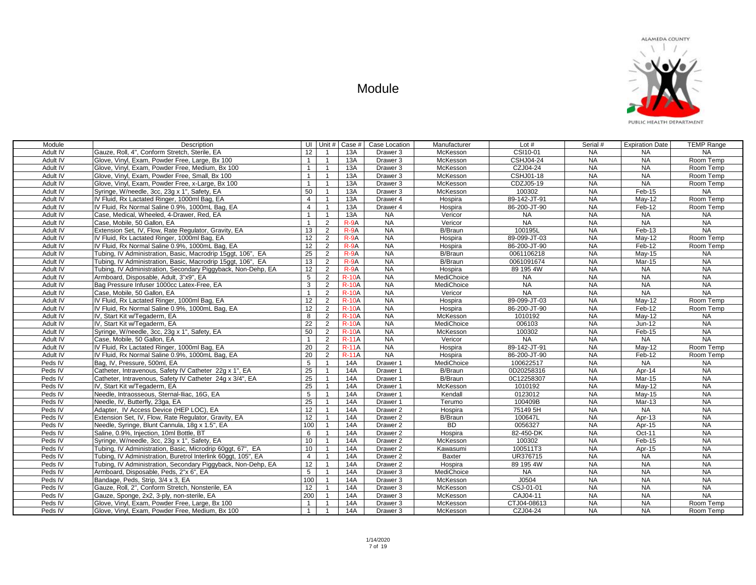

| Module   | Description                                                  | UI             |                | Unit #   Case # | Case Location       | Manufacturer   | Lot $#$          | Serial #  | <b>Expiration Date</b> | <b>TEMP Range</b> |
|----------|--------------------------------------------------------------|----------------|----------------|-----------------|---------------------|----------------|------------------|-----------|------------------------|-------------------|
| Adult IV | Gauze, Roll, 4". Conform Stretch, Sterile, EA                | 12             |                | 13A             | Drawer 3            | McKesson       | CSI10-01         | <b>NA</b> | <b>NA</b>              | <b>NA</b>         |
| Adult IV | Glove, Vinyl, Exam, Powder Free, Large, Bx 100               | $\mathbf{1}$   |                | 13A             | Drawer 3            | McKesson       | <b>CSHJ04-24</b> | <b>NA</b> | <b>NA</b>              | Room Temp         |
| Adult IV | Glove, Vinyl, Exam, Powder Free, Medium, Bx 100              | $\overline{1}$ |                | 13A             | Drawer 3            | McKesson       | CZJ04-24         | <b>NA</b> | <b>NA</b>              | Room Temp         |
| Adult IV | Glove, Vinyl, Exam, Powder Free, Small, Bx 100               | $\overline{1}$ |                | 13A             | Drawer 3            | McKesson       | CSHJ01-18        | <b>NA</b> | <b>NA</b>              | Room Temp         |
| Adult IV | Glove, Vinyl, Exam, Powder Free, x-Large, Bx 100             | $\mathbf{1}$   |                | 13A             | Drawer 3            | McKesson       | CDZJ05-19        | <b>NA</b> | <b>NA</b>              | Room Temp         |
| Adult IV | Syringe, W/needle, 3cc, 23g x 1", Safety, EA                 | 50             |                | 13A             | Drawer 3            | McKesson       | 100302           | <b>NA</b> | Feb-15                 | <b>NA</b>         |
| Adult IV | IV Fluid, Rx Lactated Ringer, 1000ml Bag, EA                 | $\overline{4}$ |                | 13A             | Drawer 4            | Hospira        | 89-142-JT-91     | <b>NA</b> | May-12                 | Room Temp         |
| Adult IV | IV Fluid, Rx Normal Saline 0.9%, 1000mL Bag, EA              | $\overline{4}$ |                | 13A             | Drawer 4            | Hospira        | 86-200-JT-90     | <b>NA</b> | Feb-12                 | Room Temp         |
| Adult IV | Case, Medical, Wheeled, 4-Drawer, Red, EA                    | $\overline{1}$ |                | 13A             | <b>NA</b>           | Vericor        | <b>NA</b>        | <b>NA</b> | <b>NA</b>              | <b>NA</b>         |
| Adult IV | Case, Mobile, 50 Gallon, EA                                  | $\overline{1}$ | $\overline{2}$ | $R-9A$          | <b>NA</b>           | Vericor        | <b>NA</b>        | <b>NA</b> | <b>NA</b>              | <b>NA</b>         |
| Adult IV | Extension Set, IV, Flow, Rate Regulator, Gravity, EA         | 13             | $\overline{2}$ | $R-9A$          | <b>NA</b>           | B/Braun        | 100195L          | <b>NA</b> | Feb-13                 | NA                |
| Adult IV | IV Fluid, Rx Lactated Ringer, 1000ml Bag, EA                 | 12             | $\overline{2}$ | $R-9A$          | <b>NA</b>           | Hospira        | 89-099-JT-03     | <b>NA</b> | May-12                 | Room Temp         |
| Adult IV | IV Fluid, Rx Normal Saline 0.9%, 1000mL Bag, EA              | 12             | $\overline{2}$ | $R-9A$          | <b>NA</b>           | Hospira        | 86-200-JT-90     | <b>NA</b> | Feb-12                 | Room Temp         |
| Adult IV | Tubing, IV Administration, Basic, Macrodrip 15ggt, 106", EA  | 25             | $\overline{2}$ | $R-9A$          | <b>NA</b>           | B/Braun        | 0061106218       | <b>NA</b> | May-15                 | <b>NA</b>         |
| Adult IV | Tubing, IV Administration, Basic, Macrodrip 15ggt, 106", EA  | 13             | $\overline{2}$ | $R-9A$          | <b>NA</b>           | <b>B/Braun</b> | 0061091674       | <b>NA</b> | Mar-15                 | <b>NA</b>         |
| Adult IV | Tubing, IV Administration, Secondary Piggyback, Non-Dehp, EA | 12             | $\overline{2}$ | $R-9A$          | <b>NA</b>           | Hospira        | 89 195 4W        | <b>NA</b> | <b>NA</b>              | <b>NA</b>         |
| Adult IV | Armboard, Disposable, Adult, 3"x9", EA                       | 5              | 2              | <b>R-10A</b>    | <b>NA</b>           | MediChoice     | <b>NA</b>        | <b>NA</b> | <b>NA</b>              | <b>NA</b>         |
| Adult IV | Bag Pressure Infuser 1000cc Latex-Free, EA                   | 3              | $\overline{2}$ | <b>R-10A</b>    | <b>NA</b>           | MediChoice     | <b>NA</b>        | <b>NA</b> | <b>NA</b>              | <b>NA</b>         |
| Adult IV | Case, Mobile, 50 Gallon, EA                                  | -1             | $\overline{2}$ | <b>R-10A</b>    | <b>NA</b>           | Vericor        | <b>NA</b>        | <b>NA</b> | <b>NA</b>              | <b>NA</b>         |
| Adult IV | IV Fluid, Rx Lactated Ringer, 1000ml Bag, EA                 | 12             | $\overline{2}$ | <b>R-10A</b>    | <b>NA</b>           | Hospira        | 89-099-JT-03     | <b>NA</b> | Mav-12                 | Room Temp         |
| Adult IV | IV Fluid, Rx Normal Saline 0.9%, 1000mL Bag, EA              | 12             | 2              | <b>R-10A</b>    | <b>NA</b>           | Hospira        | 86-200-JT-90     | <b>NA</b> | Feb-12                 | Room Temp         |
| Adult IV | IV, Start Kit w/Tegaderm, EA                                 | 8              | $\overline{2}$ | <b>R-10A</b>    | <b>NA</b>           | McKesson       | 1010192          | <b>NA</b> | $May-12$               | <b>NA</b>         |
| Adult IV | IV, Start Kit w/Tegaderm, EA                                 | 22             | $\overline{2}$ | $R-10A$         | <b>NA</b>           | MediChoice     | 006103           | <b>NA</b> | Jun-12                 | <b>NA</b>         |
| Adult IV | Syringe, W/needle, 3cc, 23g x 1", Safety, EA                 | 50             | $\overline{2}$ | <b>R-10A</b>    | <b>NA</b>           | McKesson       | 100302           | <b>NA</b> | Feb-15                 | <b>NA</b>         |
| Adult IV | Case, Mobile, 50 Gallon, EA                                  | $\overline{1}$ | 2              | <b>R-11A</b>    | <b>NA</b>           | Vericor        | <b>NA</b>        | <b>NA</b> | <b>NA</b>              | <b>NA</b>         |
| Adult IV | IV Fluid, Rx Lactated Ringer, 1000ml Bag, EA                 | 20             | $\overline{2}$ | <b>R-11A</b>    | <b>NA</b>           | Hospira        | 89-142-JT-91     | <b>NA</b> | May-12                 | Room Temp         |
| Adult IV | IV Fluid, Rx Normal Saline 0.9%, 1000mL Bag, EA              | 20             | 2              | $R-11A$         | <b>NA</b>           | Hospira        | 86-200-JT-90     | <b>NA</b> | Feb-12                 | Room Temp         |
| Peds IV  | Bag, IV, Pressure, 500ml, EA                                 | 5              |                | 14A             | Drawer 1            | MediChoice     | 100622517        | <b>NA</b> | <b>NA</b>              | <b>NA</b>         |
| Peds IV  | Catheter, Intravenous, Safety IV Catheter 22q x 1", EA       | 25             |                | 14A             | Drawer <sub>1</sub> | <b>B/Braun</b> | 0D20258316       | <b>NA</b> | Apr-14                 | <b>NA</b>         |
| Peds IV  | Catheter, Intravenous, Safety IV Catheter 24g x 3/4", EA     | 25             |                | 14A             | Drawer 1            | <b>B/Braun</b> | 0C12258307       | <b>NA</b> | <b>Mar-15</b>          | <b>NA</b>         |
| Peds IV  | IV. Start Kit w/Tegaderm. EA                                 | 25             |                | 14A             | Drawer <sub>1</sub> | McKesson       | 1010192          | <b>NA</b> | Mav-12                 | <b>NA</b>         |
| Peds IV  | Needle, Intraosseous, Sternal-Iliac, 16G, EA                 | 5              |                | 14A             | Drawer 1            | Kendall        | 0123012          | <b>NA</b> | May-15                 | NA                |
| Peds IV  | Needle, IV, Butterfly, 23ga, EA                              | 25             |                | 14A             | Drawer 1            | Terumo         | 100409B          | <b>NA</b> | Mar-13                 | <b>NA</b>         |
| Peds IV  | Adapter, IV Access Device (HEP LOC), EA                      | 12             |                | 14A             | Drawer 2            | Hospira        | 75149 5H         | <b>NA</b> | <b>NA</b>              | <b>NA</b>         |
| Peds IV  | Extension Set, IV, Flow, Rate Regulator, Gravity, EA         | 12             |                | 14A             | Drawer <sub>2</sub> | B/Braun        | 100647L          | <b>NA</b> | Apr-13                 | <b>NA</b>         |
| Peds IV  | Needle, Syringe, Blunt Cannula, 18g x 1.5", EA               | 100            |                | 14A             | Drawer <sub>2</sub> | <b>BD</b>      | 0056327          | <b>NA</b> | Apr-15                 | NA                |
| Peds IV  | Saline, 0.9%. Injection, 10ml Bottle, BT                     | 6              |                | 14A             | Drawer 2            | Hospira        | 82-450-DK        | <b>NA</b> | $Oct-11$               | <b>NA</b>         |

Peds IV Syringe, W/needle, 3cc, 23g x 1", Safety, EA 10 | 1 | 14A | Drawer 2 | McKesson | 100302 | NA | Feb-15 | NA Peds IV Tubing, IV Administration, Basic, Microdrip 60ggt, 67", EA 10 1 14A Drawer 2 Kawasumi 100511T3 NA Apr-15 NA<br>Peds IV Tubing, IV Administration, Buretrol Interlink 60ggt, 105", EA 4 1 14A Drawer 2 Baxter UR376715 NA Peds IV Tubing, IV Administration, Buretrol Interlink 60ggt, 105", EA 4 1 14A Drawer 2 Baxter UR376715 NA NA NA<br>Peds IV Tubing, IV Administration, Secondary Piggyback, Non-Dehp, EA 12 1 14A Drawer 2 Hospira 89 195 4W NA NA Peds IV Tubing, IV Administration, Secondary Piggyback, Non-Dehp, EA 12 1 14A Drawer 2 Hospira 89 195 4W NA NA NA NA<br>Peds IV Armboard, Disposable, Peds, 2"x 6", EA 15 1 14A Drawer 3 MediChoice NA NA NA NA NA NA

Peds IV Bandage, Peds, Strip, 3/4 x 3, EA 100 1 1 44 Drawer 3 McKesson J0504 NA NA NA NA NA NA NA NA NA NA NA<br>Peds IV Gauze. Roll. 2". Conform Stretch. Nonsterile. EA 12 1 14A Drawer 3 McKesson CSJ-01-01 NA NA NA NA

Peds IV | Gauze, Sponge, 2x2, 3-ply, non-sterile, EA | 200 | 1 | 14A | Drawer 3 | McKesson | CAJ04-11 NA | NA | NA Peds IV Glove, Vinyl, Exam, Powder Free, Large, Bx 100 1 1 1 1 14A Drawer 3 McKesson CTJ04-08613 NA NA Room Temp Peds IV Glove, Vinyl, Exam, Powder Free, Medium, Bx 100 1 | 1 | 14A | Drawer 3 | McKesson | CZJ04-24 | NA | Room Temp

Peds IV Gauze, Roll, 2", Conform Stretch, Nonsterile, EA 12 1 14A Drawer 3 McKesson CSJ-01-01<br>Peds IV Gauze, Sponge, 2x2, 3-ply, non-sterile, EA 200 1 14A Drawer 3 McKesson CAJ04-11

Armboard, Disposable, Peds, 2"x 6", EA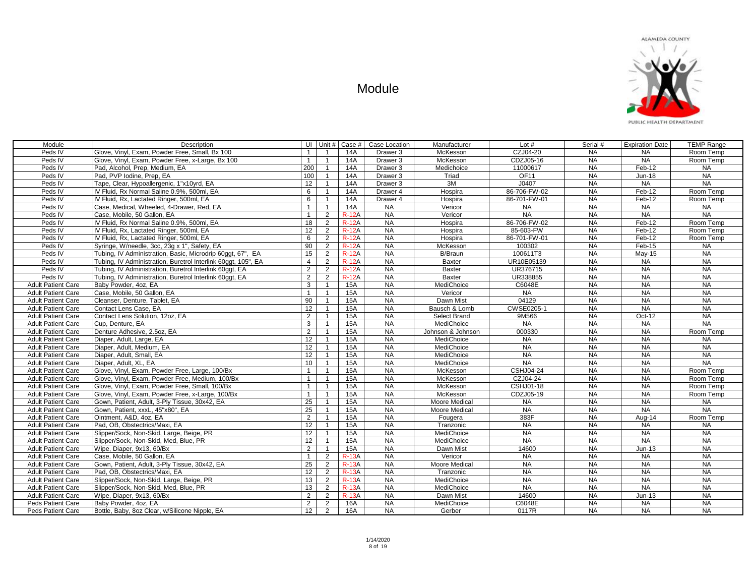

| Module                    | Description                                                   | UI Unit #       |                | Case #       | Case Location       | Manufacturer         | Lot#             | Serial #  | <b>Expiration Date</b> | <b>TEMP Range</b> |
|---------------------------|---------------------------------------------------------------|-----------------|----------------|--------------|---------------------|----------------------|------------------|-----------|------------------------|-------------------|
| Peds IV                   | Glove, Vinyl, Exam, Powder Free, Small, Bx 100                | $\overline{1}$  | -1             | 14A          | Drawer <sub>3</sub> | McKesson             | CZJ04-20         | <b>NA</b> | <b>NA</b>              | Room Temp         |
| Peds IV                   | Glove, Vinyl, Exam, Powder Free, x-Large, Bx 100              | $\overline{1}$  | $\overline{1}$ | 14A          | Drawer 3            | McKesson             | CDZJ05-16        | <b>NA</b> | <b>NA</b>              | Room Temp         |
| Peds IV                   | Pad. Alcohol. Prep. Medium. EA                                | 200             | $\overline{1}$ | 14A          | Drawer 3            | Medichoice           | 11000617         | <b>NA</b> | Feb-12                 | <b>NA</b>         |
| Peds IV                   | Pad, PVP Iodine, Prep, EA                                     | 100             | $\overline{1}$ | 14A          | Drawer 3            | Triad                | OF <sub>11</sub> | <b>NA</b> | <b>Jun-18</b>          | NA                |
| Peds IV                   | Tape, Clear, Hypoallergenic, 1"x10yrd, EA                     | 12              | $\mathbf{1}$   | 14A          | Drawer 3            | 3M                   | J0407            | <b>NA</b> | <b>NA</b>              | <b>NA</b>         |
| Peds IV                   | IV Fluid, Rx Normal Saline 0.9%, 500ml, EA                    | 6               | $\overline{1}$ | 14A          | Drawer 4            | Hospira              | 86-706-FW-02     | <b>NA</b> | Feb-12                 | Room Temp         |
| Peds IV                   | IV Fluid, Rx, Lactated Ringer, 500ml, EA                      | 6               | $\mathbf{1}$   | 14A          | Drawer 4            | Hospira              | 86-701-FW-01     | <b>NA</b> | Feb-12                 | Room Temp         |
| Peds IV                   | Case, Medical, Wheeled, 4-Drawer, Red, EA                     | $\mathbf{1}$    | $\overline{1}$ | 14A          | <b>NA</b>           | Vericor              | <b>NA</b>        | <b>NA</b> | <b>NA</b>              | <b>NA</b>         |
| Peds IV                   | Case, Mobile, 50 Gallon, EA                                   | $\overline{1}$  | $\overline{2}$ | $R-12A$      | <b>NA</b>           | Vericor              | <b>NA</b>        | NA        | <b>NA</b>              | <b>NA</b>         |
| Peds IV                   | IV Fluid, Rx Normal Saline 0.9%, 500ml, EA                    | 18              | $\overline{2}$ | $R-12A$      | <b>NA</b>           | Hospira              | 86-706-FW-02     | NA        | Feb-12                 | Room Temp         |
| Peds IV                   | IV Fluid, Rx, Lactated Ringer, 500ml, EA                      | 12              | $\overline{2}$ | $R-12A$      | NA                  | Hospira              | 85-603-FW        | NA        | Feb-12                 | Room Temp         |
| Peds IV                   | IV Fluid, Rx, Lactated Ringer, 500ml, EA                      | $6\overline{6}$ | $\overline{2}$ | $R-12A$      | <b>NA</b>           | Hospira              | 86-701-FW-01     | <b>NA</b> | Feb-12                 | Room Temp         |
| Peds IV                   | Syringe, W/needle, 3cc, 23g x 1", Safety, EA                  | 90              | 2              | <b>R-12A</b> | <b>NA</b>           | McKesson             | 100302           | <b>NA</b> | Feb-15                 | <b>NA</b>         |
| Peds IV                   | Tubing, IV Administration, Basic, Microdrip 60ggt, 67", EA    | 15              | 2              | <b>R-12A</b> | <b>NA</b>           | B/Braun              | 100611T3         | <b>NA</b> | <b>May-15</b>          | NA                |
| Peds IV                   | Tubing, IV Administration, Buretrol Interlink 60ggt, 105", EA | $\overline{4}$  | 2              | <b>R-12A</b> | <b>NA</b>           | Baxter               | UR10E05139       | <b>NA</b> | <b>NA</b>              | <b>NA</b>         |
| Peds IV                   | Tubing, IV Administration, Buretrol Interlink 60ggt, EA       | 2               | 2              | <b>R-12A</b> | <b>NA</b>           | Baxter               | UR376715         | <b>NA</b> | <b>NA</b>              | NA                |
| Peds IV                   | Tubing, IV Administration, Buretrol Interlink 60ggt, EA       | 2               | $\overline{2}$ | <b>R-12A</b> | <b>NA</b>           | <b>Baxter</b>        | UR338855         | <b>NA</b> | <b>NA</b>              | <b>NA</b>         |
| <b>Adult Patient Care</b> | Baby Powder, 4oz, EA                                          | $\mathbf{3}$    | $\overline{1}$ | <b>15A</b>   | NA                  | MediChoice           | C6048E           | <b>NA</b> | <b>NA</b>              | <b>NA</b>         |
| <b>Adult Patient Care</b> | Case, Mobile, 50 Gallon, EA                                   | $\mathbf{1}$    | $\overline{1}$ | 15A          | NA                  | Vericor              | <b>NA</b>        | NA        | NA                     | NA                |
| <b>Adult Patient Care</b> | Cleanser, Denture, Tablet, EA                                 | 90              | $\mathbf{1}$   | 15A          | NA                  | Dawn Mist            | 04129            | NA        | NA                     | NA                |
| <b>Adult Patient Care</b> | Contact Lens Case, EA                                         | 12              | $\overline{1}$ | 15A          | <b>NA</b>           | Bausch & Lomb        | CWSE0205-1       | <b>NA</b> | NA                     | <b>NA</b>         |
| <b>Adult Patient Care</b> | Contact Lens Solution, 12oz, EA                               | $\overline{2}$  | $\overline{1}$ | 15A          | <b>NA</b>           | Select Brand         | 9M566            | NA        | Oct-12                 | NA                |
| <b>Adult Patient Care</b> | Cup, Denture, EA                                              | $\mathbf{3}$    | $\overline{1}$ | <b>15A</b>   | <b>NA</b>           | MediChoice           | <b>NA</b>        | <b>NA</b> | <b>NA</b>              | NA                |
| <b>Adult Patient Care</b> | Denture Adhesive, 2.5oz, EA                                   | $\overline{2}$  | $\overline{1}$ | 15A          | NA                  | Johnson & Johnson    | 000330           | $N_A$     | NA                     | Room Temp         |
| <b>Adult Patient Care</b> | Diaper, Adult, Large, EA                                      | 12              | $\mathbf{1}$   | 15A          | <b>NA</b>           | MediChoice           | <b>NA</b>        | <b>NA</b> | <b>NA</b>              | <b>NA</b>         |
| <b>Adult Patient Care</b> | Diaper, Adult, Medium, EA                                     | 12              | $\overline{1}$ | 15A          | <b>NA</b>           | MediChoice           | <b>NA</b>        | <b>NA</b> | <b>NA</b>              | NA                |
| <b>Adult Patient Care</b> | Diaper, Adult, Small, EA                                      | 12              | $\mathbf{1}$   | <b>15A</b>   | <b>NA</b>           | MediChoice           | <b>NA</b>        | <b>NA</b> | <b>NA</b>              | <b>NA</b>         |
| <b>Adult Patient Care</b> | Diaper, Adult, XL, EA                                         | 10              | $\mathbf{1}$   | <b>15A</b>   | <b>NA</b>           | MediChoice           | $N_A$            | <b>NA</b> | <b>NA</b>              | <b>NA</b>         |
| <b>Adult Patient Care</b> | Glove, Vinyl, Exam, Powder Free, Large, 100/Bx                | $\mathbf{1}$    | $\overline{1}$ | 15A          | <b>NA</b>           | McKesson             | <b>CSHJ04-24</b> | <b>NA</b> | <b>NA</b>              | Room Temp         |
| <b>Adult Patient Care</b> | Glove, Vinyl, Exam, Powder Free, Medium, 100/Bx               | $\mathbf{1}$    | $\overline{1}$ | <b>15A</b>   | <b>NA</b>           | McKesson             | CZJ04-24         | <b>NA</b> | <b>NA</b>              | Room Temp         |
| <b>Adult Patient Care</b> | Glove, Vinyl, Exam, Powder Free, Small, 100/Bx                | $\overline{1}$  | $\mathbf{1}$   | 15A          | NA                  | McKesson             | <b>CSHJ01-18</b> | <b>NA</b> | $N_A$                  | Room Temp         |
| <b>Adult Patient Care</b> | Glove, Vinyl, Exam, Powder Free, x-Large, 100/Bx              | $\mathbf{1}$    | $\mathbf{1}$   | 15A          | NA                  | McKesson             | CDZJ05-19        | NA        | $N_A$                  | Room Temp         |
| <b>Adult Patient Care</b> | Gown, Patient, Adult, 3-Ply Tissue, 30x42, EA                 | 25              | $\mathbf{1}$   | 15A          | NA                  | Moore Medical        | <b>NA</b>        | NA        | NA                     | <b>NA</b>         |
| <b>Adult Patient Care</b> | Gown, Patient, xxxL, 45"x80", EA                              | 25              | $\overline{1}$ | <b>15A</b>   | <b>NA</b>           | Moore Medical        | <b>NA</b>        | <b>NA</b> | <b>NA</b>              | <b>NA</b>         |
| <b>Adult Patient Care</b> | Ointment, A&D, 4oz, EA                                        | $\overline{2}$  |                | 15A          | NA                  | Fougera              | 383F             | NA        | Aug-14                 | Room Temp         |
| <b>Adult Patient Care</b> | Pad. OB. Obstectrics/Maxi. EA                                 | 12              | $\overline{1}$ | 15A          | <b>NA</b>           | Tranzonic            | <b>NA</b>        | <b>NA</b> | <b>NA</b>              | <b>NA</b>         |
| <b>Adult Patient Care</b> | Slipper/Sock, Non-Skid, Large, Beige, PR                      | 12              | $\mathbf{1}$   | 15A          | NA                  | MediChoice           | NA               | NA        | NA                     | NA                |
| <b>Adult Patient Care</b> | Slipper/Sock, Non-Skid, Med, Blue, PR                         | $\overline{12}$ | $\mathbf{1}$   | 15A          | <b>NA</b>           | MediChoice           | <b>NA</b>        | <b>NA</b> | <b>NA</b>              | <b>NA</b>         |
| <b>Adult Patient Care</b> | Wipe, Diaper, 9x13, 60/Bx                                     | 2               | $\mathbf{1}$   | <b>15A</b>   | <b>NA</b>           | Dawn Mist            | 14600            | <b>NA</b> | Jun-13                 | <b>NA</b>         |
| <b>Adult Patient Care</b> | Case, Mobile, 50 Gallon, EA                                   | $\mathbf{1}$    | 2              | <b>R-13A</b> | <b>NA</b>           | Vericor              | <b>NA</b>        | <b>NA</b> | <b>NA</b>              | <b>NA</b>         |
| <b>Adult Patient Care</b> | Gown, Patient, Adult, 3-Ply Tissue, 30x42, EA                 | 25              | 2              | <b>R-13A</b> | <b>NA</b>           | <b>Moore Medical</b> | <b>NA</b>        | <b>NA</b> | <b>NA</b>              | <b>NA</b>         |
| <b>Adult Patient Care</b> | Pad, OB, Obstectrics/Maxi, EA                                 | 12              | $\overline{2}$ | <b>R-13A</b> | <b>NA</b>           | Tranzonic            | <b>NA</b>        | <b>NA</b> | <b>NA</b>              | <b>NA</b>         |
| <b>Adult Patient Care</b> | Slipper/Sock, Non-Skid, Large, Beige, PR                      | 13              | $\overline{2}$ | $R-13A$      | <b>NA</b>           | MediChoice           | <b>NA</b>        | <b>NA</b> | NA                     | <b>NA</b>         |
| <b>Adult Patient Care</b> | Slipper/Sock, Non-Skid, Med, Blue, PR                         | 13              | $\overline{2}$ | <b>R-13A</b> | NA                  | MediChoice           | <b>NA</b>        | <b>NA</b> | <b>NA</b>              | <b>NA</b>         |
| <b>Adult Patient Care</b> | Wipe, Diaper, 9x13, 60/Bx                                     | $\overline{2}$  | $\overline{2}$ | <b>R-13A</b> | <b>NA</b>           | Dawn Mist            | 14600            | <b>NA</b> | $Jun-13$               | <b>NA</b>         |
| Peds Patient Care         | Baby Powder, 4oz, EA                                          | $\overline{2}$  | $\overline{2}$ | <b>16A</b>   | NA                  | MediChoice           | C6048E           | <b>NA</b> | <b>NA</b>              | <b>NA</b>         |
| <b>Peds Patient Care</b>  | Bottle, Baby, 8oz Clear, w/Silicone Nipple, EA                | $\overline{12}$ | 2              | 16A          | <b>NA</b>           | Gerber               | 0117R            | <b>NA</b> | $N_A$                  | <b>NA</b>         |
|                           |                                                               |                 |                |              |                     |                      |                  |           |                        |                   |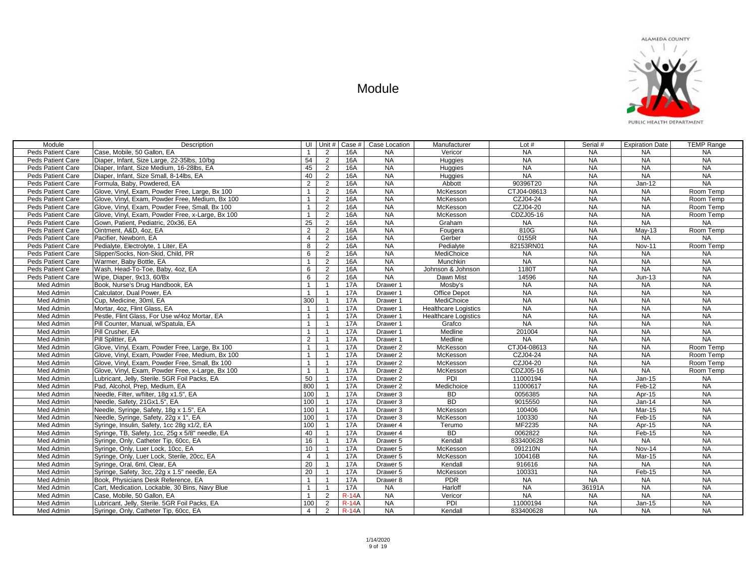

| Module                   | Description                                      |                |                | UI Unit # $\vert$ Case # $\vert$ | Case Location       | Manufacturer                | Lot $#$     | Serial #  | <b>Expiration Date</b> | <b>TEMP Range</b> |
|--------------------------|--------------------------------------------------|----------------|----------------|----------------------------------|---------------------|-----------------------------|-------------|-----------|------------------------|-------------------|
| Peds Patient Care        | Case, Mobile, 50 Gallon, EA                      | $\overline{1}$ | 2              | 16A                              | <b>NA</b>           | Vericor                     | <b>NA</b>   | <b>NA</b> | <b>NA</b>              | <b>NA</b>         |
| Peds Patient Care        | Diaper, Infant, Size Large, 22-35lbs, 10/bg      | 54             | 2              | 16A                              | <b>NA</b>           | Huggies                     | <b>NA</b>   | <b>NA</b> | <b>NA</b>              | <b>NA</b>         |
| Peds Patient Care        | Diaper, Infant, Size Medium, 16-28lbs, EA        | 45             | 2              | 16A                              | <b>NA</b>           | Huggies                     | <b>NA</b>   | <b>NA</b> | <b>NA</b>              | NA                |
| Peds Patient Care        | Diaper, Infant, Size Small, 8-14lbs, EA          | 40             | 2              | 16A                              | <b>NA</b>           | Huggies                     | <b>NA</b>   | <b>NA</b> | <b>NA</b>              | <b>NA</b>         |
| Peds Patient Care        | Formula, Baby, Powdered, EA                      | 2              | 2              | 16A                              | <b>NA</b>           | Abbott                      | 90396T20    | <b>NA</b> | $Jan-12$               | <b>NA</b>         |
| Peds Patient Care        | Glove, Vinyl, Exam, Powder Free, Large, Bx 100   | $\mathbf{1}$   | 2              | 16A                              | <b>NA</b>           | McKesson                    | CTJ04-08613 | <b>NA</b> | <b>NA</b>              | Room Temp         |
| Peds Patient Care        | Glove, Vinyl, Exam, Powder Free, Medium, Bx 100  | $\overline{1}$ | 2              | 16A                              | <b>NA</b>           | McKesson                    | CZJ04-24    | <b>NA</b> | <b>NA</b>              | Room Temp         |
| <b>Peds Patient Care</b> | Glove, Vinyl, Exam, Powder Free, Small, Bx 100   | $\mathbf{1}$   | 2              | 16A                              | <b>NA</b>           | McKesson                    | CZJ04-20    | <b>NA</b> | <b>NA</b>              | Room Temp         |
| Peds Patient Care        | Glove, Vinyl, Exam, Powder Free, x-Large, Bx 100 | $\mathbf{1}$   | 2              | 16A                              | <b>NA</b>           | McKesson                    | CDZJ05-16   | <b>NA</b> | <b>NA</b>              | Room Temp         |
| Peds Patient Care        | Gown, Patient, Pediatric, 20x36, EA              | 25             | 2              | 16A                              | <b>NA</b>           | Graham                      | <b>NA</b>   | <b>NA</b> | <b>NA</b>              | <b>NA</b>         |
| Peds Patient Care        | Ointment, A&D, 4oz, EA                           | 2              | 2              | 16A                              | NA                  | Fougera                     | 810G        | <b>NA</b> | $May-13$               | Room Temp         |
| Peds Patient Care        | Pacifier, Newborn, EA                            | $\overline{4}$ | 2              | <b>16A</b>                       | <b>NA</b>           | Gerber                      | 0155R       | <b>NA</b> | <b>NA</b>              | <b>NA</b>         |
| Peds Patient Care        | Pedialyte, Electrolyte, 1 Liter, EA              | 8              | $\overline{2}$ | <b>16A</b>                       | <b>NA</b>           | Pedialyte                   | 82153RN01   | <b>NA</b> | <b>Nov-11</b>          | Room Temp         |
| Peds Patient Care        | Slipper/Socks, Non-Skid, Child, PR               | 6              | $\overline{2}$ | <b>16A</b>                       | <b>NA</b>           | MediChoice                  | <b>NA</b>   | <b>NA</b> | <b>NA</b>              | <b>NA</b>         |
| Peds Patient Care        | Warmer, Baby Bottle, EA                          | $\mathbf{1}$   | 2              | <b>16A</b>                       | <b>NA</b>           | Munchkin                    | <b>NA</b>   | <b>NA</b> | <b>NA</b>              | <b>NA</b>         |
| Peds Patient Care        | Wash, Head-To-Toe, Baby, 4oz, EA                 | 6              | 2              | 16A                              | <b>NA</b>           | Johnson & Johnson           | 1180T       | <b>NA</b> | <b>NA</b>              | NA                |
| Peds Patient Care        | Wipe, Diaper, 9x13, 60/Bx                        | 6              | 2              | 16A                              | <b>NA</b>           | Dawn Mist                   | 14596       | <b>NA</b> | $Jun-13$               | <b>NA</b>         |
| Med Admin                | Book, Nurse's Drug Handbook, EA                  | $\overline{1}$ | $\overline{1}$ | <b>17A</b>                       | Drawer 1            | Mosby's                     | <b>NA</b>   | <b>NA</b> | <b>NA</b>              | NA                |
| Med Admin                | Calculator, Dual Power, EA                       | $\overline{1}$ | $\overline{1}$ | <b>17A</b>                       | Drawer 1            | Office Depot                | <b>NA</b>   | <b>NA</b> | <b>NA</b>              | NA                |
| Med Admin                | Cup, Medicine, 30ml, EA                          | 300            | $\mathbf{1}$   | <b>17A</b>                       | Drawer 1            | MediChoice                  | <b>NA</b>   | <b>NA</b> | <b>NA</b>              | NA                |
| Med Admin                | Mortar, 4oz, Flint Glass, EA                     | $\overline{1}$ | $\overline{1}$ | <b>17A</b>                       | Drawer 1            | <b>Healthcare Logistics</b> | <b>NA</b>   | <b>NA</b> | <b>NA</b>              | NA                |
| Med Admin                | Pestle, Flint Glass, For Use w/4oz Mortar, EA    | $\overline{1}$ | $\overline{1}$ | <b>17A</b>                       | Drawer 1            | <b>Healthcare Logistics</b> | <b>NA</b>   | NA        | <b>NA</b>              | <b>NA</b>         |
| Med Admin                | Pill Counter, Manual, w/Spatula, EA              | $\overline{1}$ | $\overline{1}$ | <b>17A</b>                       | Drawer 1            | Grafco                      | <b>NA</b>   | <b>NA</b> | <b>NA</b>              | <b>NA</b>         |
| Med Admin                | Pill Crusher, EA                                 | $\mathbf{1}$   | $\overline{1}$ | <b>17A</b>                       | Drawer 1            | Medline                     | 201004      | NA        | <b>NA</b>              | NA                |
| Med Admin                | Pill Splitter, EA                                | $\overline{2}$ | $\overline{1}$ | <b>17A</b>                       | Drawer 1            | Medline                     | <b>NA</b>   | <b>NA</b> | <b>NA</b>              | <b>NA</b>         |
| Med Admin                | Glove, Vinyl, Exam, Powder Free, Large, Bx 100   | $\mathbf{1}$   | $\overline{1}$ | <b>17A</b>                       | Drawer 2            | McKesson                    | CTJ04-08613 | NA        | <b>NA</b>              | Room Temp         |
| Med Admin                | Glove, Vinyl, Exam, Powder Free, Medium, Bx 100  | $\mathbf{1}$   | $\overline{1}$ | <b>17A</b>                       | Drawer 2            | McKesson                    | CZJ04-24    | <b>NA</b> | <b>NA</b>              | Room Temp         |
| Med Admin                | Glove, Vinyl, Exam, Powder Free, Small, Bx 100   | $\overline{1}$ | $\overline{1}$ | <b>17A</b>                       | Drawer <sub>2</sub> | McKesson                    | CZJ04-20    | <b>NA</b> | <b>NA</b>              | Room Temp         |
| Med Admin                | Glove, Vinyl, Exam, Powder Free, x-Large, Bx 100 | $\mathbf{1}$   | $\mathbf{1}$   | <b>17A</b>                       | Drawer <sub>2</sub> | McKesson                    | CDZJ05-16   | <b>NA</b> | <b>NA</b>              | Room Temp         |
| Med Admin                | Lubricant, Jelly, Sterile. 5GR Foil Packs, EA    | 50             | $\mathbf{1}$   | <b>17A</b>                       | Drawer 2            | PDI                         | 11000194    | <b>NA</b> | $Jan-15$               | <b>NA</b>         |
| Med Admin                | Pad, Alcohol, Prep, Medium, EA                   | 800            | $\mathbf{1}$   | <b>17A</b>                       | Drawer <sub>2</sub> | Medichoice                  | 11000617    | <b>NA</b> | Feb-12                 | <b>NA</b>         |
| Med Admin                | Needle, Filter, w/filter, 18g x1.5", EA          | 100            | $\overline{1}$ | <b>17A</b>                       | Drawer 3            | <b>BD</b>                   | 0056385     | <b>NA</b> | Apr-15                 | NA                |
| Med Admin                | Needle, Safety, 21Gx1.5", EA                     | 100            | $\overline{1}$ | <b>17A</b>                       | Drawer 3            | <b>BD</b>                   | 9015550     | NA        | $Jan-14$               | NA                |
| Med Admin                | Needle, Syringe, Safety, 18g x 1.5", EA          | 100            | $\overline{1}$ | 17A                              | Drawer 3            | McKesson                    | 100406      | <b>NA</b> | Mar-15                 | <b>NA</b>         |
| Med Admin                | Needle, Syringe, Safety, 22g x 1", EA            | 100            | $\mathbf{1}$   | <b>17A</b>                       | Drawer 3            | McKesson                    | 100330      | <b>NA</b> | Feb-15                 | <b>NA</b>         |
| Med Admin                | Syringe, Insulin, Safety, 1cc 28g x1/2, EA       | 100            | $\overline{1}$ | <b>17A</b>                       | Drawer 4            | Terumo                      | MF2235      | <b>NA</b> | Apr-15                 | <b>NA</b>         |
| Med Admin                | Syringe, TB, Safety, 1cc, 25g x 5/8" needle, EA  | 40             | $\overline{1}$ | <b>17A</b>                       | Drawer 4            | <b>BD</b>                   | 0062822     | <b>NA</b> | Feb-15                 | <b>NA</b>         |
| Med Admin                | Syringe, Only, Catheter Tip, 60cc, EA            | 16             | $\mathbf{1}$   | <b>17A</b>                       | Drawer 5            | Kendall                     | 833400628   | <b>NA</b> | <b>NA</b>              | <b>NA</b>         |
| Med Admin                | Syringe, Only, Luer Lock, 10cc, EA               | 10             | $\mathbf{1}$   | <b>17A</b>                       | Drawer <sub>5</sub> | McKesson                    | 091210N     | <b>NA</b> | Nov-14                 | <b>NA</b>         |
| Med Admin                | Syringe, Only, Luer Lock, Sterile, 20cc, EA      | $\overline{4}$ | $\mathbf{1}$   | <b>17A</b>                       | Drawer 5            | McKesson                    | 100416B     | <b>NA</b> | <b>Mar-15</b>          | <b>NA</b>         |
| Med Admin                | Syringe, Oral, 6ml, Clear, EA                    | 20             | $\overline{1}$ | <b>17A</b>                       | Drawer 5            | Kendall                     | 916616      | <b>NA</b> | NA                     | NA                |
| Med Admin                | Syringe, Safety, 3cc, 22g x 1.5" needle, EA      | 20             | $\overline{1}$ | <b>17A</b>                       | Drawer 5            | McKesson                    | 100331      | <b>NA</b> | Feb-15                 | <b>NA</b>         |
| Med Admin                | Book, Physicians Desk Reference, EA              | $\mathbf{1}$   | $\overline{1}$ | <b>17A</b>                       | Drawer 8            | <b>PDR</b>                  | <b>NA</b>   | NA        | <b>NA</b>              | <b>NA</b>         |
| Med Admin                | Cart, Medication, Lockable, 30 Bins, Navy Blue   | $\mathbf{1}$   | $\mathbf{1}$   | <b>17A</b>                       | <b>NA</b>           | Harloff                     | <b>NA</b>   | 36191A    | <b>NA</b>              | NA                |
| Med Admin                | Case, Mobile, 50 Gallon, EA                      | $\overline{1}$ | 2              | $R-14A$                          | NA                  | Vericor                     | <b>NA</b>   | <b>NA</b> | <b>NA</b>              | NA                |
| Med Admin                | Lubricant, Jelly, Sterile. 5GR Foil Packs, EA    | 100            | 2              | $R-14A$                          | <b>NA</b>           | PDI                         | 11000194    | NA        | $Jan-15$               | <b>NA</b>         |
| Med Admin                | Syringe, Only, Catheter Tip, 60cc, EA            | $\overline{4}$ | 2              | $R-14A$                          | <b>NA</b>           | Kendall                     | 833400628   | <b>NA</b> | <b>NA</b>              | <b>NA</b>         |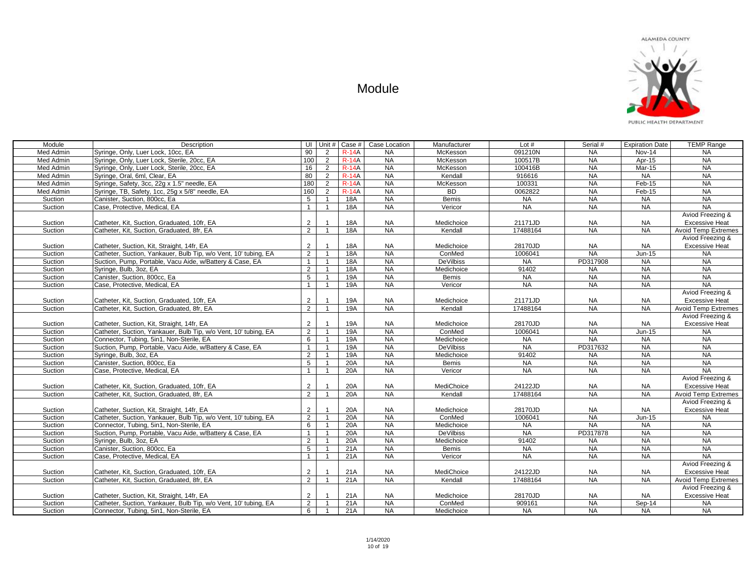

| Module             | Description                                                                                                   | UI I                             |                | Unit # $\vert$ Case # $\vert$ | Case Location   | Manufacturer         | Lot $#$   | Serial #               | <b>Expiration Date</b> | <b>TEMP Range</b>                         |
|--------------------|---------------------------------------------------------------------------------------------------------------|----------------------------------|----------------|-------------------------------|-----------------|----------------------|-----------|------------------------|------------------------|-------------------------------------------|
| Med Admin          | Syringe, Only, Luer Lock, 10cc, EA                                                                            | 90                               | $\overline{2}$ | <b>R-14A</b>                  | <b>NA</b>       | McKesson             | 091210N   | <b>NA</b>              | <b>Nov-14</b>          | <b>NA</b>                                 |
| Med Admin          | Syringe, Only, Luer Lock, Sterile, 20cc, EA                                                                   | 100                              | $\overline{2}$ | $R-14A$                       | <b>NA</b>       | McKesson             | 100517B   | <b>NA</b>              | Apr-15                 | NA                                        |
| Med Admin          | Syringe, Only, Luer Lock, Sterile, 20cc, EA                                                                   | 16                               | $\overline{2}$ | <b>R-14A</b>                  | <b>NA</b>       | McKesson             | 100416B   | <b>NA</b>              | Mar-15                 | <b>NA</b>                                 |
| Med Admin          | Syringe, Oral, 6ml, Clear, EA                                                                                 | 80                               | $\overline{2}$ | $R-14A$                       | <b>NA</b>       | Kendall              | 916616    | <b>NA</b>              | <b>NA</b>              | <b>NA</b>                                 |
| Med Admin          | Syringe, Safety, 3cc, 22g x 1.5" needle, EA                                                                   | 180                              | $\overline{2}$ | $R-14A$                       | <b>NA</b>       | McKesson             | 100331    | <b>NA</b>              | $Feb-15$               | <b>NA</b>                                 |
| Med Admin          | Syringe, TB, Safety, 1cc, 25g x 5/8" needle, EA                                                               | 160                              | $\overline{2}$ | $R-14A$                       | NA              | <b>BD</b>            | 0062822   | NA                     | Feb-15                 | <b>NA</b>                                 |
| Suction            | Canister, Suction, 800cc, Ea                                                                                  | 5                                | $\overline{1}$ | 18A                           | NA              | <b>Bemis</b>         | <b>NA</b> | NA                     | <b>NA</b>              | NA                                        |
| Suction            | Case, Protective, Medical, EA                                                                                 | $\mathbf{1}$                     | $\overline{1}$ | 18A                           | <b>NA</b>       | Vericor              | <b>NA</b> | NA                     | <b>NA</b>              | <b>NA</b>                                 |
|                    |                                                                                                               |                                  |                |                               |                 |                      |           |                        |                        | Aviod Freezing &                          |
| Suction            | Catheter, Kit, Suction, Graduated, 10fr, EA                                                                   | 2                                |                | <b>18A</b>                    | <b>NA</b>       | Medichoice           | 21171JD   | <b>NA</b>              | <b>NA</b>              | <b>Excessive Heat</b>                     |
| Suction            | Catheter, Kit, Suction, Graduated, 8fr, EA                                                                    | $\overline{2}$                   |                | 18A                           | NA              | Kendall              | 17488164  | NA                     | <b>NA</b>              | <b>Avoid Temp Extremes</b>                |
|                    |                                                                                                               |                                  |                |                               |                 |                      |           |                        |                        | Aviod Freezing &                          |
| Suction            | Catheter, Suction, Kit, Straight, 14fr, EA                                                                    | $\overline{2}$                   |                | <b>18A</b>                    | <b>NA</b>       | Medichoice           | 28170JD   | NA                     | <b>NA</b>              | <b>Excessive Heat</b>                     |
| Suction            | Catheter, Suction, Yankauer, Bulb Tip, w/o Vent, 10' tubing, EA                                               | $\overline{2}$                   |                | 18A                           | NA              | ConMed               | 1006041   | NA                     | $Jun-15$               | <b>NA</b>                                 |
| Suction            | Suction, Pump, Portable, Vacu Aide, w/Battery & Case, EA                                                      | $\mathbf{1}$                     | $\overline{1}$ | 18A                           | <b>NA</b>       | <b>DeVilbiss</b>     | $N_A$     | PD317908               | <b>NA</b>              | NA                                        |
| Suction            | Syringe, Bulb, 3oz, EA                                                                                        | $\overline{2}$                   | $\overline{1}$ | 18A                           | NA              | Medichoice           | 91402     | <b>NA</b>              | <b>NA</b>              | <b>NA</b>                                 |
| Suction            | Canister, Suction, 800cc, Ea                                                                                  | 5                                |                | 19A                           | NA              | <b>Bemis</b>         | <b>NA</b> | NA                     | <b>NA</b>              | <b>NA</b>                                 |
| Suction            | Case, Protective, Medical, EA                                                                                 | $\mathbf{1}$                     | $\overline{1}$ | 19A                           | NA              | Vericor              | $N_A$     | NA                     | <b>NA</b>              | <b>NA</b>                                 |
|                    |                                                                                                               |                                  |                |                               |                 |                      |           |                        |                        | Aviod Freezing &                          |
| Suction            | Catheter, Kit. Suction, Graduated, 10fr, EA                                                                   | 2                                |                | 19A                           | <b>NA</b>       | Medichoice           | 21171JD   | <b>NA</b>              | <b>NA</b>              | <b>Excessive Heat</b>                     |
| Suction            | Catheter, Kit, Suction, Graduated, 8fr, EA                                                                    | $\overline{2}$                   |                | 19A                           | <b>NA</b>       | Kendall              | 17488164  | <b>NA</b>              | <b>NA</b>              | <b>Avoid Temp Extremes</b>                |
|                    |                                                                                                               |                                  |                |                               |                 |                      |           |                        |                        | Aviod Freezing &                          |
| Suction            | Catheter, Suction, Kit, Straight, 14fr, EA                                                                    | 2                                |                | 19A                           | <b>NA</b>       | Medichoice           | 28170JD   | <b>NA</b>              | <b>NA</b>              | <b>Excessive Heat</b>                     |
| Suction            | Catheter, Suction, Yankauer, Bulb Tip, w/o Vent, 10' tubing, EA                                               | $\overline{2}$                   | $\overline{1}$ | 19A                           | NA              | ConMed               | 1006041   | NA                     | Jun-15                 | NA                                        |
| Suction            | Connector, Tubing, 5in1, Non-Sterile, EA                                                                      | 6                                | $\overline{1}$ | <b>19A</b>                    | <b>NA</b>       | Medichoice           | <b>NA</b> | <b>NA</b>              | <b>NA</b>              | <b>NA</b>                                 |
| Suction            | Suction, Pump, Portable, Vacu Aide, w/Battery & Case, EA                                                      | $\mathbf{1}$                     | $\overline{1}$ | 19A                           | <b>NA</b>       | <b>DeVilbiss</b>     | <b>NA</b> | PD317632               | <b>NA</b>              | <b>NA</b>                                 |
| Suction            | Syringe, Bulb, 3oz, EA                                                                                        | $\overline{2}$                   | $\overline{1}$ | 19A                           | NA              | Medichoice           | 91402     | <b>NA</b>              | <b>NA</b>              | <b>NA</b>                                 |
| Suction            | Canister, Suction, 800cc, Ea                                                                                  | 5                                |                | 20A                           | NA              | Bemis                | <b>NA</b> | NA                     | NA                     | NA                                        |
| Suction            | Case, Protective, Medical, EA                                                                                 | $\mathbf{1}$                     |                | 20A                           | <b>NA</b>       | Vericor              | <b>NA</b> | NA                     | <b>NA</b>              | <b>NA</b>                                 |
|                    |                                                                                                               |                                  |                |                               |                 |                      |           |                        |                        | Aviod Freezing &                          |
| Suction            | Catheter, Kit, Suction, Graduated, 10fr, EA                                                                   | $\overline{2}$                   |                | 20A                           | <b>NA</b>       | MediChoice           | 24122JD   | <b>NA</b>              | <b>NA</b>              | <b>Excessive Heat</b>                     |
| Suction            | Catheter, Kit, Suction, Graduated, 8fr, EA                                                                    | $\overline{2}$                   |                | 20A                           | NA              | Kendall              | 17488164  | <b>NA</b>              | NA                     | <b>Avoid Temp Extremes</b>                |
|                    |                                                                                                               |                                  |                |                               |                 |                      |           |                        |                        | Aviod Freezing &                          |
| Suction            | Catheter, Suction, Kit, Straight, 14fr, EA                                                                    | $\overline{2}$                   |                | 20A                           | <b>NA</b>       | Medichoice           | 28170JD   | <b>NA</b>              | <b>NA</b>              | <b>Excessive Heat</b>                     |
| Suction            | Catheter, Suction, Yankauer, Bulb Tip, w/o Vent, 10' tubing, EA                                               | $\overline{2}$                   | $\mathbf{1}$   | 20A                           | <b>NA</b>       | ConMed               | 1006041   | <b>NA</b>              | $Jun-15$               | <b>NA</b>                                 |
| Suction            | Connector, Tubing, 5in1, Non-Sterile, EA                                                                      | 6                                | $\mathbf{1}$   | 20A                           | <b>NA</b>       | Medichoice           | <b>NA</b> | <b>NA</b>              | <b>NA</b>              | <b>NA</b>                                 |
| Suction            | Suction, Pump, Portable, Vacu Aide, w/Battery & Case, EA                                                      | $\mathbf{1}$                     | $\overline{1}$ | 20A                           | <b>NA</b>       | DeVilbiss            | NA        | PD317878               | NA                     | NA                                        |
| Suction            | Syringe, Bulb, 3oz, EA                                                                                        | $\overline{2}$                   |                | 20A                           | <b>NA</b>       | Medichoice           | 91402     | <b>NA</b>              | <b>NA</b>              | <b>NA</b>                                 |
| Suction            | Canister, Suction, 800cc, Ea                                                                                  | 5                                |                | 21A                           | NA              | <b>Bemis</b>         | <b>NA</b> | <b>NA</b>              | <b>NA</b>              | <b>NA</b><br>NA                           |
| Suction            | Case, Protective, Medical, EA                                                                                 | $\mathbf{1}$                     | $\overline{1}$ | 21A                           | NA              | Vericor              | $N_A$     | NA                     | <b>NA</b>              |                                           |
|                    |                                                                                                               |                                  |                |                               |                 |                      |           |                        |                        | Aviod Freezing &<br><b>Excessive Heat</b> |
| Suction            | Catheter, Kit. Suction, Graduated, 10fr, EA                                                                   | $\overline{2}$                   |                | 21A<br>21A                    | <b>NA</b><br>NA | MediChoice           | 24122JD   | <b>NA</b><br><b>NA</b> | <b>NA</b><br><b>NA</b> |                                           |
| Suction            | Catheter, Kit, Suction, Graduated, 8fr, EA                                                                    | $\overline{2}$                   |                |                               |                 | Kendall              | 17488164  |                        |                        | <b>Avoid Temp Extremes</b>                |
|                    |                                                                                                               |                                  |                | 21A                           | <b>NA</b>       |                      | 28170JD   |                        | <b>NA</b>              | Aviod Freezing &<br><b>Excessive Heat</b> |
| Suction<br>Suction | Catheter, Suction, Kit, Straight, 14fr, EA<br>Catheter, Suction, Yankauer, Bulb Tip, w/o Vent, 10' tubing, EA | $\overline{2}$<br>$\overline{2}$ |                | 21A                           | NA              | Medichoice<br>ConMed | 909161    | NA<br>NA               | Sep-14                 | <b>NA</b>                                 |
| Suction            | Connector, Tubing, 5in1, Non-Sterile, EA                                                                      | 6                                | $\overline{1}$ | 21A                           | NA              | Medichoice           | <b>NA</b> | <b>NA</b>              | <b>NA</b>              | NA                                        |
|                    |                                                                                                               |                                  |                |                               |                 |                      |           |                        |                        |                                           |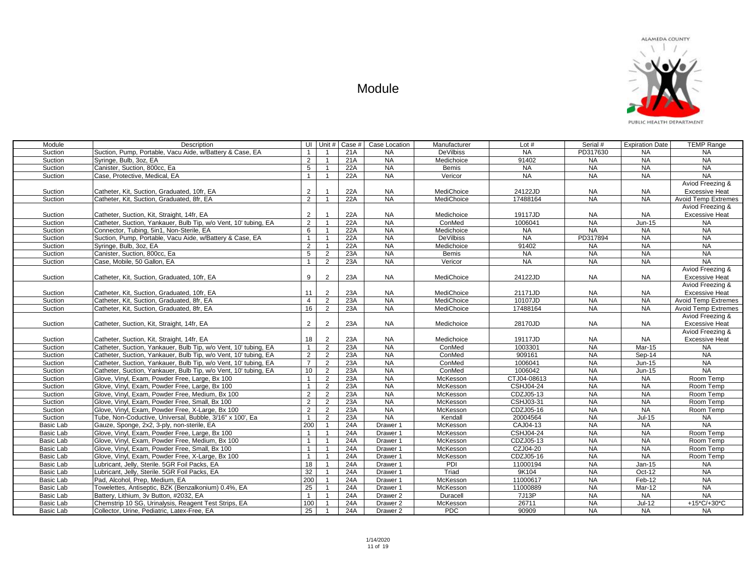| Module           | Description                                                     |                | UI Unit $\#$   | Case # | Case Location       | Manufacturer      | Lot $#$          | Serial #  | <b>Expiration Date</b> | <b>TEMP Range</b>          |
|------------------|-----------------------------------------------------------------|----------------|----------------|--------|---------------------|-------------------|------------------|-----------|------------------------|----------------------------|
| Suction          | Suction, Pump, Portable, Vacu Aide, w/Battery & Case, EA        | $\mathbf{1}$   |                | 21A    | <b>NA</b>           | <b>DeVilbiss</b>  | <b>NA</b>        | PD317630  | <b>NA</b>              | <b>NA</b>                  |
| Suction          | Syringe, Bulb, 3oz, EA                                          | $\overline{2}$ | $\overline{1}$ | 21A    | <b>NA</b>           | Medichoice        | 91402            | <b>NA</b> | <b>NA</b>              | <b>NA</b>                  |
| Suction          | Canister, Suction, 800cc, Ea                                    | 5              |                | 22A    | <b>NA</b>           | <b>Bemis</b>      | <b>NA</b>        | <b>NA</b> | <b>NA</b>              | <b>NA</b>                  |
| Suction          | Case, Protective, Medical, EA                                   | 1              | $\overline{1}$ | 22A    | <b>NA</b>           | Vericor           | <b>NA</b>        | <b>NA</b> | <b>NA</b>              | <b>NA</b>                  |
|                  |                                                                 |                |                |        |                     |                   |                  |           |                        | Aviod Freezing &           |
| Suction          | Catheter, Kit, Suction, Graduated, 10fr, EA                     | $\overline{2}$ |                | 22A    | <b>NA</b>           | <b>MediChoice</b> | 24122JD          | <b>NA</b> | NA.                    | <b>Excessive Heat</b>      |
| Suction          | Catheter, Kit. Suction, Graduated, 8fr. EA                      | $\overline{2}$ | $\overline{1}$ | 22A    | NA                  | <b>MediChoice</b> | 17488164         | <b>NA</b> | <b>NA</b>              | <b>Avoid Temp Extremes</b> |
|                  |                                                                 |                |                |        |                     |                   |                  |           |                        | Aviod Freezing &           |
| Suction          | Catheter, Suction, Kit, Straight, 14fr, EA                      | $\overline{2}$ |                | 22A    | <b>NA</b>           | Medichoice        | 19117JD          | <b>NA</b> | <b>NA</b>              | <b>Excessive Heat</b>      |
| Suction          | Catheter, Suction, Yankauer, Bulb Tip, w/o Vent, 10' tubing, EA | $\overline{2}$ | $\overline{1}$ | 22A    | <b>NA</b>           | ConMed            | 1006041          | NA        | <b>Jun-15</b>          | <b>NA</b>                  |
| Suction          | Connector, Tubing, 5in1, Non-Sterile, EA                        | 6              | $\overline{1}$ | 22A    | <b>NA</b>           | Medichoice        | <b>NA</b>        | <b>NA</b> | <b>NA</b>              | NA                         |
| Suction          | Suction, Pump, Portable, Vacu Aide, w/Battery & Case, EA        | $\mathbf{1}$   | $\overline{1}$ | 22A    | <b>NA</b>           | <b>DeVilbiss</b>  | <b>NA</b>        | PD317894  | <b>NA</b>              | <b>NA</b>                  |
| Suction          | Syringe, Bulb, 3oz, EA                                          | $\overline{2}$ | $\mathbf{1}$   | 22A    | <b>NA</b>           | Medichoice        | 91402            | <b>NA</b> | <b>NA</b>              | <b>NA</b>                  |
| Suction          | Canister, Suction, 800cc, Ea                                    | 5              | $\overline{2}$ | 23A    | <b>NA</b>           | Bemis             | <b>NA</b>        | <b>NA</b> | <b>NA</b>              | <b>NA</b>                  |
| Suction          | Case, Mobile, 50 Gallon, EA                                     | $\mathbf{1}$   | $\overline{2}$ | 23A    | <b>NA</b>           | Vericor           | <b>NA</b>        | NA        | <b>NA</b>              | <b>NA</b>                  |
|                  |                                                                 |                |                |        |                     |                   |                  |           |                        | Aviod Freezing &           |
| Suction          | Catheter, Kit, Suction, Graduated, 10fr, EA                     | 9              | $\overline{2}$ | 23A    | <b>NA</b>           | MediChoice        | 24122JD          | <b>NA</b> | <b>NA</b>              | <b>Excessive Heat</b>      |
|                  |                                                                 |                |                |        |                     |                   |                  |           |                        | Aviod Freezing &           |
| Suction          | Catheter, Kit, Suction, Graduated, 10fr, EA                     | 11             | 2              | 23A    | <b>NA</b>           | MediChoice        | 21171JD          | <b>NA</b> | <b>NA</b>              | <b>Excessive Heat</b>      |
| Suction          | Catheter, Kit. Suction, Graduated, 8fr. EA                      | $\overline{4}$ | $\overline{2}$ | 23A    | <b>NA</b>           | MediChoice        | 10107JD          | <b>NA</b> | <b>NA</b>              | <b>Avoid Temp Extremes</b> |
| Suction          | Catheter, Kit, Suction, Graduated, 8fr, EA                      | 16             | $\overline{2}$ | 23A    | <b>NA</b>           | MediChoice        | 17488164         | <b>NA</b> | <b>NA</b>              | <b>Avoid Temp Extremes</b> |
|                  |                                                                 |                |                |        |                     |                   |                  |           |                        | Aviod Freezing &           |
| Suction          | Catheter, Suction, Kit, Straight, 14fr, EA                      | $\overline{2}$ | 2              | 23A    | <b>NA</b>           | Medichoice        | 28170JD          | <b>NA</b> | NA.                    | <b>Excessive Heat</b>      |
|                  |                                                                 |                |                |        |                     |                   |                  |           |                        | Aviod Freezing &           |
| Suction          | Catheter, Suction, Kit, Straight, 14fr, EA                      | 18             | $\overline{2}$ | 23A    | <b>NA</b>           | Medichoice        | 19117JD          | <b>NA</b> | <b>NA</b>              | <b>Excessive Heat</b>      |
| Suction          | Catheter, Suction, Yankauer, Bulb Tip, w/o Vent, 10' tubing, EA | $\mathbf{1}$   | $\overline{2}$ | 23A    | <b>NA</b>           | ConMed            | 1003301          | <b>NA</b> | Mar-15                 | <b>NA</b>                  |
| Suction          | Catheter, Suction, Yankauer, Bulb Tip, w/o Vent, 10' tubing, EA | $\overline{2}$ | $\overline{2}$ | 23A    | <b>NA</b>           | ConMed            | 909161           | <b>NA</b> | Sep-14                 | <b>NA</b>                  |
| Suction          | Catheter, Suction, Yankauer, Bulb Tip, w/o Vent, 10' tubing, EA | $\overline{7}$ | $\overline{2}$ | 23A    | NA                  | ConMed            | 1006041          | <b>NA</b> | <b>Jun-15</b>          | NA                         |
| Suction          | Catheter, Suction, Yankauer, Bulb Tip, w/o Vent, 10' tubing, EA | 10             | $\overline{2}$ | 23A    | <b>NA</b>           | ConMed            | 1006042          | <b>NA</b> | $Jun-15$               | <b>NA</b>                  |
| Suction          | Glove, Vinyl, Exam, Powder Free, Large, Bx 100                  | $\mathbf{1}$   | $\overline{2}$ | 23A    | <b>NA</b>           | McKesson          | CTJ04-08613      | <b>NA</b> | <b>NA</b>              | Room Temp                  |
| Suction          | Glove, Vinyl, Exam, Powder Free, Large, Bx 100                  | $\mathbf{1}$   | $\overline{2}$ | 23A    | <b>NA</b>           | McKesson          | CSHJ04-24        | <b>NA</b> | <b>NA</b>              | Room Temp                  |
| Suction          | Glove, Vinyl, Exam, Powder Free, Medium, Bx 100                 | $\overline{2}$ | $\overline{2}$ | 23A    | NA                  | McKesson          | CDZJ05-13        | NA        | NA                     | Room Temp                  |
| Suction          | Glove, Vinyl, Exam, Powder Free, Small, Bx 100                  | $\overline{2}$ | $\overline{2}$ | 23A    | <b>NA</b>           | McKesson          | <b>CSHJ03-31</b> | <b>NA</b> | <b>NA</b>              | Room Temp                  |
| Suction          | Glove, Vinyl, Exam, Powder Free, X-Large, Bx 100                | $\overline{2}$ | $\overline{2}$ | 23A    | <b>NA</b>           | McKesson          | CDZJ05-16        | <b>NA</b> | <b>NA</b>              | Room Temp                  |
| Suction          | Tube, Non-Coductive, Universal, Bubble, 3/16" x 100', Ea        | $\mathbf{1}$   | $\overline{2}$ | 23A    | <b>NA</b>           | Kendall           | 20004564         | <b>NA</b> | Jul-15                 | <b>NA</b>                  |
| Basic Lab        | Gauze, Sponge, 2x2, 3-ply, non-sterile, EA                      | 200            | $\overline{1}$ | 24A    | Drawer <sub>1</sub> | McKesson          | CAJ04-13         | <b>NA</b> | <b>NA</b>              | <b>NA</b>                  |
| Basic Lab        | Glove, Vinyl, Exam, Powder Free, Large, Bx 100                  | $\mathbf{1}$   | $\overline{1}$ | 24A    | Drawer 1            | McKesson          | <b>CSHJ04-24</b> | <b>NA</b> | NA                     | Room Temp                  |
| <b>Basic Lab</b> | Glove, Vinyl, Exam, Powder Free, Medium, Bx 100                 | $\mathbf{1}$   | $\overline{1}$ | 24A    | Drawer 1            | McKesson          | CDZJ05-13        | <b>NA</b> | <b>NA</b>              | Room Temp                  |
| Basic Lab        | Glove, Vinyl, Exam, Powder Free, Small, Bx 100                  | $\mathbf{1}$   |                | 24A    | Drawer 1            | McKesson          | CZJ04-20         | <b>NA</b> | <b>NA</b>              | Room Temp                  |
| Basic Lab        | Glove, Vinyl, Exam, Powder Free, X-Large, Bx 100                | $\mathbf{1}$   |                | 24A    | Drawer 1            | McKesson          | CDZJ05-16        | <b>NA</b> | <b>NA</b>              | Room Temp                  |
| Basic Lab        | Lubricant, Jelly, Sterile. 5GR Foil Packs, EA                   | 18             | $\overline{1}$ | 24A    | Drawer 1            | PDI               | 11000194         | <b>NA</b> | $Jan-15$               | <b>NA</b>                  |
| <b>Basic Lab</b> | Lubricant, Jelly, Sterile. 5GR Foil Packs, EA                   | 32             | $\overline{1}$ | 24A    | Drawer 1            | Triad             | 9K104            | NA        | $Oct-12$               | <b>NA</b>                  |
| Basic Lab        | Pad, Alcohol, Prep, Medium, EA                                  | 200            | $\overline{1}$ | 24A    | Drawer 1            | McKesson          | 11000617         | <b>NA</b> | Feb-12                 | <b>NA</b>                  |
| Basic Lab        | Towelettes, Antiseptic, BZK (Benzalkonium) 0.4%, EA             | 25             | $\overline{1}$ | 24A    | Drawer 1            | McKesson          | 11000889         | <b>NA</b> | Mar-12                 | <b>NA</b>                  |
| Basic Lab        | Battery, Lithium, 3v Button, #2032, EA                          | $\mathbf{1}$   | $\overline{1}$ | 24A    | Drawer <sub>2</sub> | Duracell          | 7J13P            | <b>NA</b> | <b>NA</b>              | NA                         |
| Basic Lab        | Chemstrip 10 SG, Urinalysis, Reagent Test Strips, EA            | 100            |                | 24A    | Drawer <sub>2</sub> | McKesson          | 26711            | <b>NA</b> | $Jul-12$               | +15*C/+30*C                |
| Basic Lab        | Collector, Urine, Pediatric, Latex-Free, EA                     | 25             | $\overline{1}$ | 24A    | Drawer <sub>2</sub> | <b>PDC</b>        | 90909            | <b>NA</b> | <b>NA</b>              | <b>NA</b>                  |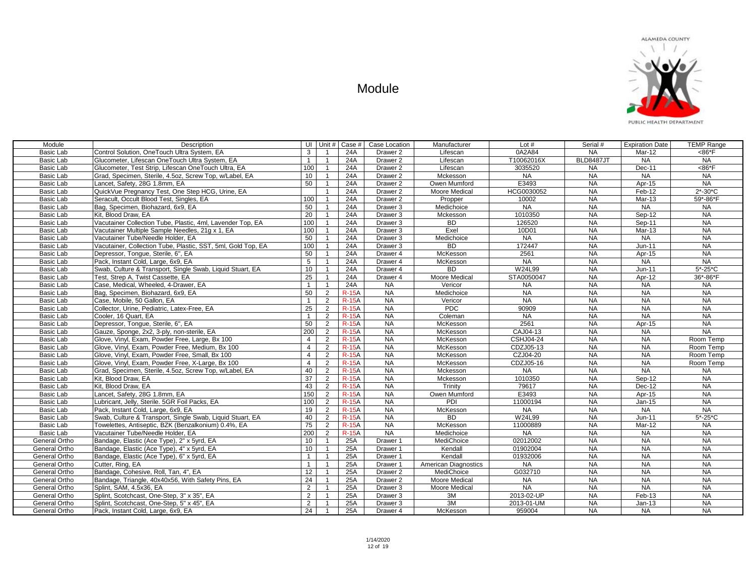

| Module           | Description                                                  | UI              | Unit #                  | Case #       | Case Location       | Manufacturer         | Lot $#$          | Serial #         | <b>Expiration Date</b> | <b>TEMP Range</b>       |
|------------------|--------------------------------------------------------------|-----------------|-------------------------|--------------|---------------------|----------------------|------------------|------------------|------------------------|-------------------------|
| Basic Lab        | Control Solution, OneTouch Ultra System, EA                  | 3               |                         | 24A          | Drawer 2            | Lifescan             | 0A2A84           | <b>NA</b>        | Mar-12                 | <86°F                   |
| Basic Lab        | Glucometer, Lifescan OneTouch Ultra System, EA               | $\mathbf{1}$    | $\overline{1}$          | 24A          | Drawer <sub>2</sub> | Lifescan             | T10062016X       | <b>BLD8487JT</b> | <b>NA</b>              | NA                      |
| Basic Lab        | Glucometer, Test Strip, Lifescan OneTouch Ultra, EA          | 100             | $\overline{1}$          | 24A          | Drawer <sub>2</sub> | Lifescan             | 3035520          | <b>NA</b>        | Dec-11                 | $<86E$ F                |
| Basic Lab        | Grad, Specimen, Sterile, 4.5oz, Screw Top, w/Label, EA       | 10 <sup>1</sup> | $\overline{\mathbf{1}}$ | 24A          | Drawer 2            | Mckesson             | <b>NA</b>        | <b>NA</b>        | <b>NA</b>              | <b>NA</b>               |
| Basic Lab        | Lancet, Safety, 28G 1.8mm, EA                                | 50              | $\overline{\mathbf{1}}$ | 24A          | Drawer <sub>2</sub> | Owen Mumford         | E3493            | <b>NA</b>        | Apr-15                 | <b>NA</b>               |
| Basic Lab        | QuickVue Pregnancy Test, One Step HCG, Urine, EA             |                 | $\overline{1}$          | 24A          | Drawer <sub>2</sub> | Moore Medical        | HCG0030052       | <b>NA</b>        | Feb-12                 | $2* - 30*C$             |
| Basic Lab        | Seracult, Occult Blood Test, Singles, EA                     | 100             | $\overline{1}$          | 24A          | Drawer <sub>2</sub> | Propper              | 10002            | <b>NA</b>        | $Mar-13$               | 59*-86*F                |
| Basic Lab        | Bag, Specimen, Biohazard, 6x9, EA                            | 50              | $\overline{1}$          | 24A          | Drawer 3            | Medichoice           | <b>NA</b>        | <b>NA</b>        | <b>NA</b>              | <b>NA</b>               |
| Basic Lab        | Kit. Blood Draw. EA                                          | $\overline{20}$ | $\overline{1}$          | 24A          | Drawer <sub>3</sub> | Mckesson             | 1010350          | <b>NA</b>        | Sep-12                 | <b>NA</b>               |
| Basic Lab        | Vacutainer Collection Tube, Plastic, 4ml, Lavender Top, EA   | 100             | $\overline{1}$          | 24A          | Drawer 3            | <b>BD</b>            | 126520           | <b>NA</b>        | Sep-11                 | <b>NA</b>               |
| Basic Lab        | Vacutainer Multiple Sample Needles, 21q x 1, EA              | 100             | $\overline{\mathbf{1}}$ | 24A          | Drawer 3            | Exel                 | 10D01            | NA               | Mar-13                 | $N_A$                   |
| <b>Basic Lab</b> | Vacutainer Tube/Needle Holder, EA                            | 50              | $\overline{1}$          | 24A          | Drawer 3            | Medichoice           | <b>NA</b>        | <b>NA</b>        | <b>NA</b>              | <b>NA</b>               |
| Basic Lab        | Vacutainer, Collection Tube, Plastic, SST, 5ml, Gold Top, EA | 100             | $\overline{1}$          | 24A          | Drawer 3            | <b>BD</b>            | 172447           | <b>NA</b>        | Jun-11                 | $N_A$                   |
| Basic Lab        | Depressor, Tonque, Sterile, 6", EA                           | 50              | $\overline{1}$          | 24A          | Drawer 4            | McKesson             | 2561             | <b>NA</b>        | Apr-15                 | <b>NA</b>               |
| Basic Lab        | Pack, Instant Cold, Large, 6x9, EA                           | 5 <sup>5</sup>  | $\overline{1}$          | 24A          | Drawer 4            | McKesson             | <b>NA</b>        | <b>NA</b>        | <b>NA</b>              | <b>NA</b>               |
| Basic Lab        | Swab, Culture & Transport, Single Swab, Liquid Stuart, EA    | 10              | $\overline{1}$          | 24A          | Drawer <sub>4</sub> | <b>BD</b>            | W24L99           | <b>NA</b>        | $Jun-11$               | $5^* - 25^*C$           |
| <b>Basic Lab</b> | Test, Strep A, Twist Cassette, EA                            | $\overline{25}$ | $\overline{1}$          | 24A          | Drawer <sub>4</sub> | Moore Medical        | STA0050047       | <b>NA</b>        | Apr-12                 | 36*-86*F                |
| Basic Lab        | Case, Medical, Wheeled, 4-Drawer, EA                         | $\mathbf{1}$    | $\overline{1}$          | 24A          | <b>NA</b>           | Vericor              | <b>NA</b>        | <b>NA</b>        | <b>NA</b>              | <b>NA</b>               |
| Basic Lab        | Bag, Specimen, Biohazard, 6x9, EA                            | 50              | 2                       | $R-15A$      | <b>NA</b>           | Medichoice           | <b>NA</b>        | <b>NA</b>        | <b>NA</b>              | <b>NA</b>               |
| Basic Lab        | Case, Mobile, 50 Gallon, EA                                  | $\mathbf{1}$    | 2                       | $R-15A$      | <b>NA</b>           | Vericor              | NA               | <b>NA</b>        | NA                     | <b>NA</b>               |
| <b>Basic Lab</b> | Collector, Urine, Pediatric, Latex-Free, EA                  | 25              | 2                       | <b>R-15A</b> | <b>NA</b>           | <b>PDC</b>           | 90909            | <b>NA</b>        | <b>NA</b>              | <b>NA</b>               |
| Basic Lab        | Cooler, 16 Quart, EA                                         | $\mathbf{1}$    | 2                       | <b>R-15A</b> | <b>NA</b>           | Coleman              | <b>NA</b>        | <b>NA</b>        | <b>NA</b>              | <b>NA</b>               |
| Basic Lab        | Depressor, Tonque, Sterile, 6", EA                           | 50              | 2                       | <b>R-15A</b> | <b>NA</b>           | McKesson             | 2561             | <b>NA</b>        | Apr-15                 | <b>NA</b>               |
| Basic Lab        | Gauze, Sponge, 2x2, 3-ply, non-sterile, EA                   | 200             | $\overline{2}$          | <b>R-15A</b> | <b>NA</b>           | McKesson             | CAJ04-13         | <b>NA</b>        | <b>NA</b>              | NA                      |
| Basic Lab        | Glove, Vinyl, Exam, Powder Free, Large, Bx 100               | $\overline{4}$  | $\overline{2}$          | <b>R-15A</b> | <b>NA</b>           | McKesson             | <b>CSHJ04-24</b> | <b>NA</b>        | <b>NA</b>              | Room Temp               |
| Basic Lab        | Glove, Vinyl, Exam, Powder Free, Medium, Bx 100              | $\overline{4}$  | 2                       | $R-15A$      | <b>NA</b>           | McKesson             | CDZJ05-13        | <b>NA</b>        | <b>NA</b>              | Room Temp               |
| Basic Lab        | Glove, Vinyl, Exam, Powder Free, Small, Bx 100               | $\overline{4}$  | 2                       | $R-15A$      | <b>NA</b>           | McKesson             | CZJ04-20         | <b>NA</b>        | <b>NA</b>              | Room Temp               |
| Basic Lab        | Glove, Vinyl, Exam, Powder Free, X-Large, Bx 100             | $\overline{4}$  | 2                       | $R-15A$      | <b>NA</b>           | McKesson             | CDZJ05-16        | <b>NA</b>        | <b>NA</b>              | Room Temp               |
| Basic Lab        | Grad, Specimen, Sterile, 4.5oz, Screw Top, w/Label, EA       | 40              | $\overline{2}$          | <b>R-15A</b> | <b>NA</b>           | Mckesson             | <b>NA</b>        | <b>NA</b>        | <b>NA</b>              | <b>NA</b>               |
| Basic Lab        | Kit, Blood Draw, EA                                          | $\overline{37}$ | 2                       | <b>R-15A</b> | <b>NA</b>           | Mckesson             | 1010350          | <b>NA</b>        | Sep-12                 | <b>NA</b>               |
| Basic Lab        | Kit. Blood Draw, EA                                          | 43              | $\overline{2}$          | <b>R-15A</b> | <b>NA</b>           | Trinity              | 79617            | <b>NA</b>        | Dec-12                 | $N_A$                   |
| Basic Lab        | Lancet, Safety, 28G 1.8mm, EA                                | 150             | 2                       | $R-15A$      | <b>NA</b>           | Owen Mumford         | E3493            | $N_A$            | Apr-15                 | $N_A$                   |
| Basic Lab        | Lubricant, Jelly, Sterile. 5GR Foil Packs, EA                | 100             | $\overline{2}$          | <b>R-15A</b> | <b>NA</b>           | PDI                  | 11000194         | <b>NA</b>        | Jan-15                 | <b>NA</b>               |
| Basic Lab        | Pack, Instant Cold, Large, 6x9, EA                           | 19              | $\overline{2}$          | $R-15A$      | <b>NA</b>           | McKesson             | <b>NA</b>        | <b>NA</b>        | <b>NA</b>              | <b>NA</b>               |
| Basic Lab        | Swab, Culture & Transport, Single Swab, Liquid Stuart, EA    | 40              | $\overline{2}$          | $R-15A$      | <b>NA</b>           | BD                   | W24L99           | <b>NA</b>        | Jun-11                 | $5 - 25$ <sup>*</sup> C |
| Basic Lab        | Towelettes, Antiseptic, BZK (Benzalkonium) 0.4%, EA          | 75              | 2                       | <b>R-15A</b> | <b>NA</b>           | McKesson             | 11000889         | <b>NA</b>        | Mar-12                 | <b>NA</b>               |
| Basic Lab        | Vacutainer Tube/Needle Holder, EA                            | 200             | 2                       | <b>R-15A</b> | <b>NA</b>           | Medichoice           | <b>NA</b>        | <b>NA</b>        | <b>NA</b>              | NA                      |
| General Ortho    | Bandage, Elastic (Ace Type), 2" x 5yrd, EA                   | 10              | $\overline{1}$          | 25A          | Drawer 1            | MediChoice           | 02012002         | <b>NA</b>        | <b>NA</b>              | <b>NA</b>               |
| General Ortho    | Bandage, Elastic (Ace Type), 4" x 5yrd, EA                   | 10              | $\overline{1}$          | 25A          | Drawer 1            | Kendall              | 01902004         | <b>NA</b>        | <b>NA</b>              | $N_A$                   |
| General Ortho    | Bandage, Elastic (Ace Type), 6" x 5yrd, EA                   | $\mathbf{1}$    | $\overline{1}$          | 25A          | Drawer 1            | Kendall              | 01932006         | <b>NA</b>        | <b>NA</b>              | $N_A$                   |
| General Ortho    | Cutter, Ring, EA                                             | $\mathbf{1}$    | $\overline{1}$          | 25A          | Drawer 1            | American Diagnostics | <b>NA</b>        | $N_A$            | NA                     | <b>NA</b>               |
| General Ortho    | Bandage, Cohesive, Roll, Tan, 4", EA                         | 12              | $\overline{1}$          | 25A          | Drawer 2            | MediChoice           | G032710          | <b>NA</b>        | <b>NA</b>              | <b>NA</b>               |
| General Ortho    | Bandage, Triangle, 40x40x56, With Safety Pins, EA            | 24              | $\overline{1}$          | 25A          | Drawer <sub>2</sub> | Moore Medical        | <b>NA</b>        | <b>NA</b>        | <b>NA</b>              | <b>NA</b>               |
| General Ortho    | Splint, SAM, 4.5x36, EA                                      | $\overline{2}$  | $\overline{1}$          | 25A          | Drawer 3            | Moore Medical        | <b>NA</b>        | <b>NA</b>        | $N_A$                  | <b>NA</b>               |
| General Ortho    | Splint, Scotchcast, One-Step, 3" x 35", EA                   | $\overline{2}$  | $\overline{1}$          | 25A          | Drawer 3            | 3M                   | 2013-02-UP       | NA               | Feb-13                 | <b>NA</b>               |
| General Ortho    | Splint, Scotchcast, One-Step, 5" x 45", EA                   | $\overline{2}$  |                         | 25A          | Drawer 3            | 3M                   | 2013-01-UM       | <b>NA</b>        | $Jan-13$               | <b>NA</b>               |
| General Ortho    | Pack. Instant Cold. Large, 6x9. EA                           | 24              | $\overline{1}$          | 25A          | Drawer 4            | <b>McKesson</b>      | 959004           | <b>NA</b>        | <b>NA</b>              | <b>NA</b>               |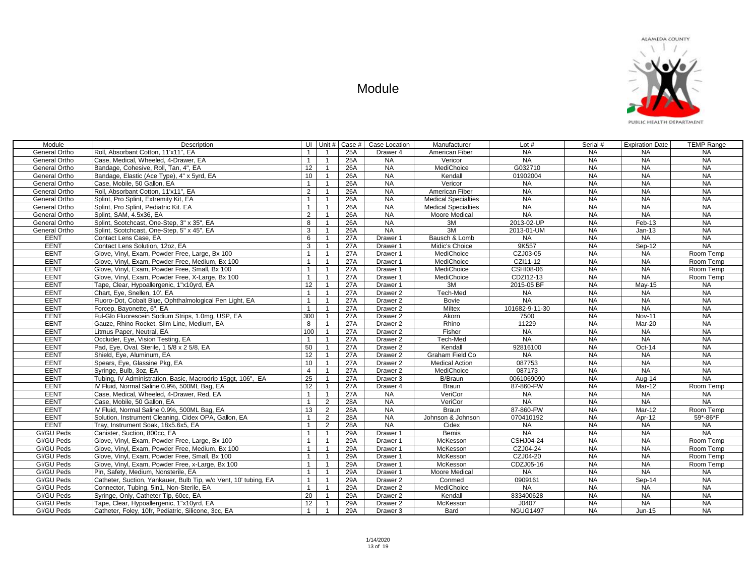

| Module               | Description                                                     | UI Unit #       |                | Case $#$ | Case Location       | Manufacturer               | Lot $#$          | Serial #  | <b>Expiration Date</b> | <b>TEMP Range</b> |
|----------------------|-----------------------------------------------------------------|-----------------|----------------|----------|---------------------|----------------------------|------------------|-----------|------------------------|-------------------|
| <b>General Ortho</b> | Roll. Absorbant Cotton, 11'x11". EA                             | $\mathbf{1}$    |                | 25A      | Drawer 4            | American Fiber             | $N_A$            | <b>NA</b> | <b>NA</b>              | <b>NA</b>         |
| General Ortho        | Case, Medical, Wheeled, 4-Drawer, EA                            | $\mathbf{1}$    | $\mathbf{1}$   | 25A      | <b>NA</b>           | Vericor                    | <b>NA</b>        | <b>NA</b> | <b>NA</b>              | <b>NA</b>         |
| General Ortho        | Bandage, Cohesive, Roll, Tan, 4", EA                            | 12              | $\mathbf{1}$   | 26A      | <b>NA</b>           | MediChoice                 | G032710          | <b>NA</b> | <b>NA</b>              | <b>NA</b>         |
| General Ortho        | Bandage, Elastic (Ace Type), 4" x 5yrd, EA                      | 10              | $\mathbf{1}$   | 26A      | <b>NA</b>           | Kendall                    | 01902004         | <b>NA</b> | <b>NA</b>              | <b>NA</b>         |
| General Ortho        | Case, Mobile, 50 Gallon, EA                                     | $\mathbf{1}$    | $\overline{1}$ | 26A      | $N_A$               | Vericor                    | <b>NA</b>        | <b>NA</b> | <b>NA</b>              | <b>NA</b>         |
| General Ortho        | Roll, Absorbant Cotton, 11'x11", EA                             | 2               |                | 26A      | <b>NA</b>           | American Fiber             | $N_A$            | <b>NA</b> | NA                     | <b>NA</b>         |
| General Ortho        | Splint. Pro Splint. Extremity Kit. EA                           | $\mathbf{1}$    | $\overline{1}$ | 26A      | <b>NA</b>           | <b>Medical Specialties</b> | NA               | NA        | NA                     | NA                |
| General Ortho        | Splint, Pro Splint, Pediatric Kit. EA                           | $\mathbf{1}$    |                | 26A      | <b>NA</b>           | <b>Medical Specialties</b> | <b>NA</b>        | <b>NA</b> | NA                     | <b>NA</b>         |
| General Ortho        | Splint, SAM, 4.5x36, EA                                         | $\overline{2}$  |                | 26A      | <b>NA</b>           | Moore Medical              | <b>NA</b>        | <b>NA</b> | <b>NA</b>              | <b>NA</b>         |
| General Ortho        | Splint, Scotchcast, One-Step, 3" x 35", EA                      | 8               |                | 26A      | <b>NA</b>           | 3M                         | 2013-02-UP       | <b>NA</b> | Feb-13                 | <b>NA</b>         |
| General Ortho        | Splint, Scotchcast, One-Step, 5" x 45", EA                      | 3               | $\overline{1}$ | 26A      | <b>NA</b>           | 3M                         | 2013-01-UM       | <b>NA</b> | $Jan-13$               | <b>NA</b>         |
| <b>EENT</b>          | Contact Lens Case, EA                                           | 6               | $\overline{1}$ | 27A      | Drawer 1            | Bausch & Lomb              | <b>NA</b>        | <b>NA</b> | <b>NA</b>              | <b>NA</b>         |
| <b>EENT</b>          | Contact Lens Solution, 12oz, EA                                 | 3               | $\overline{1}$ | 27A      | Drawer 1            | Midic's Choice             | 9K557            | <b>NA</b> | Sep-12                 | NA                |
| <b>EENT</b>          | Glove, Vinyl, Exam, Powder Free, Large, Bx 100                  | $\mathbf{1}$    | $\overline{1}$ | 27A      | Drawer 1            | MediChoice                 | CZJ03-05         | <b>NA</b> | <b>NA</b>              | Room Temp         |
| <b>EENT</b>          | Glove, Vinyl, Exam, Powder Free, Medium, Bx 100                 | $\mathbf{1}$    | $\overline{1}$ | 27A      | Drawer 1            | MediChoice                 | CZI11-12         | <b>NA</b> | <b>NA</b>              | Room Temp         |
| <b>EENT</b>          | Glove, Vinyl, Exam, Powder Free, Small, Bx 100                  | $\mathbf{1}$    | $\mathbf{1}$   | 27A      | Drawer 1            | MediChoice                 | CSHI08-06        | <b>NA</b> | NA                     | Room Temp         |
| <b>EENT</b>          | Glove, Vinyl, Exam, Powder Free, X-Large, Bx 100                | $\mathbf{1}$    | $\overline{1}$ | 27A      | Drawer 1            | MediChoice                 | CDZI12-13        | <b>NA</b> | <b>NA</b>              | Room Temp         |
| <b>EENT</b>          | Tape, Clear, Hypoallergenic, 1"x10yrd, EA                       | 12              | $\overline{1}$ | 27A      | Drawer 1            | 3M                         | 2015-05 BF       | <b>NA</b> | $May-15$               | <b>NA</b>         |
| <b>EENT</b>          | Chart, Eye, Snellen, 10', EA                                    | $\overline{1}$  |                | 27A      | Drawer <sub>2</sub> | Tech-Med                   | <b>NA</b>        | <b>NA</b> | <b>NA</b>              | NA                |
| <b>EENT</b>          | Fluoro-Dot, Cobalt Blue, Ophthalmological Pen Light, EA         | $\overline{1}$  | $\overline{1}$ | 27A      | Drawer <sub>2</sub> | Bovie                      | NA               | NA        | <b>NA</b>              | NA                |
| <b>EENT</b>          | Forcep, Bayonette, 6", EA                                       | $\mathbf{1}$    |                | 27A      | Drawer 2            | Miltex                     | 101682-9-11-30   | <b>NA</b> | <b>NA</b>              | <b>NA</b>         |
| <b>EENT</b>          | Ful-Glo Fluorescein Sodium Strips, 1.0mg, USP, EA               | 300             |                | 27A      | Drawer <sub>2</sub> | Akorn                      | 7500             | <b>NA</b> | <b>Nov-11</b>          | NA                |
| <b>EENT</b>          | Gauze, Rhino Rocket, Slim Line, Medium, EA                      | 8               |                | 27A      | Drawer <sub>2</sub> | Rhino                      | 11229            | <b>NA</b> | Mar-20                 | <b>NA</b>         |
| <b>EENT</b>          | Litmus Paper, Neutral, EA                                       | 100             | $\overline{1}$ | 27A      | Drawer <sub>2</sub> | Fisher                     | <b>NA</b>        | NA        | NA                     | NA                |
| <b>EENT</b>          | Occluder, Eye, Vision Testing, EA                               | $\overline{1}$  | $\overline{1}$ | 27A      | Drawer <sub>2</sub> | Tech-Med                   | <b>NA</b>        | <b>NA</b> | <b>NA</b>              | <b>NA</b>         |
| <b>EENT</b>          | Pad, Eye, Oval, Sterile, 1 5/8 x 2 5/8, EA                      | 50              | $\overline{1}$ | 27A      | Drawer <sub>2</sub> | Kendall                    | 92816100         | <b>NA</b> | Oct-14                 | <b>NA</b>         |
| <b>EENT</b>          | Shield, Eve. Aluminum, EA                                       | 12              | $\mathbf{1}$   | 27A      | Drawer <sub>2</sub> | Graham Field Co            | <b>NA</b>        | <b>NA</b> | <b>NA</b>              | NA                |
| <b>EENT</b>          | Spears, Eye, Glassine Pkg, EA                                   | 10 <sup>1</sup> | $\overline{1}$ | 27A      | Drawer 2            | <b>Medical Action</b>      | 087753           | NA        | <b>NA</b>              | NA                |
| <b>EENT</b>          | Syringe, Bulb, 3oz, EA                                          | $\overline{4}$  | $\overline{1}$ | 27A      | Drawer <sub>2</sub> | MediChoice                 | 087173           | <b>NA</b> | <b>NA</b>              | NA                |
| <b>EENT</b>          | Tubing, IV Administration, Basic, Macrodrip 15ggt, 106", EA     | 25              | $\overline{1}$ | 27A      | Drawer 3            | B/Braun                    | 0061069090       | <b>NA</b> | Aug-14                 | <b>NA</b>         |
| <b>EENT</b>          | IV Fluid, Normal Saline 0.9%, 500ML Bag, EA                     | 12              | $\overline{1}$ | 27A      | Drawer 4            | <b>Braun</b>               | 87-860-FW        | <b>NA</b> | Mar-12                 | Room Temp         |
| <b>EENT</b>          | Case, Medical, Wheeled, 4-Drawer, Red, EA                       | $\mathbf{1}$    | $\overline{1}$ | 27A      | NA                  | VeriCor                    | <b>NA</b>        | NA        | <b>NA</b>              | NA                |
| <b>EENT</b>          | Case, Mobile, 50 Gallon, EA                                     | $\overline{1}$  | $\overline{2}$ | 28A      | <b>NA</b>           | VeriCor                    | NA               | <b>NA</b> | NA                     | <b>NA</b>         |
| <b>EENT</b>          | IV Fluid, Normal Saline 0.9%, 500ML Bag, EA                     | 13              | 2              | 28A      | <b>NA</b>           | <b>Braun</b>               | 87-860-FW        | <b>NA</b> | Mar-12                 | Room Temp         |
| <b>EENT</b>          | Solution, Instrument Cleaning, Cidex OPA, Gallon, EA            | $\mathbf{1}$    | 2              | 28A      | <b>NA</b>           | Johnson & Johnson          | 070410192        | <b>NA</b> | Apr-12                 | 59*-86*F          |
| <b>EENT</b>          | Tray, Instrument Soak, 18x5.6x5, EA                             | $\overline{1}$  | 2              | 28A      | <b>NA</b>           | Cidex                      | <b>NA</b>        | <b>NA</b> | <b>NA</b>              | <b>NA</b>         |
| GI/GU Peds           | Canister, Suction, 800cc, EA                                    | $\overline{1}$  | $\mathbf{1}$   | 29A      | Drawer 1            | <b>Bemis</b>               | NA               | <b>NA</b> | <b>NA</b>              | NA                |
| GI/GU Peds           | Glove, Vinyl, Exam, Powder Free, Large, Bx 100                  | $\overline{1}$  | $\mathbf{1}$   | 29A      | Drawer 1            | McKesson                   | <b>CSHJ04-24</b> | <b>NA</b> | <b>NA</b>              | Room Temp         |
| <b>GI/GU Peds</b>    | Glove, Vinyl, Exam, Powder Free, Medium, Bx 100                 | $\mathbf{1}$    | $\mathbf{1}$   | 29A      | Drawer 1            | McKesson                   | CZJ04-24         | <b>NA</b> | <b>NA</b>              | Room Temp         |
| <b>GI/GU Peds</b>    | Glove, Vinyl, Exam, Powder Free, Small, Bx 100                  | $\mathbf{1}$    | $\mathbf{1}$   | 29A      | Drawer 1            | McKesson                   | CZJ04-20         | <b>NA</b> | $N_A$                  | Room Temp         |
| <b>GI/GU Peds</b>    | Glove, Vinyl, Exam, Powder Free, x-Large, Bx 100                | $\mathbf{1}$    | $\overline{1}$ | 29A      | Drawer 1            | McKesson                   | CDZJ05-16        | NA        | <b>NA</b>              | Room Temp         |
| <b>GI/GU Peds</b>    | Pin, Safety, Medium, Nonsterile, EA                             | $\mathbf{1}$    | $\overline{1}$ | 29A      | Drawer 1            | Moore Medical              | <b>NA</b>        | <b>NA</b> | <b>NA</b>              | <b>NA</b>         |
| GI/GU Peds           | Catheter, Suction, Yankauer, Bulb Tip, w/o Vent, 10' tubing, EA | $\mathbf{1}$    |                | 29A      | Drawer <sub>2</sub> | Conmed                     | 0909161          | <b>NA</b> | Sep-14                 | <b>NA</b>         |
| GI/GU Peds           | Connector, Tubing, 5in1, Non-Sterile, EA                        | $\mathbf{1}$    |                | 29A      | Drawer <sub>2</sub> | MediChoice                 | <b>NA</b>        | <b>NA</b> | <b>NA</b>              | <b>NA</b>         |
| <b>GI/GU Peds</b>    | Syringe, Only, Catheter Tip, 60cc, EA                           | 20              |                | 29A      | Drawer <sub>2</sub> | Kendall                    | 833400628        | <b>NA</b> | <b>NA</b>              | <b>NA</b>         |
| <b>GI/GU Peds</b>    | Tape, Clear, Hypoallergenic, 1"x10yrd, EA                       | 12              |                | 29A      | Drawer 2            | McKesson                   | J0407            | <b>NA</b> | NA                     | <b>NA</b>         |
| GI/GU Peds           | Catheter, Foley, 10fr, Pediatric, Silicone, 3cc, EA             | $\mathbf{1}$    | $\overline{1}$ | 29A      | Drawer 3            | Bard                       | <b>NGUG1497</b>  | <b>NA</b> | $Jun-15$               | <b>NA</b>         |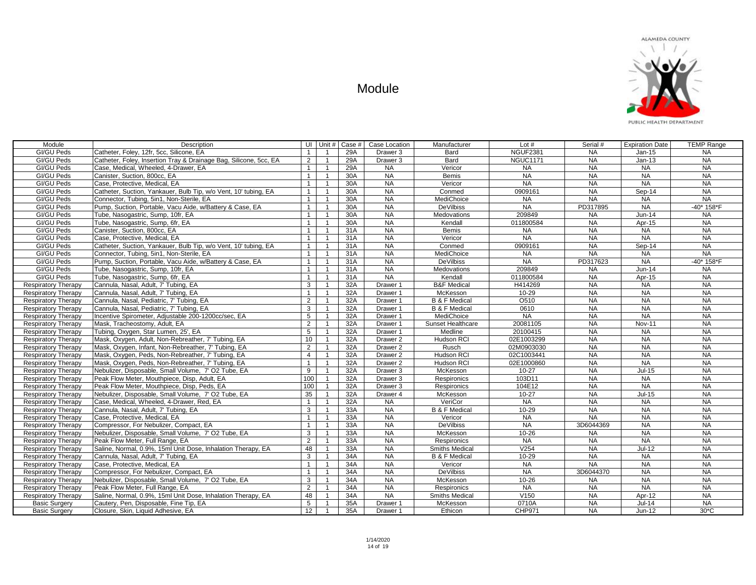

| Module                     | Description                                                       |                 | UI Unit #      | Case # | Case Location       | Manufacturer             | Lot $#$         | Serial #  | <b>Expiration Date</b> | <b>TEMP Range</b> |
|----------------------------|-------------------------------------------------------------------|-----------------|----------------|--------|---------------------|--------------------------|-----------------|-----------|------------------------|-------------------|
| GI/GU Peds                 | Catheter, Foley, 12fr, 5cc, Silicone, EA                          | $\mathbf{1}$    | $\overline{1}$ | 29A    | Drawer 3            | Bard                     | <b>NGUF2381</b> | <b>NA</b> | $Jan-15$               | NA.               |
| <b>GI/GU Peds</b>          | Catheter, Foley, Insertion Tray & Drainage Bag, Silicone, 5cc, EA | $\overline{2}$  | $\overline{1}$ | 29A    | Drawer <sub>3</sub> | Bard                     | <b>NGUC1171</b> | <b>NA</b> | $Jan-13$               | <b>NA</b>         |
| <b>GI/GU Peds</b>          | Case, Medical, Wheeled, 4-Drawer, EA                              | $\mathbf{1}$    | $\overline{1}$ | 29A    | <b>NA</b>           | Vericor                  | <b>NA</b>       | <b>NA</b> | NA.                    | <b>NA</b>         |
| GI/GU Peds                 | Canister, Suction, 800cc, EA                                      | $\mathbf{1}$    | $\overline{1}$ | 30A    | <b>NA</b>           | <b>Bemis</b>             | <b>NA</b>       | <b>NA</b> | NA                     | <b>NA</b>         |
| GI/GU Peds                 | Case, Protective, Medical, EA                                     | $\mathbf{1}$    | $\overline{1}$ | 30A    | <b>NA</b>           | Vericor                  | <b>NA</b>       | <b>NA</b> | <b>NA</b>              | <b>NA</b>         |
| <b>GI/GU Peds</b>          | Catheter, Suction, Yankauer, Bulb Tip, w/o Vent, 10' tubing, EA   | $\overline{1}$  | $\overline{1}$ | 30A    | <b>NA</b>           | Conmed                   | 0909161         | <b>NA</b> | Sep-14                 | NA                |
| <b>GI/GU Peds</b>          | Connector, Tubing, 5in1, Non-Sterile, EA                          | $\overline{1}$  | $\overline{1}$ | 30A    | NA                  | MediChoice               | <b>NA</b>       | <b>NA</b> | <b>NA</b>              | NA                |
| <b>GI/GU Peds</b>          | Pump, Suction, Portable, Vacu Aide, w/Battery & Case, EA          | $\overline{1}$  | $\overline{1}$ | 30A    | <b>NA</b>           | DeVilbiss                | <b>NA</b>       | PD317895  | <b>NA</b>              | -40* 158*F        |
| <b>GI/GU Peds</b>          | Tube, Nasogastric, Sump, 10fr, EA                                 | $\overline{1}$  | $\overline{1}$ | 30A    | <b>NA</b>           | Medovations              | 209849          | <b>NA</b> | $Jun-14$               | <b>NA</b>         |
| GI/GU Peds                 | Tube, Nasogastric, Sump, 6fr, EA                                  | $\overline{1}$  | $\overline{1}$ | 30A    | <b>NA</b>           | Kendall                  | 011800584       | <b>NA</b> | Apr-15                 | <b>NA</b>         |
| GI/GU Peds                 | Canister, Suction, 800cc, EA                                      | $\overline{1}$  | $\mathbf{1}$   | 31A    | NA                  | <b>Bemis</b>             | <b>NA</b>       | <b>NA</b> | <b>NA</b>              | NA                |
| <b>GI/GU Peds</b>          | Case, Protective, Medical, EA                                     | $\mathbf{1}$    | $\mathbf{1}$   | 31A    | <b>NA</b>           | Vericor                  | <b>NA</b>       | <b>NA</b> | <b>NA</b>              | NA                |
| <b>GI/GU Peds</b>          | Catheter, Suction, Yankauer, Bulb Tip, w/o Vent, 10' tubing, EA   | $\overline{1}$  | $\mathbf{1}$   | 31A    | <b>NA</b>           | Conmed                   | 0909161         | <b>NA</b> | Sep-14                 | NA                |
| GI/GU Peds                 | Connector, Tubing, 5in1, Non-Sterile, EA                          | $\overline{1}$  | $\mathbf{1}$   | 31A    | <b>NA</b>           | MediChoice               | <b>NA</b>       | <b>NA</b> | <b>NA</b>              | NA                |
| <b>GI/GU Peds</b>          | Pump, Suction, Portable, Vacu Aide, w/Battery & Case, EA          | $\mathbf{1}$    | $\mathbf{1}$   | 31A    | <b>NA</b>           | <b>DeVilbiss</b>         | <b>NA</b>       | PD317623  | <b>NA</b>              | $-40*158*F$       |
| <b>GI/GU Peds</b>          | Tube, Nasogastric, Sump, 10fr, EA                                 | $\mathbf{1}$    | $\overline{1}$ | 31A    | <b>NA</b>           | <b>Medovations</b>       | 209849          | <b>NA</b> | $Jun-14$               | <b>NA</b>         |
| GI/GU Peds                 | Tube, Nasogastric, Sump, 6fr, EA                                  | $\mathbf{1}$    | $\overline{1}$ | 31A    | <b>NA</b>           | Kendall                  | 011800584       | <b>NA</b> | Apr-15                 | <b>NA</b>         |
| <b>Respiratory Therapy</b> | Cannula, Nasal, Adult, 7' Tubing, EA                              | 3               | $\overline{1}$ | 32A    | Drawer 1            | <b>B&amp;F</b> Medical   | H414269         | <b>NA</b> | <b>NA</b>              | <b>NA</b>         |
| <b>Respiratory Therapy</b> | Cannula, Nasal, Adult, 7' Tubing, EA                              | $\mathbf{1}$    | $\overline{1}$ | 32A    | Drawer 1            | McKesson                 | 10-29           | <b>NA</b> | <b>NA</b>              | NA                |
| <b>Respiratory Therapy</b> | Cannula, Nasal, Pediatric, 7' Tubing, EA                          | $\overline{2}$  | $\overline{1}$ | 32A    | Drawer 1            | <b>B &amp; F Medical</b> | O510            | NA        | NA                     | <b>NA</b>         |
| <b>Respiratory Therapy</b> | Cannula, Nasal, Pediatric, 7' Tubing, EA                          | 3               | $\overline{1}$ | 32A    | Drawer 1            | <b>B &amp; F Medical</b> | 0610            | <b>NA</b> | <b>NA</b>              | <b>NA</b>         |
| <b>Respiratory Therapy</b> | Incentive Spirometer, Adjustable 200-1200cc/sec, EA               | 5               | $\overline{1}$ | 32A    | Drawer 1            | MediChoice               | <b>NA</b>       | <b>NA</b> | <b>NA</b>              | <b>NA</b>         |
| <b>Respiratory Therapy</b> | Mask. Tracheostomy. Adult. EA                                     | $\overline{2}$  | $\overline{1}$ | 32A    | Drawer 1            | Sunset Healthcare        | 20081105        | <b>NA</b> | <b>Nov-11</b>          | <b>NA</b>         |
| <b>Respiratory Therapy</b> | Tubing, Oxygen, Star Lumen, 25', EA                               | 5               | $\mathbf{1}$   | 32A    | Drawer 1            | Medline                  | 20100415        | <b>NA</b> | <b>NA</b>              | <b>NA</b>         |
| <b>Respiratory Therapy</b> | Mask, Oxygen, Adult, Non-Rebreather, 7' Tubing, EA                | 10              | $\mathbf{1}$   | 32A    | Drawer <sub>2</sub> | Hudson RCI               | 02E1003299      | <b>NA</b> | <b>NA</b>              | <b>NA</b>         |
| <b>Respiratory Therapy</b> | Mask, Oxygen, Infant, Non-Rebreather, 7' Tubing, EA               | $\overline{2}$  | $\mathbf{1}$   | 32A    | Drawer <sub>2</sub> | Rusch                    | 02M0903030      | <b>NA</b> | <b>NA</b>              | NA                |
| <b>Respiratory Therapy</b> | Mask, Oxygen, Peds, Non-Rebreather, 7' Tubing, EA                 | $\overline{4}$  | $\mathbf{1}$   | 32A    | Drawer <sub>2</sub> | Hudson RCI               | 02C1003441      | <b>NA</b> | <b>NA</b>              | <b>NA</b>         |
| <b>Respiratory Therapy</b> | Mask, Oxygen, Peds, Non-Rebreather, 7' Tubing, EA                 | $\mathbf{1}$    | $\overline{1}$ | 32A    | Drawer 2            | <b>Hudson RCI</b>        | 02E1000860      | NA        | <b>NA</b>              | <b>NA</b>         |
| <b>Respiratory Therapy</b> | Nebulizer, Disposable, Small Volume, 7' O2 Tube, EA               | $\overline{9}$  | $\mathbf{1}$   | 32A    | Drawer <sub>3</sub> | McKesson                 | $10 - 27$       | <b>NA</b> | $Jul-15$               | <b>NA</b>         |
| <b>Respiratory Therapy</b> | Peak Flow Meter, Mouthpiece, Disp, Adult, EA                      | 100             | $\overline{1}$ | 32A    | Drawer 3            | Respironics              | 103D11          | <b>NA</b> | <b>NA</b>              | <b>NA</b>         |
| <b>Respiratory Therapy</b> | Peak Flow Meter, Mouthpiece, Disp, Peds, EA                       | 100             |                | 32A    | Drawer <sub>3</sub> | Respironics              | 104E12          | <b>NA</b> | <b>NA</b>              | <b>NA</b>         |
| <b>Respiratory Therapy</b> | Nebulizer, Disposable, Small Volume, 7' O2 Tube, EA               | 35              | $\overline{1}$ | 32A    | Drawer 4            | McKesson                 | $10 - 27$       | NA        | $Jul-15$               | <b>NA</b>         |
| <b>Respiratory Therapy</b> | Case, Medical, Wheeled, 4-Drawer, Red, EA                         | $\overline{1}$  | $\overline{1}$ | 32A    | <b>NA</b>           | VeriCor                  | <b>NA</b>       | <b>NA</b> | <b>NA</b>              | <b>NA</b>         |
| <b>Respiratory Therapy</b> | Cannula, Nasal, Adult, 7' Tubing, EA                              | 3               | $\overline{1}$ | 33A    | <b>NA</b>           | <b>B &amp; F Medical</b> | 10-29           | <b>NA</b> | <b>NA</b>              | <b>NA</b>         |
| <b>Respiratory Therapy</b> | Case, Protective, Medical, EA                                     | $\overline{1}$  | $\overline{1}$ | 33A    | <b>NA</b>           | Vericor                  | <b>NA</b>       | <b>NA</b> | <b>NA</b>              | <b>NA</b>         |
| <b>Respiratory Therapy</b> | Compressor, For Nebulizer, Compact, EA                            | $\overline{1}$  | $\overline{1}$ | 33A    | <b>NA</b>           | <b>DeVilbiss</b>         | <b>NA</b>       | 3D6044369 | <b>NA</b>              | <b>NA</b>         |
| <b>Respiratory Therapy</b> | Nebulizer, Disposable, Small Volume, 7' O2 Tube, EA               | 3               | $\mathbf{1}$   | 33A    | <b>NA</b>           | McKesson                 | 10-26           | <b>NA</b> | <b>NA</b>              | <b>NA</b>         |
| <b>Respiratory Therapy</b> | Peak Flow Meter, Full Range, EA                                   | 2               | $\mathbf{1}$   | 33A    | <b>NA</b>           | Respironics              | <b>NA</b>       | <b>NA</b> | <b>NA</b>              | <b>NA</b>         |
| <b>Respiratory Therapy</b> | Saline, Normal, 0.9%, 15ml Unit Dose, Inhalation Therapy, EA      | 48              | $\overline{1}$ | 33A    | <b>NA</b>           | <b>Smiths Medical</b>    | V254            | <b>NA</b> | $Jul-12$               | NA                |
| <b>Respiratory Therapy</b> | Cannula, Nasal, Adult, 7' Tubing, EA                              | $\mathbf{3}$    | $\mathbf{1}$   | 34A    | <b>NA</b>           | <b>B &amp; F Medical</b> | 10-29           | <b>NA</b> | <b>NA</b>              | <b>NA</b>         |
| <b>Respiratory Therapy</b> | Case, Protective, Medical, EA                                     | $\mathbf{1}$    | $\overline{1}$ | 34A    | NA                  | Vericor                  | <b>NA</b>       | NA        | <b>NA</b>              | <b>NA</b>         |
| <b>Respiratory Therapy</b> | Compressor, For Nebulizer, Compact, EA                            | $\mathbf{1}$    | $\mathbf{1}$   | 34A    | <b>NA</b>           | <b>DeVilbiss</b>         | <b>NA</b>       | 3D6044370 | <b>NA</b>              | <b>NA</b>         |
| <b>Respiratory Therapy</b> | Nebulizer, Disposable, Small Volume, 7' O2 Tube, EA               | 3               | $\overline{1}$ | 34A    | <b>NA</b>           | McKesson                 | $10 - 26$       | <b>NA</b> | <b>NA</b>              | <b>NA</b>         |
| <b>Respiratory Therapy</b> | Peak Flow Meter, Full Range, EA                                   | $\overline{2}$  |                | 34A    | <b>NA</b>           | Respironics              | <b>NA</b>       | <b>NA</b> | NA                     | <b>NA</b>         |
| <b>Respiratory Therapy</b> | Saline, Normal, 0.9%, 15ml Unit Dose, Inhalation Therapy, EA      | 48              | $\overline{1}$ | 34A    | NA                  | <b>Smiths Medical</b>    | V150            | <b>NA</b> | Apr-12                 | <b>NA</b>         |
| <b>Basic Surgery</b>       | Cautery, Pen, Disposable, Fine Tip, EA                            | $5\overline{)}$ |                | 35A    | Drawer 1            | McKesson                 | 0710A           | <b>NA</b> | $Jul-14$               | <b>NA</b>         |
| <b>Basic Surgery</b>       | Closure, Skin, Liquid Adhesive, EA                                | $\overline{12}$ | $\overline{1}$ | 35A    | Drawer 1            | Ethicon                  | CHP971          | <b>NA</b> | Jun-12                 | $30*C$            |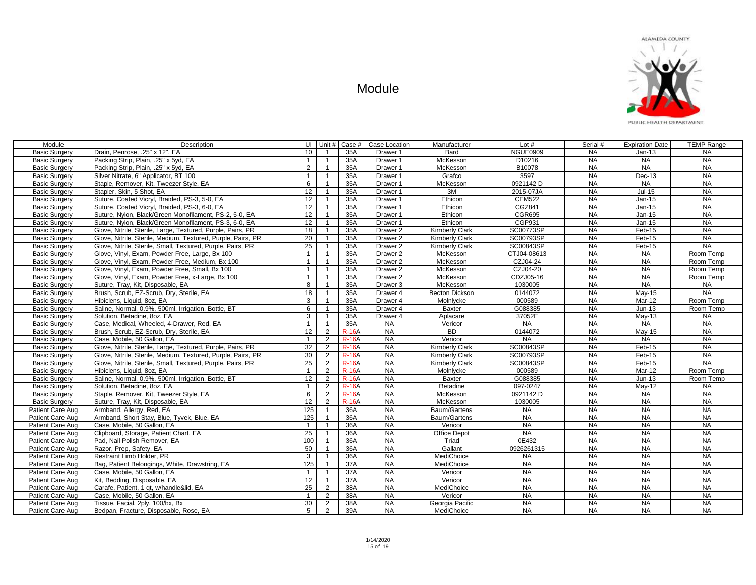

| Module               | Description                                                  | UI Unit #        |                | Case $#$     | Case Location       | Manufacturer          | Lot $#$       | Serial #  | <b>Expiration Date</b> | <b>TEMP Range</b> |
|----------------------|--------------------------------------------------------------|------------------|----------------|--------------|---------------------|-----------------------|---------------|-----------|------------------------|-------------------|
| <b>Basic Surgery</b> | Drain, Penrose, .25" x 12", EA                               | 10 <sup>°</sup>  | $\mathbf{1}$   | 35A          | Drawer 1            | Bard                  | NGUE0909      | <b>NA</b> | $Jan-13$               | <b>NA</b>         |
| <b>Basic Surgery</b> | Packing Strip, Plain, .25" x 5yd, EA                         | $\mathbf{1}$     | $\overline{1}$ | 35A          | Drawer 1            | McKesson              | D10216        | <b>NA</b> | <b>NA</b>              | <b>NA</b>         |
| <b>Basic Surgery</b> | Packing Strip, Plain, .25" x 5yd, EA                         | 2                | $\overline{1}$ | 35A          | Drawer 1            | McKesson              | B10078        | <b>NA</b> | <b>NA</b>              | <b>NA</b>         |
| <b>Basic Surgery</b> | Silver Nitrate, 6" Applicator, BT 100                        | $\mathbf{1}$     | $\mathbf{1}$   | 35A          | Drawer 1            | Grafco                | 3597          | <b>NA</b> | Dec-13                 | <b>NA</b>         |
| <b>Basic Surgery</b> | Staple, Remover, Kit, Tweezer Style, EA                      | 6                | $\mathbf{1}$   | 35A          | Drawer 1            | McKesson              | 0921142 D     | <b>NA</b> | <b>NA</b>              | <b>NA</b>         |
| <b>Basic Surgery</b> | Stapler, Skin, 5 Shot, EA                                    | 12               | $\mathbf{1}$   | 35A          | Drawer 1            | 3M                    | 2015-07JA     | <b>NA</b> | $Jul-15$               | <b>NA</b>         |
| <b>Basic Surgery</b> | Suture, Coated Vicryl, Braided, PS-3, 5-0, EA                | 12               | $\mathbf{1}$   | 35A          | Drawer 1            | Ethicon               | <b>CEM522</b> | <b>NA</b> | Jan-15                 | NA                |
| <b>Basic Surgery</b> | Suture, Coated Vicryl, Braided, PS-3, 6-0, EA                | 12               | $\mathbf{1}$   | 35A          | Drawer 1            | Ethicon               | CGZ841        | <b>NA</b> | Jan-15                 | <b>NA</b>         |
| <b>Basic Surgery</b> | Suture, Nylon, Black/Green Monofilament, PS-2, 5-0, EA       | 12               | $\mathbf{1}$   | 35A          | Drawer 1            | Ethicon               | <b>CGR695</b> | <b>NA</b> | Jan-15                 | <b>NA</b>         |
| <b>Basic Surgery</b> | Suture, Nylon, Black/Green Monofilament, PS-3, 6-0, EA       | 12               | $\overline{1}$ | 35A          | Drawer 1            | Ethicon               | CGP931        | <b>NA</b> | $Jan-15$               | <b>NA</b>         |
| <b>Basic Surgery</b> | Glove, Nitrile, Sterile, Large, Textured, Purple, Pairs, PR  | $\overline{18}$  | $\overline{1}$ | 35A          | Drawer 2            | Kimberly Clark        | SC00773SP     | NA        | $Feb-15$               | NA                |
| <b>Basic Surgery</b> | Glove, Nitrile, Sterile, Medium, Textured, Purple, Pairs, PR | 20               | $\mathbf{1}$   | 35A          | Drawer <sub>2</sub> | Kimberly Clark        | SC00793SP     | <b>NA</b> | Feb-15                 | <b>NA</b>         |
| <b>Basic Surgery</b> | Glove, Nitrile, Sterile, Small, Textured, Purple, Pairs, PR  | 25               | $\mathbf{1}$   | 35A          | Drawer 2            | Kimberly Clark        | SC00843SP     | <b>NA</b> | Feb-15                 | <b>NA</b>         |
| <b>Basic Surgery</b> | Glove, Vinyl, Exam, Powder Free, Large, Bx 100               | $\overline{1}$   | $\mathbf{1}$   | 35A          | Drawer 2            | McKesson              | CTJ04-08613   | <b>NA</b> | <b>NA</b>              | Room Temp         |
| <b>Basic Surgery</b> | Glove, Vinyl, Exam, Powder Free, Medium, Bx 100              | $\overline{1}$   | $\mathbf{1}$   | 35A          | Drawer 2            | McKesson              | CZJ04-24      | NA        | <b>NA</b>              | Room Temp         |
| <b>Basic Surgery</b> | Glove, Vinyl, Exam, Powder Free, Small, Bx 100               | $\mathbf{1}$     | $\mathbf{1}$   | 35A          | Drawer <sub>2</sub> | McKesson              | CZJ04-20      | <b>NA</b> | <b>NA</b>              | Room Temp         |
| <b>Basic Surgery</b> | Glove, Vinyl, Exam, Powder Free, x-Large, Bx 100             | $\overline{1}$   | $\mathbf{1}$   | 35A          | Drawer 2            | McKesson              | CDZJ05-16     | <b>NA</b> | <b>NA</b>              | Room Temp         |
| <b>Basic Surgery</b> | Suture, Tray, Kit, Disposable, EA                            | 8                | $\mathbf{1}$   | 35A          | Drawer <sub>3</sub> | McKesson              | 1030005       | <b>NA</b> | <b>NA</b>              | <b>NA</b>         |
| <b>Basic Surgery</b> | Brush, Scrub, EZ-Scrub, Dry, Sterile, EA                     | 18               | $\overline{1}$ | 35A          | Drawer 4            | <b>Becton Dickson</b> | 0144072       | <b>NA</b> | <b>May-15</b>          | <b>NA</b>         |
| <b>Basic Surgery</b> | Hibiclens, Liquid, 8oz, EA                                   | 3                | $\overline{1}$ | 35A          | Drawer 4            | Molnlycke             | 000589        | NA        | Mar-12                 | Room Temp         |
| <b>Basic Surgery</b> | Saline, Normal, 0.9%, 500ml, Irrigation, Bottle, BT          | 6                | $\mathbf{1}$   | 35A          | Drawer 4            | Baxter                | G088385       | NA        | $Jun-13$               | Room Temp         |
| <b>Basic Surgery</b> | Solution, Betadine, 8oz, EA                                  | 3                | $\overline{1}$ | 35A          | Drawer <sub>4</sub> | Aplacare              | 37052E        | NA        | $Mav-13$               | <b>NA</b>         |
| <b>Basic Surgery</b> | Case, Medical, Wheeled, 4-Drawer, Red, EA                    | $\mathbf{1}$     | $\mathbf{1}$   | 35A          | <b>NA</b>           | Vericor               | <b>NA</b>     | NA        | <b>NA</b>              | <b>NA</b>         |
| <b>Basic Surgery</b> | Brush, Scrub, EZ-Scrub, Dry, Sterile, EA                     | 12               | 2              | <b>R-16A</b> | NA                  | <b>BD</b>             | 0144072       | NA        | May-15                 | NA                |
| <b>Basic Surgery</b> | Case, Mobile, 50 Gallon, EA                                  | $\overline{1}$   | 2              | <b>R-16A</b> | <b>NA</b>           | Vericor               | <b>NA</b>     | <b>NA</b> | <b>NA</b>              | <b>NA</b>         |
| <b>Basic Surgery</b> | Glove, Nitrile, Sterile, Large, Textured, Purple, Pairs, PR  | 32               | 2              | <b>R-16A</b> | <b>NA</b>           | Kimberly Clark        | SC00843SP     | <b>NA</b> | Feb-15                 | <b>NA</b>         |
| <b>Basic Surgery</b> | Glove, Nitrile, Sterile, Medium, Textured, Purple, Pairs, PR | 30               | 2              | <b>R-16A</b> | <b>NA</b>           | <b>Kimberly Clark</b> | SC00793SP     | <b>NA</b> | Feb-15                 | <b>NA</b>         |
| <b>Basic Surgery</b> | Glove, Nitrile, Sterile, Small, Textured, Purple, Pairs, PR  | 25               | 2              | <b>R-16A</b> | <b>NA</b>           | <b>Kimberly Clark</b> | SC00843SP     | <b>NA</b> | Feb-15                 | NA                |
| <b>Basic Surgery</b> | Hibiclens, Liquid, 8oz, EA                                   | $\overline{1}$   | 2              | <b>R-16A</b> | <b>NA</b>           | Molnlycke             | 000589        | <b>NA</b> | $Mar-12$               | Room Temp         |
| <b>Basic Surgery</b> | Saline, Normal, 0.9%, 500ml, Irrigation, Bottle, BT          | 12               | 2              | <b>R-16A</b> | <b>NA</b>           | <b>Baxter</b>         | G088385       | <b>NA</b> | $Jun-13$               | Room Temp         |
| <b>Basic Surgery</b> | Solution, Betadine, 8oz. EA                                  | $\mathbf{1}$     | 2              | <b>R-16A</b> | <b>NA</b>           | Betadine              | 097-0247      | <b>NA</b> | May-12                 | <b>NA</b>         |
| <b>Basic Surgery</b> | Staple, Remover, Kit. Tweezer Style, EA                      | 6                | 2              | <b>R-16A</b> | <b>NA</b>           | McKesson              | 0921142 D     | NA        | <b>NA</b>              | <b>NA</b>         |
| <b>Basic Surgery</b> | Suture. Trav. Kit. Disposable. EA                            | 12               | 2              | <b>R-16A</b> | <b>NA</b>           | McKesson              | 1030005       | NA        | <b>NA</b>              | <b>NA</b>         |
| Patient Care Aug     | Armband, Allergy, Red, EA                                    | 125              | $\mathbf{1}$   | 36A          | <b>NA</b>           | Baum/Gartens          | <b>NA</b>     | <b>NA</b> | <b>NA</b>              | <b>NA</b>         |
| Patient Care Aug     | Armband, Short Stay, Blue, Tyvek, Blue, EA                   | 125              | $\mathbf{1}$   | 36A          | <b>NA</b>           | Baum/Gartens          | <b>NA</b>     | <b>NA</b> | <b>NA</b>              | <b>NA</b>         |
| Patient Care Aug     | Case, Mobile, 50 Gallon, EA                                  | $\overline{1}$   | $\mathbf{1}$   | 36A          | <b>NA</b>           | Vericor               | <b>NA</b>     | <b>NA</b> | <b>NA</b>              | <b>NA</b>         |
| Patient Care Aug     | Clipboard, Storage, Patient Chart, EA                        | 25               | $\mathbf{1}$   | 36A          | <b>NA</b>           | Office Depot          | NA            | <b>NA</b> | <b>NA</b>              | <b>NA</b>         |
| Patient Care Aug     | Pad, Nail Polish Remover, EA                                 | 100              | $\mathbf{1}$   | 36A          | <b>NA</b>           | Triad                 | 0E432         | <b>NA</b> | <b>NA</b>              | <b>NA</b>         |
| Patient Care Aug     | Razor, Prep, Safety, EA                                      | 50               | $\mathbf{1}$   | 36A          | <b>NA</b>           | Gallant               | 0926261315    | <b>NA</b> | <b>NA</b>              | <b>NA</b>         |
| Patient Care Aug     | Restraint Limb Holder, PR                                    | 3                | $\mathbf{1}$   | 36A          | <b>NA</b>           | MediChoice            | <b>NA</b>     | <b>NA</b> | <b>NA</b>              | <b>NA</b>         |
| Patient Care Aug     | Bag, Patient Belongings, White, Drawstring, EA               | $\overline{125}$ | $\mathbf{1}$   | 37A          | NA                  | MediChoice            | <b>NA</b>     | NA        | <b>NA</b>              | <b>NA</b>         |
| Patient Care Aug     | Case, Mobile, 50 Gallon, EA                                  | $\mathbf{1}$     | $\mathbf{1}$   | 37A          | <b>NA</b>           | Vericor               | <b>NA</b>     | <b>NA</b> | <b>NA</b>              | <b>NA</b>         |
| Patient Care Aug     | Kit, Bedding, Disposable, EA                                 | 12               | $\mathbf{1}$   | 37A          | <b>NA</b>           | Vericor               | <b>NA</b>     | <b>NA</b> | <b>NA</b>              | <b>NA</b>         |
| Patient Care Aug     | Carafe, Patient, 1 gt, w/handle&lid, EA                      | 25               | $\overline{2}$ | 38A          | <b>NA</b>           | MediChoice            | <b>NA</b>     | <b>NA</b> | <b>NA</b>              | <b>NA</b>         |
| Patient Care Aug     | Case, Mobile, 50 Gallon, EA                                  | $\overline{1}$   | 2              | 38A          | <b>NA</b>           | Vericor               | <b>NA</b>     | <b>NA</b> | $N_A$                  | <b>NA</b>         |
| Patient Care Aug     | Tissue, Facial, 2ply, 100/bx, Bx                             | 30 <sup>2</sup>  | $\overline{2}$ | 38A          | <b>NA</b>           | Georgia Pacific       | <b>NA</b>     | <b>NA</b> | <b>NA</b>              | <b>NA</b>         |
| Patient Care Aug     | Bedpan, Fracture, Disposable, Rose, EA                       | 5 <sup>5</sup>   | 2              | 39A          | <b>NA</b>           | <b>MediChoice</b>     | <b>NA</b>     | <b>NA</b> | <b>NA</b>              | <b>NA</b>         |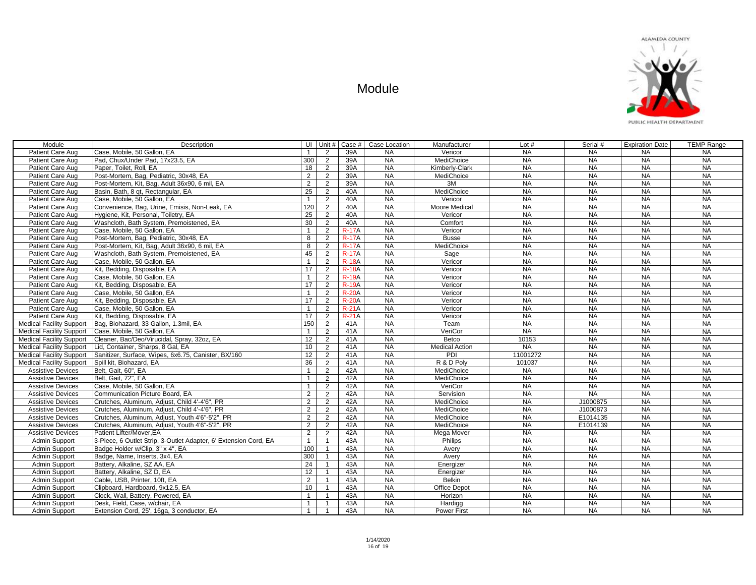

| Module                          | Description                                                      | UI             | Unit #         | Case #       | Case Location | Manufacturer          | Lot $#$   | Serial #  | <b>Expiration Date</b> | <b>TEMP Range</b> |
|---------------------------------|------------------------------------------------------------------|----------------|----------------|--------------|---------------|-----------------------|-----------|-----------|------------------------|-------------------|
| Patient Care Aug                | Case, Mobile, 50 Gallon, EA                                      | $\mathbf{1}$   | $\overline{2}$ | 39A          | <b>NA</b>     | Vericor               | <b>NA</b> | <b>NA</b> | <b>NA</b>              | <b>NA</b>         |
| Patient Care Aug                | Pad, Chux/Under Pad, 17x23.5, EA                                 | 300            | $\overline{2}$ | 39A          | <b>NA</b>     | MediChoice            | <b>NA</b> | NA        | <b>NA</b>              | <b>NA</b>         |
| Patient Care Aug                | Paper, Toilet, Roll, EA                                          | 18             | $\overline{2}$ | 39A          | NA            | Kimberly-Clark        | NA        | NA        | <b>NA</b>              | NA                |
| Patient Care Aug                | Post-Mortem, Bag, Pediatric, 30x48, EA                           | $\overline{2}$ | $\overline{2}$ | 39A          | <b>NA</b>     | MediChoice            | <b>NA</b> | <b>NA</b> | <b>NA</b>              | $N_A$             |
| Patient Care Aug                | Post-Mortem, Kit, Bag, Adult 36x90, 6 mil, EA                    | $\overline{2}$ | $\overline{2}$ | 39A          | <b>NA</b>     | 3M                    | <b>NA</b> | <b>NA</b> | <b>NA</b>              | $N_A$             |
| Patient Care Aug                | Basin, Bath, 8 gt, Rectangular, EA                               | 25             | $\overline{2}$ | 40A          | <b>NA</b>     | MediChoice            | <b>NA</b> | <b>NA</b> | <b>NA</b>              | <b>NA</b>         |
| Patient Care Aug                | Case, Mobile, 50 Gallon, EA                                      | $\overline{1}$ | $\overline{2}$ | 40A          | NA            | Vericor               | NA        | NA        | NA                     | $N_A$             |
| Patient Care Aug                | Convenience, Bag, Urine, Emisis, Non-Leak, EA                    | 120            | $\overline{2}$ | 40A          | <b>NA</b>     | <b>Moore Medical</b>  | <b>NA</b> | <b>NA</b> | <b>NA</b>              | <b>NA</b>         |
| Patient Care Aug                | Hygiene. Kit. Personal. Toiletry. EA                             | 25             | $\overline{2}$ | 40A          | <b>NA</b>     | Vericor               | <b>NA</b> | <b>NA</b> | <b>NA</b>              | <b>NA</b>         |
| Patient Care Aug                | Washcloth. Bath Svstem. Premoistened. EA                         | 30             | 2              | 40A          | <b>NA</b>     | Comfort               | <b>NA</b> | <b>NA</b> | <b>NA</b>              | $N_A$             |
| Patient Care Aug                | Case, Mobile, 50 Gallon, EA                                      | $\mathbf{1}$   | $\overline{2}$ | $R-17A$      | <b>NA</b>     | Vericor               | $N_A$     | <b>NA</b> | <b>NA</b>              | <b>NA</b>         |
| Patient Care Aug                | Post-Mortem, Bag, Pediatric, 30x48, EA                           | 8              | $\overline{2}$ | $R-17A$      | <b>NA</b>     | <b>Busse</b>          | <b>NA</b> | <b>NA</b> | <b>NA</b>              | <b>NA</b>         |
| Patient Care Aug                | Post-Mortem, Kit, Bag, Adult 36x90, 6 mil, EA                    | 8              | $\overline{2}$ | $R-17A$      | <b>NA</b>     | MediChoice            | <b>NA</b> | <b>NA</b> | <b>NA</b>              | <b>NA</b>         |
| Patient Care Aug                | Washcloth, Bath System, Premoistened, EA                         | 45             | $\overline{2}$ | <b>R-17A</b> | NA            | Sage                  | <b>NA</b> | <b>NA</b> | <b>NA</b>              | <b>NA</b>         |
| Patient Care Aug                | Case, Mobile, 50 Gallon, EA                                      | $\mathbf{1}$   | 2              | <b>R-18A</b> | <b>NA</b>     | Vericor               | <b>NA</b> | <b>NA</b> | <b>NA</b>              | <b>NA</b>         |
| Patient Care Aug                | Kit. Bedding. Disposable. EA                                     | 17             | 2              | <b>R-18A</b> | NA            | Vericor               | <b>NA</b> | <b>NA</b> | <b>NA</b>              | <b>NA</b>         |
| Patient Care Aug                | Case, Mobile, 50 Gallon, EA                                      | $\mathbf{1}$   | 2              | <b>R-19A</b> | <b>NA</b>     | Vericor               | <b>NA</b> | <b>NA</b> | <b>NA</b>              | $N_A$             |
| Patient Care Aug                | Kit, Bedding, Disposable, EA                                     | 17             | $\overline{2}$ | <b>R-19A</b> | <b>NA</b>     | Vericor               | <b>NA</b> | <b>NA</b> | <b>NA</b>              | $N_A$             |
| Patient Care Aug                | Case, Mobile, 50 Gallon, EA                                      | $\overline{1}$ | 2              | $R-20A$      | <b>NA</b>     | Vericor               | <b>NA</b> | <b>NA</b> | <b>NA</b>              | <b>NA</b>         |
| Patient Care Aug                | Kit, Bedding, Disposable, EA                                     | 17             | $\overline{2}$ | <b>R-20A</b> | <b>NA</b>     | Vericor               | <b>NA</b> | <b>NA</b> | <b>NA</b>              | <b>NA</b>         |
| Patient Care Aug                | Case, Mobile, 50 Gallon, EA                                      | $\overline{1}$ | 2              | $R-21A$      | <b>NA</b>     | Vericor               | <b>NA</b> | <b>NA</b> | <b>NA</b>              | <b>NA</b>         |
| Patient Care Aug                | Kit, Bedding, Disposable, EA                                     | 17             | $\overline{2}$ | $R-21A$      | <b>NA</b>     | Vericor               | <b>NA</b> | <b>NA</b> | <b>NA</b>              | $N_A$             |
| <b>Medical Facility Support</b> | Bag, Biohazard, 33 Gallon, 1.3mil, EA                            | 150            | $\overline{2}$ | 41A          | <b>NA</b>     | Team                  | <b>NA</b> | <b>NA</b> | <b>NA</b>              | $N_A$             |
| <b>Medical Facility Support</b> | Case, Mobile, 50 Gallon, EA                                      | $\mathbf{1}$   | $\overline{2}$ | 41A          | <b>NA</b>     | VeriCor               | <b>NA</b> | <b>NA</b> | $N_A$                  | <b>NA</b>         |
| <b>Medical Facility Support</b> | Cleaner, Bac/Deo/Virucidal, Spray, 32oz, EA                      | 12             | $\overline{2}$ | 41A          | <b>NA</b>     | Betco                 | 10153     | <b>NA</b> | <b>NA</b>              | <b>NA</b>         |
| <b>Medical Facility Support</b> | Lid, Container, Sharps, 8 Gal, EA                                | 10             | $\overline{2}$ | 41A          | <b>NA</b>     | <b>Medical Action</b> | <b>NA</b> | <b>NA</b> | <b>NA</b>              | <b>NA</b>         |
| <b>Medical Facility Support</b> | Sanitizer, Surface, Wipes, 6x6.75, Canister, BX/160              | 12             | 2              | 41A          | <b>NA</b>     | PDI                   | 11001272  | <b>NA</b> | <b>NA</b>              | <b>NA</b>         |
| <b>Medical Facility Support</b> | Spill kit, Biohazard, EA                                         | 36             | $\overline{2}$ | 41A          | <b>NA</b>     | R & D Poly            | 101037    | <b>NA</b> | <b>NA</b>              | $N_A$             |
| <b>Assistive Devices</b>        | Belt, Gait, 60", EA                                              | $\mathbf{1}$   | $\overline{2}$ | 42A          | NA            | MediChoice            | <b>NA</b> | NA        | <b>NA</b>              | <b>NA</b>         |
| <b>Assistive Devices</b>        | Belt, Gait, 72", EA                                              | $\overline{1}$ | $\overline{2}$ | 42A          | <b>NA</b>     | MediChoice            | <b>NA</b> | <b>NA</b> | <b>NA</b>              | $N_A$             |
| <b>Assistive Devices</b>        | Case, Mobile, 50 Gallon, EA                                      | $\mathbf{1}$   | $\overline{2}$ | 42A          | NA            | VeriCor               | <b>NA</b> | <b>NA</b> | <b>NA</b>              | $N_A$             |
| <b>Assistive Devices</b>        | Communication Picture Board, EA                                  | $\overline{2}$ | $\overline{2}$ | 42A          | NA            | Servision             | <b>NA</b> | <b>NA</b> | <b>NA</b>              | <b>NA</b>         |
| <b>Assistive Devices</b>        | Crutches, Aluminum, Adjust, Child 4'-4'6", PR                    | 2              | $\overline{2}$ | 42A          | NA            | MediChoice            | <b>NA</b> | J1000875  | <b>NA</b>              | <b>NA</b>         |
| <b>Assistive Devices</b>        | Crutches, Aluminum, Adjust, Child 4'-4'6", PR                    | 2              | $\overline{2}$ | 42A          | <b>NA</b>     | MediChoice            | <b>NA</b> | J1000873  | <b>NA</b>              | <b>NA</b>         |
| <b>Assistive Devices</b>        | Crutches, Aluminum, Adjust, Youth 4'6"-5'2", PR                  | $\overline{2}$ | $\overline{2}$ | 42A          | <b>NA</b>     | MediChoice            | <b>NA</b> | E1014135  | <b>NA</b>              | $N_A$             |
| <b>Assistive Devices</b>        | Crutches, Aluminum, Adjust, Youth 4'6"-5'2", PR                  | 2              | $\overline{2}$ | 42A          | NA            | MediChoice            | <b>NA</b> | E1014139  | <b>NA</b>              | $N_A$             |
| <b>Assistive Devices</b>        | Patient Lifter/Mover.EA                                          | $\overline{2}$ | $\overline{2}$ | 42A          | NA            | <b>Mega Mover</b>     | <b>NA</b> | <b>NA</b> | <b>NA</b>              | $N_A$             |
| Admin Support                   | 3-Piece, 6 Outlet Strip, 3-Outlet Adapter, 6' Extension Cord, EA | $\overline{1}$ | $\mathbf{1}$   | 43A          | <b>NA</b>     | Philips               | <b>NA</b> | <b>NA</b> | <b>NA</b>              | <b>NA</b>         |
| Admin Support                   | Badge Holder w/Clip, 3" x 4", EA                                 | 100            | $\overline{1}$ | 43A          | <b>NA</b>     | Avery                 | <b>NA</b> | <b>NA</b> | <b>NA</b>              | <b>NA</b>         |
| Admin Support                   | Badge, Name, Inserts, 3x4, EA                                    | 300            | $\overline{1}$ | 43A          | <b>NA</b>     | Avery                 | <b>NA</b> | <b>NA</b> | <b>NA</b>              | <b>NA</b>         |
| Admin Support                   | Battery, Alkaline, SZ AA, EA                                     | 24             | $\overline{1}$ | 43A          | NA            | Energizer             | NA        | $N_A$     | NA                     | $N_A$             |
| Admin Support                   | Battery, Alkaline, SZ D, EA                                      | 12             | $\mathbf{1}$   | 43A          | <b>NA</b>     | Energizer             | <b>NA</b> | <b>NA</b> | <b>NA</b>              | <b>NA</b>         |
| Admin Support                   | Cable, USB, Printer, 10ft, EA                                    | $\overline{2}$ | $\overline{1}$ | 43A          | <b>NA</b>     | <b>Belkin</b>         | <b>NA</b> | NA        | <b>NA</b>              | <b>NA</b>         |
| Admin Support                   | Clipboard, Hardboard, 9x12.5, EA                                 | 10             | $\mathbf{1}$   | 43A          | <b>NA</b>     | Office Depot          | <b>NA</b> | <b>NA</b> | <b>NA</b>              | <b>NA</b>         |
| <b>Admin Support</b>            | Clock, Wall, Battery, Powered, EA                                | $\mathbf{1}$   |                | 43A          | <b>NA</b>     | Horizon               | <b>NA</b> | <b>NA</b> | <b>NA</b>              | <b>NA</b>         |
| Admin Support                   | Desk, Field, Case, w/chair, EA                                   | $\overline{1}$ |                | 43A          | NA            | Hardigg               | <b>NA</b> | <b>NA</b> | <b>NA</b>              | <b>NA</b>         |
| <b>Admin Support</b>            | Extension Cord, 25', 16ga, 3 conductor, EA                       | $\overline{1}$ | $\overline{1}$ | 43A          | <b>NA</b>     | <b>Power First</b>    | <b>NA</b> | <b>NA</b> | <b>NA</b>              | <b>NA</b>         |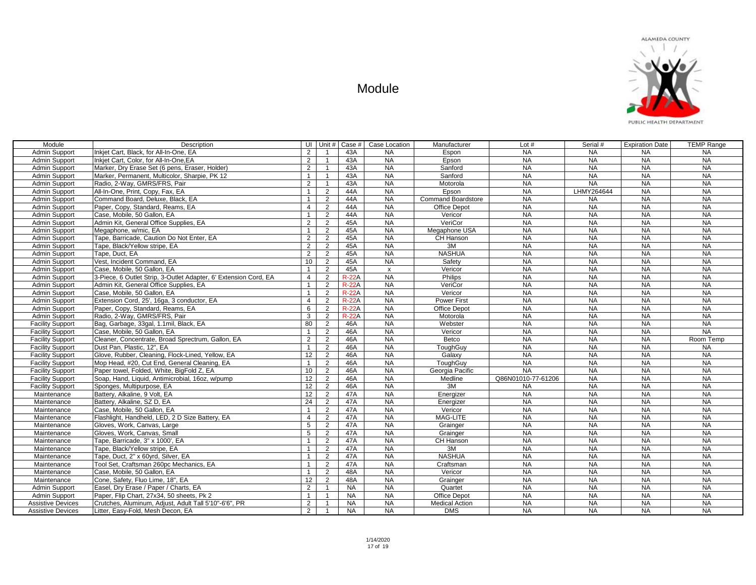

| Module                   | Description                                                      |                | UI Unit #      | Case #       | Case Location | Manufacturer              | Lot $#$            | Serial #   | <b>Expiration Date</b> | <b>TEMP Range</b> |
|--------------------------|------------------------------------------------------------------|----------------|----------------|--------------|---------------|---------------------------|--------------------|------------|------------------------|-------------------|
| Admin Support            | Inkjet Cart, Black, for All-In-One, EA                           | 2              | $\overline{1}$ | 43A          | <b>NA</b>     | Espon                     | <b>NA</b>          | <b>NA</b>  | <b>NA</b>              | <b>NA</b>         |
| Admin Support            | Inkiet Cart. Color. for All-In-One.EA                            | 2              | $\overline{1}$ | 43A          | <b>NA</b>     | Epson                     | <b>NA</b>          | <b>NA</b>  | <b>NA</b>              | <b>NA</b>         |
| Admin Support            | Marker. Drv Erase Set (6 pens. Eraser. Holder)                   | 2              | $\overline{1}$ | 43A          | NA            | Sanford                   | <b>NA</b>          | <b>NA</b>  | <b>NA</b>              | <b>NA</b>         |
| Admin Support            | Marker, Permanent, Multicolor, Sharpie, PK 12                    | $\overline{1}$ | $\overline{1}$ | 43A          | <b>NA</b>     | Sanford                   | <b>NA</b>          | <b>NA</b>  | <b>NA</b>              | <b>NA</b>         |
| Admin Support            | Radio, 2-Way, GMRS/FRS, Pair                                     | $\overline{2}$ | $\overline{1}$ | 43A          | <b>NA</b>     | Motorola                  | <b>NA</b>          | <b>NA</b>  | <b>NA</b>              | <b>NA</b>         |
| Admin Support            | All-In-One, Print, Copy, Fax, EA                                 | $\overline{1}$ | $\overline{2}$ | 44A          | <b>NA</b>     | Epson                     | <b>NA</b>          | LHMY264644 | <b>NA</b>              | <b>NA</b>         |
| Admin Support            | Command Board, Deluxe, Black, EA                                 | $\overline{1}$ | 2              | 44A          | <b>NA</b>     | <b>Command Boardstore</b> | <b>NA</b>          | <b>NA</b>  | NA                     | NA                |
| Admin Support            | Paper, Copy, Standard, Reams, EA                                 | 4              | 2              | 44A          | <b>NA</b>     | Office Depot              | <b>NA</b>          | <b>NA</b>  | <b>NA</b>              | <b>NA</b>         |
| Admin Support            | Case, Mobile, 50 Gallon, EA                                      | $\overline{1}$ | $\overline{2}$ | 44A          | <b>NA</b>     | Vericor                   | <b>NA</b>          | NA         | <b>NA</b>              | <b>NA</b>         |
| Admin Support            | Admin Kit, General Office Supplies, EA                           | $\overline{2}$ | 2              | 45A          | <b>NA</b>     | VeriCor                   | <b>NA</b>          | <b>NA</b>  | <b>NA</b>              | <b>NA</b>         |
| Admin Support            | Megaphone, w/mic, EA                                             | $\overline{1}$ | 2              | 45A          | <b>NA</b>     | Megaphone USA             | <b>NA</b>          | <b>NA</b>  | NA                     | <b>NA</b>         |
| <b>Admin Support</b>     | Tape, Barricade, Caution Do Not Enter, EA                        | $\overline{2}$ | 2              | 45A          | <b>NA</b>     | CH Hanson                 | <b>NA</b>          | <b>NA</b>  | <b>NA</b>              | <b>NA</b>         |
| Admin Support            | Tape, Black/Yellow stripe, EA                                    | $\overline{2}$ | 2              | 45A          | <b>NA</b>     | 3M                        | <b>NA</b>          | <b>NA</b>  | <b>NA</b>              | <b>NA</b>         |
| Admin Support            | Tape, Duct, EA                                                   | 2              | 2              | 45A          | <b>NA</b>     | <b>NASHUA</b>             | <b>NA</b>          | <b>NA</b>  | <b>NA</b>              | <b>NA</b>         |
| Admin Support            | Vest. Incident Command, EA                                       | 10             | 2              | 45A          | <b>NA</b>     | Safety                    | <b>NA</b>          | <b>NA</b>  | <b>NA</b>              | <b>NA</b>         |
| Admin Support            | Case, Mobile, 50 Gallon, EA                                      | $\overline{1}$ | $\overline{2}$ | 45A          | $\mathbf{x}$  | Vericor                   | <b>NA</b>          | <b>NA</b>  | <b>NA</b>              | <b>NA</b>         |
| Admin Support            | 3-Piece, 6 Outlet Strip, 3-Outlet Adapter, 6' Extension Cord, EA | 4              | $\overline{2}$ | <b>R-22A</b> | <b>NA</b>     | Philips                   | <b>NA</b>          | <b>NA</b>  | <b>NA</b>              | <b>NA</b>         |
| Admin Support            | Admin Kit, General Office Supplies, EA                           | $\overline{1}$ | $\overline{2}$ | <b>R-22A</b> | <b>NA</b>     | VeriCor                   | <b>NA</b>          | <b>NA</b>  | <b>NA</b>              | <b>NA</b>         |
| Admin Support            | Case, Mobile, 50 Gallon, EA                                      | $\overline{1}$ | 2              | $R-22A$      | <b>NA</b>     | Vericor                   | <b>NA</b>          | <b>NA</b>  | <b>NA</b>              | <b>NA</b>         |
| Admin Support            | Extension Cord, 25', 16ga, 3 conductor, EA                       | $\overline{4}$ | $\overline{2}$ | <b>R-22A</b> | <b>NA</b>     | <b>Power First</b>        | NA                 | <b>NA</b>  | NA                     | NA                |
| Admin Support            | Paper, Copy, Standard, Reams, EA                                 | 6              | $\overline{2}$ | $R-22A$      | <b>NA</b>     | Office Depot              | <b>NA</b>          | <b>NA</b>  | <b>NA</b>              | <b>NA</b>         |
| Admin Support            | Radio, 2-Way, GMRS/FRS, Pair                                     | 3              | 2              | $R-22A$      | <b>NA</b>     | Motorola                  | $N_A$              | <b>NA</b>  | <b>NA</b>              | <b>NA</b>         |
| <b>Facility Support</b>  | Bag, Garbage, 33gal, 1.1mil, Black, EA                           | 80             | 2              | 46A          | <b>NA</b>     | Webster                   | <b>NA</b>          | <b>NA</b>  | <b>NA</b>              | <b>NA</b>         |
| <b>Facility Support</b>  | Case, Mobile, 50 Gallon, EA                                      | $\overline{1}$ | 2              | 46A          | <b>NA</b>     | Vericor                   | NA                 | <b>NA</b>  | NA                     | NA                |
| <b>Facility Support</b>  | Cleaner, Concentrate, Broad Sprectrum, Gallon, EA                | 2              | 2              | 46A          | <b>NA</b>     | Betco                     | <b>NA</b>          | <b>NA</b>  | <b>NA</b>              | Room Temp         |
| <b>Facility Support</b>  | Dust Pan. Plastic. 12". EA                                       | $\overline{1}$ | 2              | 46A          | <b>NA</b>     | ToughGuv                  | <b>NA</b>          | <b>NA</b>  | <b>NA</b>              | <b>NA</b>         |
| <b>Facility Support</b>  | Glove, Rubber, Cleaning, Flock-Lined, Yellow, EA                 | 12             | 2              | 46A          | <b>NA</b>     | Galaxy                    | <b>NA</b>          | <b>NA</b>  | <b>NA</b>              | <b>NA</b>         |
| <b>Facility Support</b>  | Mop Head, #20, Cut End, General Cleaning, EA                     | $\overline{1}$ | 2              | 46A          | <b>NA</b>     | ToughGuy                  | <b>NA</b>          | <b>NA</b>  | <b>NA</b>              | <b>NA</b>         |
| <b>Facility Support</b>  | Paper towel, Folded, White, BigFold Z, EA                        | 10             | $\overline{2}$ | 46A          | <b>NA</b>     | Georgia Pacific           | <b>NA</b>          | <b>NA</b>  | <b>NA</b>              | <b>NA</b>         |
| <b>Facility Support</b>  | Soap, Hand, Liquid, Antimicrobial, 16oz, w/pump                  | 12             | $\overline{2}$ | 46A          | <b>NA</b>     | Medline                   | Q86N01010-77-61206 | <b>NA</b>  | <b>NA</b>              | <b>NA</b>         |
| <b>Facility Support</b>  | Sponges, Multipurpose, EA                                        | 12             | $\overline{2}$ | 46A          | <b>NA</b>     | 3M                        | <b>NA</b>          | <b>NA</b>  | <b>NA</b>              | <b>NA</b>         |
| Maintenance              | Battery, Alkaline, 9 Volt, EA                                    | 12             | $\overline{2}$ | 47A          | <b>NA</b>     | Energizer                 | $N_A$              | <b>NA</b>  | <b>NA</b>              | NA                |
| Maintenance              | Battery, Alkaline, SZ D, EA                                      | 24             | $\overline{2}$ | 47A          | <b>NA</b>     | Energizer                 | NA                 | <b>NA</b>  | <b>NA</b>              | <b>NA</b>         |
| Maintenance              | Case, Mobile, 50 Gallon, EA                                      | $\overline{1}$ | 2              | 47A          | <b>NA</b>     | Vericor                   | <b>NA</b>          | <b>NA</b>  | <b>NA</b>              | <b>NA</b>         |
| Maintenance              | Flashlight, Handheld, LED, 2 D Size Battery, EA                  | $\overline{4}$ | 2              | 47A          | <b>NA</b>     | MAG-LITE                  | <b>NA</b>          | <b>NA</b>  | <b>NA</b>              | $N_A$             |
| Maintenance              | Gloves, Work, Canvas, Large                                      | 5              | 2              | 47A          | <b>NA</b>     | Grainger                  | <b>NA</b>          | <b>NA</b>  | <b>NA</b>              | <b>NA</b>         |
| Maintenance              | Gloves, Work, Canvas, Small                                      | 5              | 2              | 47A          | NA            | Grainger                  | <b>NA</b>          | <b>NA</b>  | <b>NA</b>              | NA                |
| Maintenance              | Tape, Barricade, 3" x 1000', EA                                  | $\overline{1}$ | $\overline{2}$ | 47A          | <b>NA</b>     | CH Hanson                 | <b>NA</b>          | <b>NA</b>  | <b>NA</b>              | $N_A$             |
| Maintenance              | Tape, Black/Yellow stripe, EA                                    | $\overline{1}$ | $\overline{2}$ | 47A          | <b>NA</b>     | 3M                        | <b>NA</b>          | <b>NA</b>  | <b>NA</b>              | <b>NA</b>         |
| Maintenance              | Tape, Duct, 2" x 60yrd, Silver, EA                               | $\overline{1}$ | 2              | 47A          | <b>NA</b>     | <b>NASHUA</b>             | <b>NA</b>          | <b>NA</b>  | <b>NA</b>              | <b>NA</b>         |
| Maintenance              | Tool Set, Craftsman 260pc Mechanics, EA                          | $\overline{1}$ | 2              | 47A          | <b>NA</b>     | Craftsman                 | <b>NA</b>          | <b>NA</b>  | <b>NA</b>              | <b>NA</b>         |
| Maintenance              | Case, Mobile, 50 Gallon, EA                                      | $\overline{1}$ | $\overline{2}$ | 48A          | <b>NA</b>     | Vericor                   | <b>NA</b>          | <b>NA</b>  | <b>NA</b>              | <b>NA</b>         |
| Maintenance              | Cone, Safety, Fluo Lime, 18", EA                                 | 12             | $\overline{2}$ | 48A          | <b>NA</b>     | Grainger                  | <b>NA</b>          | <b>NA</b>  | <b>NA</b>              | <b>NA</b>         |
| Admin Support            | Easel, Dry Erase / Paper / Charts, EA                            | $\overline{2}$ | $\overline{1}$ | <b>NA</b>    | <b>NA</b>     | Quartet                   | <b>NA</b>          | <b>NA</b>  | <b>NA</b>              | <b>NA</b>         |
| Admin Support            | Paper, Flip Chart, 27x34, 50 sheets, Pk 2                        | $\overline{1}$ | $\overline{1}$ | <b>NA</b>    | <b>NA</b>     | Office Depot              | <b>NA</b>          | <b>NA</b>  | <b>NA</b>              | <b>NA</b>         |
| <b>Assistive Devices</b> | Crutches, Aluminum, Adjust, Adult Tall 5'10"-6'6", PR            | $\overline{c}$ | $\overline{1}$ | <b>NA</b>    | <b>NA</b>     | <b>Medical Action</b>     | <b>NA</b>          | <b>NA</b>  | <b>NA</b>              | <b>NA</b>         |
| <b>Assistive Devices</b> | Litter, Easy-Fold, Mesh Decon, EA                                | $\overline{2}$ | $\overline{1}$ | <b>NA</b>    | <b>NA</b>     | <b>DMS</b>                | <b>NA</b>          | <b>NA</b>  | <b>NA</b>              | <b>NA</b>         |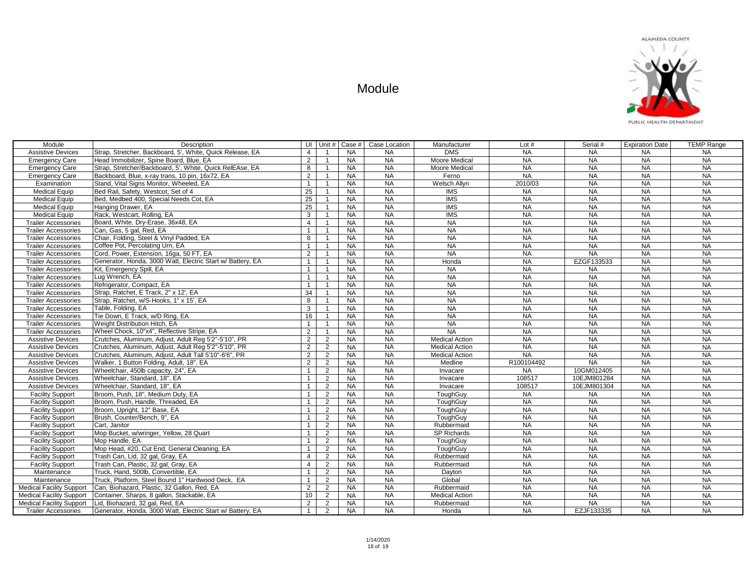| Module                          | Description                                                |                | UI Unit #      | Case $#$  | Case Location | Manufacturer            | Lot $#$    | Serial #    | <b>Expiration Date</b> | <b>TEMP Range</b> |
|---------------------------------|------------------------------------------------------------|----------------|----------------|-----------|---------------|-------------------------|------------|-------------|------------------------|-------------------|
| <b>Assistive Devices</b>        | Strap, Stretcher, Backboard, 5', White, Quick Release, EA  | $\overline{4}$ | $\mathbf{1}$   | <b>NA</b> | <b>NA</b>     | <b>DMS</b>              | <b>NA</b>  | <b>NA</b>   | <b>NA</b>              | <b>NA</b>         |
| <b>Emergency Care</b>           | Head Immobilizer, Spine Board, Blue, EA                    | 2              | $\mathbf{1}$   | <b>NA</b> | <b>NA</b>     | Moore Medical           | <b>NA</b>  | <b>NA</b>   | <b>NA</b>              | <b>NA</b>         |
| <b>Emergency Care</b>           | Strap, Stretcher/Backboard, 5', White, Quick RelEAse, EA   | 8              | $\mathbf{1}$   | <b>NA</b> | <b>NA</b>     | Moore Medical           | NA         | <b>NA</b>   | <b>NA</b>              | <b>NA</b>         |
| <b>Emergency Care</b>           | Backboard, Blue, x-ray trans, 10 pin, 16x72, EA            | 2              | $\mathbf{1}$   | <b>NA</b> | <b>NA</b>     | Ferno                   | <b>NA</b>  | <b>NA</b>   | <b>NA</b>              | <b>NA</b>         |
| Examination                     | Stand, Vital Signs Monitor, Wheeled, EA                    | $\mathbf{1}$   | $\mathbf{1}$   | <b>NA</b> | <b>NA</b>     | Welsch Allyn            | 2010/03    | <b>NA</b>   | <b>NA</b>              | <b>NA</b>         |
| <b>Medical Equip</b>            | Bed Rail, Safety, Westcot, Set of 4                        | 25             | $\mathbf{1}$   | <b>NA</b> | <b>NA</b>     | $\overline{\text{IMS}}$ | <b>NA</b>  | <b>NA</b>   | <b>NA</b>              | <b>NA</b>         |
| <b>Medical Equip</b>            | Bed, Medbed 400, Special Needs Cot, EA                     | 25             | $\mathbf{1}$   | <b>NA</b> | <b>NA</b>     | $\overline{\text{IMS}}$ | NA         | NA          | NA                     | NA                |
| <b>Medical Equip</b>            | Hanging Drawer, EA                                         | 25             | $\mathbf{1}$   | <b>NA</b> | <b>NA</b>     | <b>IMS</b>              | <b>NA</b>  | <b>NA</b>   | <b>NA</b>              | <b>NA</b>         |
| <b>Medical Equip</b>            | Rack, Westcart, Rolling, EA                                | 3              | $\mathbf{1}$   | <b>NA</b> | <b>NA</b>     | <b>IMS</b>              | <b>NA</b>  | <b>NA</b>   | <b>NA</b>              | <b>NA</b>         |
| <b>Trailer Accessories</b>      | Board, White, Dry-Erase, 36x48, EA                         | $\overline{4}$ | $\mathbf{1}$   | <b>NA</b> | <b>NA</b>     | <b>NA</b>               | <b>NA</b>  | <b>NA</b>   | <b>NA</b>              | <b>NA</b>         |
| <b>Trailer Accessories</b>      | Can, Gas, 5 gal, Red, EA                                   | $\overline{1}$ | $\mathbf{1}$   | <b>NA</b> | <b>NA</b>     | <b>NA</b>               | NA         | <b>NA</b>   | <b>NA</b>              | <b>NA</b>         |
| <b>Trailer Accessories</b>      | Chair, Folding, Steel & Vinyl Padded, EA                   | 8              | $\mathbf{1}$   | <b>NA</b> | <b>NA</b>     | <b>NA</b>               | <b>NA</b>  | <b>NA</b>   | <b>NA</b>              | <b>NA</b>         |
| <b>Trailer Accessories</b>      | Coffee Pot, Percolating Urn, EA                            | $\overline{1}$ | $\mathbf{1}$   | <b>NA</b> | <b>NA</b>     | <b>NA</b>               | <b>NA</b>  | <b>NA</b>   | <b>NA</b>              | <b>NA</b>         |
| <b>Trailer Accessories</b>      | Cord, Power, Extension, 16ga, 50 FT, EA                    | 2              | $\mathbf{1}$   | <b>NA</b> | <b>NA</b>     | <b>NA</b>               | <b>NA</b>  | <b>NA</b>   | <b>NA</b>              | <b>NA</b>         |
| <b>Trailer Accessories</b>      | Generator, Honda, 3000 Watt, Electric Start w/ Battery, EA | $\overline{1}$ | $\mathbf{1}$   | <b>NA</b> | <b>NA</b>     | Honda                   | <b>NA</b>  | EZGF133533  | <b>NA</b>              | <b>NA</b>         |
| <b>Trailer Accessories</b>      | Kit, Emergency Spill, EA                                   | $\overline{1}$ | $\mathbf{1}$   | <b>NA</b> | <b>NA</b>     | <b>NA</b>               | <b>NA</b>  | <b>NA</b>   | <b>NA</b>              | <b>NA</b>         |
| <b>Trailer Accessories</b>      | Lug Wrench, EA                                             | $\mathbf{1}$   | $\mathbf{1}$   | <b>NA</b> | <b>NA</b>     | <b>NA</b>               | <b>NA</b>  | <b>NA</b>   | NA                     | <b>NA</b>         |
| <b>Trailer Accessories</b>      | Refrigerator, Compact, EA                                  | $\overline{1}$ | $\mathbf{1}$   | <b>NA</b> | <b>NA</b>     | <b>NA</b>               | <b>NA</b>  | <b>NA</b>   | NA                     | <b>NA</b>         |
| <b>Trailer Accessories</b>      | Strap, Ratchet, E Track, 2" x 12', EA                      | 34             | $\mathbf{1}$   | <b>NA</b> | <b>NA</b>     | <b>NA</b>               | <b>NA</b>  | <b>NA</b>   | <b>NA</b>              | <b>NA</b>         |
| <b>Trailer Accessories</b>      | Strap, Ratchet, w/S-Hooks, 1" x 15', EA                    | 8              | $\mathbf{1}$   | <b>NA</b> | <b>NA</b>     | NA                      | NA         | <b>NA</b>   | NA                     | <b>NA</b>         |
| <b>Trailer Accessories</b>      | Table, Folding, EA                                         | $\mathbf{3}$   | $\mathbf{1}$   | <b>NA</b> | <b>NA</b>     | <b>NA</b>               | <b>NA</b>  | <b>NA</b>   | NA                     | <b>NA</b>         |
| <b>Trailer Accessories</b>      | Tie Down, E Track, w/D Ring, EA                            | 16             | $\mathbf{1}$   | <b>NA</b> | <b>NA</b>     | <b>NA</b>               | <b>NA</b>  | <b>NA</b>   | <b>NA</b>              | <b>NA</b>         |
| <b>Trailer Accessories</b>      | Weight Distribution Hitch, EA                              | $\overline{1}$ | $\mathbf{1}$   | <b>NA</b> | <b>NA</b>     | <b>NA</b>               | <b>NA</b>  | <b>NA</b>   | <b>NA</b>              | <b>NA</b>         |
| <b>Trailer Accessories</b>      | Wheel Chock, 10"x4", Reflective Stripe, EA                 | 2              | $\mathbf{1}$   | <b>NA</b> | <b>NA</b>     | <b>NA</b>               | <b>NA</b>  | <b>NA</b>   | NA                     | <b>NA</b>         |
| <b>Assistive Devices</b>        | Crutches, Aluminum, Adjust, Adult Reg 5'2"-5'10", PR       | 2              | $\overline{2}$ | <b>NA</b> | <b>NA</b>     | <b>Medical Action</b>   | <b>NA</b>  | <b>NA</b>   | <b>NA</b>              | <b>NA</b>         |
| <b>Assistive Devices</b>        | Crutches, Aluminum, Adjust, Adult Reg 5'2"-5'10", PR       | 2              | $\overline{2}$ | <b>NA</b> | <b>NA</b>     | <b>Medical Action</b>   | <b>NA</b>  | <b>NA</b>   | <b>NA</b>              | <b>NA</b>         |
| <b>Assistive Devices</b>        | Crutches, Aluminum, Adjust, Adult Tall 5'10"-6'6", PR      | 2              | 2              | <b>NA</b> | <b>NA</b>     | <b>Medical Action</b>   | <b>NA</b>  | <b>NA</b>   | <b>NA</b>              | <b>NA</b>         |
| <b>Assistive Devices</b>        | Walker, 1 Button Folding, Adult, 18", EA                   | 2              | $\overline{2}$ | <b>NA</b> | <b>NA</b>     | Medline                 | R100104492 | $N_A$       | $N_A$                  | NA                |
| <b>Assistive Devices</b>        | Wheelchair, 450lb capacity, 24", EA                        | $\mathbf{1}$   | $\overline{2}$ | <b>NA</b> | <b>NA</b>     | Invacare                | <b>NA</b>  | 10GM012405  | <b>NA</b>              | <b>NA</b>         |
| <b>Assistive Devices</b>        | Wheelchair, Standard, 18", EA                              | $\overline{1}$ | $\overline{2}$ | <b>NA</b> | <b>NA</b>     | Invacare                | 108517     | 10EJM801284 | <b>NA</b>              | <b>NA</b>         |
| <b>Assistive Devices</b>        | Wheelchair, Standard, 18", EA                              | $\mathbf{1}$   | 2              | <b>NA</b> | <b>NA</b>     | Invacare                | 108517     | 10EJM801304 | <b>NA</b>              | <b>NA</b>         |
| <b>Facility Support</b>         | Broom, Push, 18", Medium Duty, EA                          | $\mathbf{1}$   | $\overline{2}$ | <b>NA</b> | NA            | ToughGuy                | <b>NA</b>  | <b>NA</b>   | NA                     | <b>NA</b>         |
| <b>Facility Support</b>         | Broom, Push, Handle, Threaded, EA                          | $\overline{1}$ | 2              | <b>NA</b> | <b>NA</b>     | ToughGuy                | <b>NA</b>  | <b>NA</b>   | <b>NA</b>              | <b>NA</b>         |
| <b>Facility Support</b>         | Broom, Upright, 12" Base, EA                               | $\overline{1}$ | $\overline{2}$ | <b>NA</b> | <b>NA</b>     | ToughGuy                | <b>NA</b>  | <b>NA</b>   | <b>NA</b>              | <b>NA</b>         |
| <b>Facility Support</b>         | Brush, Counter/Bench, 9", EA                               | $\overline{1}$ | $\overline{2}$ | <b>NA</b> | <b>NA</b>     | ToughGuy                | <b>NA</b>  | <b>NA</b>   | <b>NA</b>              | <b>NA</b>         |
| <b>Facility Support</b>         | Cart. Janitor                                              | $\overline{1}$ | 2              | <b>NA</b> | <b>NA</b>     | Rubbermaid              | <b>NA</b>  | <b>NA</b>   | <b>NA</b>              | <b>NA</b>         |
| <b>Facility Support</b>         | Mop Bucket, w/wringer, Yellow, 28 Quart                    | $\overline{1}$ | $\overline{2}$ | <b>NA</b> | NA            | <b>SP Richards</b>      | <b>NA</b>  | <b>NA</b>   | NA                     | NA                |
| <b>Facility Support</b>         | Mop Handle, EA                                             | $\overline{1}$ | $\overline{2}$ | <b>NA</b> | <b>NA</b>     | ToughGuy                | <b>NA</b>  | <b>NA</b>   | <b>NA</b>              | <b>NA</b>         |
| <b>Facility Support</b>         | Mop Head, #20, Cut End, General Cleaning, EA               | $\overline{1}$ | $\overline{2}$ | <b>NA</b> | <b>NA</b>     | ToughGuy                | <b>NA</b>  | <b>NA</b>   | <b>NA</b>              | <b>NA</b>         |
| <b>Facility Support</b>         | Trash Can, Lid, 32 gal, Gray, EA                           | $\overline{4}$ | $\overline{2}$ | NA        | <b>NA</b>     | Rubbermaid              | <b>NA</b>  | <b>NA</b>   | <b>NA</b>              | <b>NA</b>         |
| <b>Facility Support</b>         | Trash Can, Plastic, 32 gal, Gray, EA                       | $\overline{4}$ | $\overline{2}$ | NA        | <b>NA</b>     | Rubbermaid              | NA         | <b>NA</b>   | NA                     | NA                |
| Maintenance                     | Truck, Hand, 500lb, Convertible, EA                        | $\overline{1}$ | $\overline{2}$ | <b>NA</b> | <b>NA</b>     | Dayton                  | <b>NA</b>  | <b>NA</b>   | <b>NA</b>              | <b>NA</b>         |
| Maintenance                     | Truck. Platform. Steel Bound 1" Hardwood Deck. EA          | $\overline{1}$ | $\overline{2}$ | <b>NA</b> | <b>NA</b>     | Global                  | <b>NA</b>  | <b>NA</b>   | <b>NA</b>              | <b>NA</b>         |
| <b>Medical Facility Support</b> | Can, Biohazard, Plastic, 32 Gallon, Red, EA                | 2              | $\overline{2}$ | <b>NA</b> | <b>NA</b>     | Rubbermaid              | <b>NA</b>  | <b>NA</b>   | <b>NA</b>              | <b>NA</b>         |
| <b>Medical Facility Support</b> | Container, Sharps, 8 gallon, Stackable, EA                 | 10             | $\overline{2}$ | <b>NA</b> | <b>NA</b>     | <b>Medical Action</b>   | <b>NA</b>  | <b>NA</b>   | <b>NA</b>              | <b>NA</b>         |
| <b>Medical Facility Support</b> | Lid, Biohazard, 32 gal, Red, EA                            | $\overline{2}$ | 2              | <b>NA</b> | <b>NA</b>     | Rubbermaid              | <b>NA</b>  | <b>NA</b>   | <b>NA</b>              | <b>NA</b>         |
| <b>Trailer Accessories</b>      | Generator, Honda, 3000 Watt, Electric Start w/ Battery, EA | $\overline{1}$ | 2              | <b>NA</b> | <b>NA</b>     | Honda                   | <b>NA</b>  | EZJF133335  | <b>NA</b>              | <b>NA</b>         |